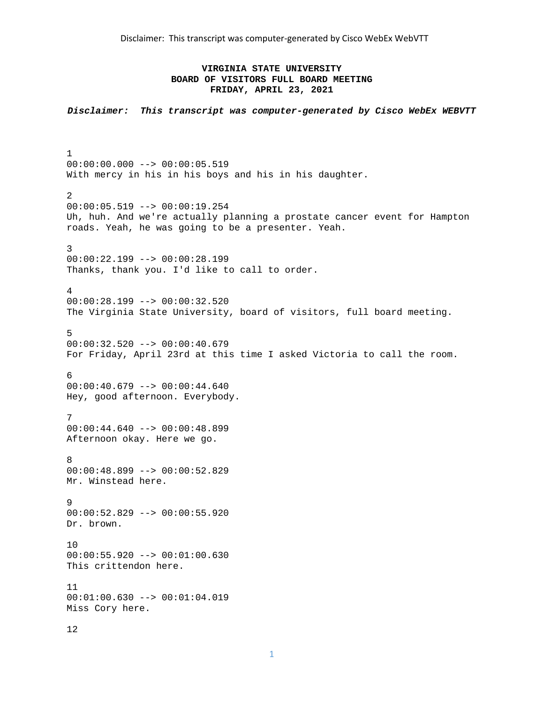# **VIRGINIA STATE UNIVERSITY BOARD OF VISITORS FULL BOARD MEETING FRIDAY, APRIL 23, 2021**

*Disclaimer: This transcript was computer-generated by Cisco WebEx WEBVTT* 

1 00:00:00.000 --> 00:00:05.519 With mercy in his in his boys and his in his daughter. 2 00:00:05.519 --> 00:00:19.254 Uh, huh. And we're actually planning a prostate cancer event for Hampton roads. Yeah, he was going to be a presenter. Yeah. 3 00:00:22.199 --> 00:00:28.199 Thanks, thank you. I'd like to call to order. 4 00:00:28.199 --> 00:00:32.520 The Virginia State University, board of visitors, full board meeting. 5  $00:00:32.520$  -->  $00:00:40.679$ For Friday, April 23rd at this time I asked Victoria to call the room. 6 00:00:40.679 --> 00:00:44.640 Hey, good afternoon. Everybody. 7 00:00:44.640 --> 00:00:48.899 Afternoon okay. Here we go. 8 00:00:48.899 --> 00:00:52.829 Mr. Winstead here. 9 00:00:52.829 --> 00:00:55.920 Dr. brown. 10 00:00:55.920 --> 00:01:00.630 This crittendon here. 11 00:01:00.630 --> 00:01:04.019 Miss Cory here. 12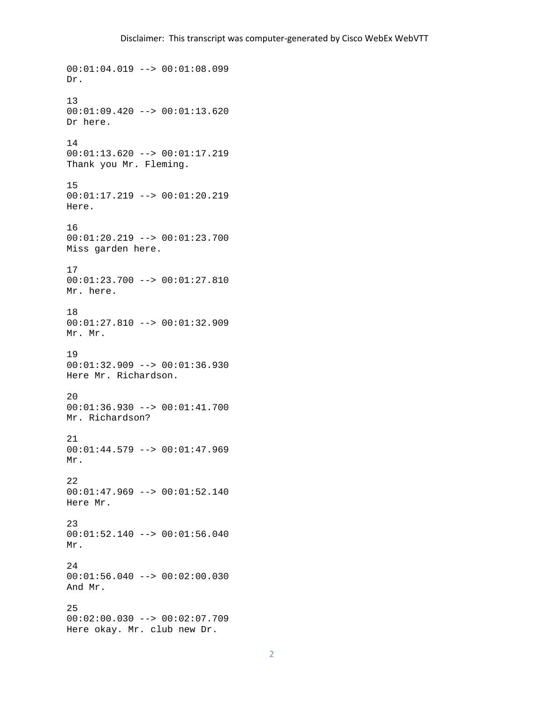00:01:04.019 --> 00:01:08.099 Dr. 13 00:01:09.420 --> 00:01:13.620 Dr here. 14 00:01:13.620 --> 00:01:17.219 Thank you Mr. Fleming. 15 00:01:17.219 --> 00:01:20.219 Here. 16 00:01:20.219 --> 00:01:23.700 Miss garden here. 17 00:01:23.700 --> 00:01:27.810 Mr. here. 18 00:01:27.810 --> 00:01:32.909 Mr. Mr. 19 00:01:32.909 --> 00:01:36.930 Here Mr. Richardson. 20 00:01:36.930 --> 00:01:41.700 Mr. Richardson? 21 00:01:44.579 --> 00:01:47.969 Mr. 22  $00:01:47.969$  -->  $00:01:52.140$ Here Mr. 23 00:01:52.140 --> 00:01:56.040 Mr. 24 00:01:56.040 --> 00:02:00.030 And Mr. 25 00:02:00.030 --> 00:02:07.709 Here okay. Mr. club new Dr.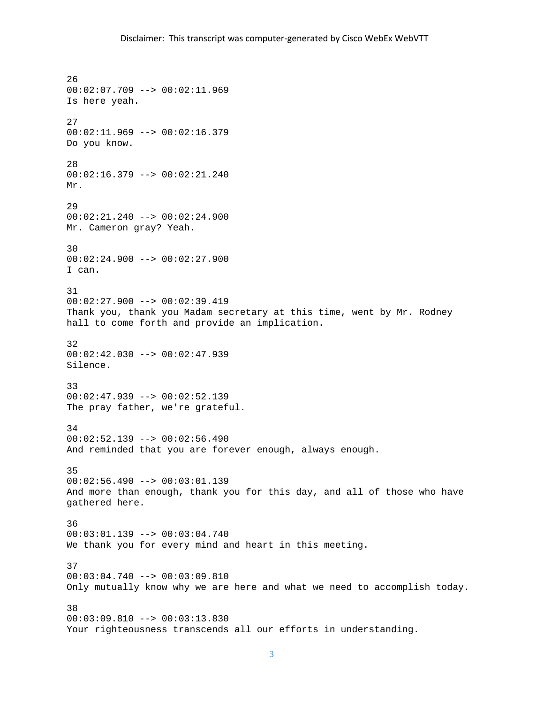26 00:02:07.709 --> 00:02:11.969 Is here yeah. 27 00:02:11.969 --> 00:02:16.379 Do you know. 28 00:02:16.379 --> 00:02:21.240 Mr. 29 00:02:21.240 --> 00:02:24.900 Mr. Cameron gray? Yeah. 30 00:02:24.900 --> 00:02:27.900 I can. 31 00:02:27.900 --> 00:02:39.419 Thank you, thank you Madam secretary at this time, went by Mr. Rodney hall to come forth and provide an implication. 32  $00:02:42.030$  -->  $00:02:47.939$ Silence. 33 00:02:47.939 --> 00:02:52.139 The pray father, we're grateful. 34  $00:02:52.139$  -->  $00:02:56.490$ And reminded that you are forever enough, always enough. 35  $00:02:56.490$  -->  $00:03:01.139$ And more than enough, thank you for this day, and all of those who have gathered here. 36  $00:03:01.139$  -->  $00:03:04.740$ We thank you for every mind and heart in this meeting. 37 00:03:04.740 --> 00:03:09.810 Only mutually know why we are here and what we need to accomplish today. 38 00:03:09.810 --> 00:03:13.830 Your righteousness transcends all our efforts in understanding.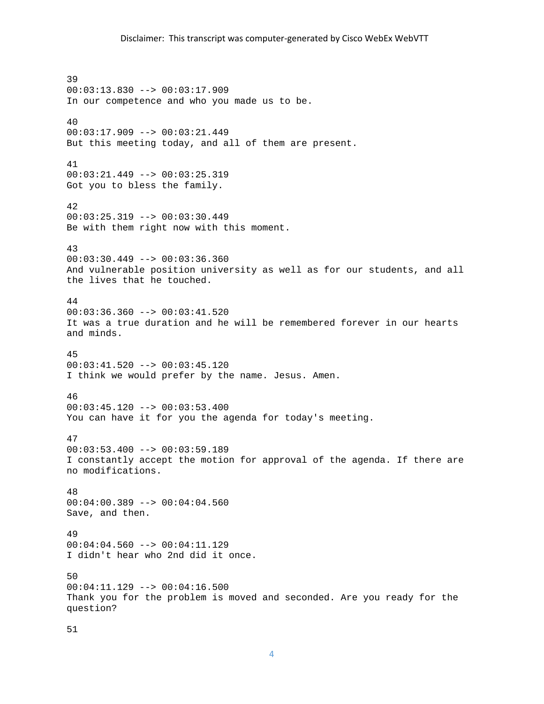39 00:03:13.830 --> 00:03:17.909 In our competence and who you made us to be. 40 00:03:17.909 --> 00:03:21.449 But this meeting today, and all of them are present. 41 00:03:21.449 --> 00:03:25.319 Got you to bless the family. 42 00:03:25.319 --> 00:03:30.449 Be with them right now with this moment. 43 00:03:30.449 --> 00:03:36.360 And vulnerable position university as well as for our students, and all the lives that he touched. 44 00:03:36.360 --> 00:03:41.520 It was a true duration and he will be remembered forever in our hearts and minds. 45 00:03:41.520 --> 00:03:45.120 I think we would prefer by the name. Jesus. Amen. 46 00:03:45.120 --> 00:03:53.400 You can have it for you the agenda for today's meeting. 47 00:03:53.400 --> 00:03:59.189 I constantly accept the motion for approval of the agenda. If there are no modifications. 48 00:04:00.389 --> 00:04:04.560 Save, and then. 49 00:04:04.560 --> 00:04:11.129 I didn't hear who 2nd did it once. 50 00:04:11.129 --> 00:04:16.500 Thank you for the problem is moved and seconded. Are you ready for the question?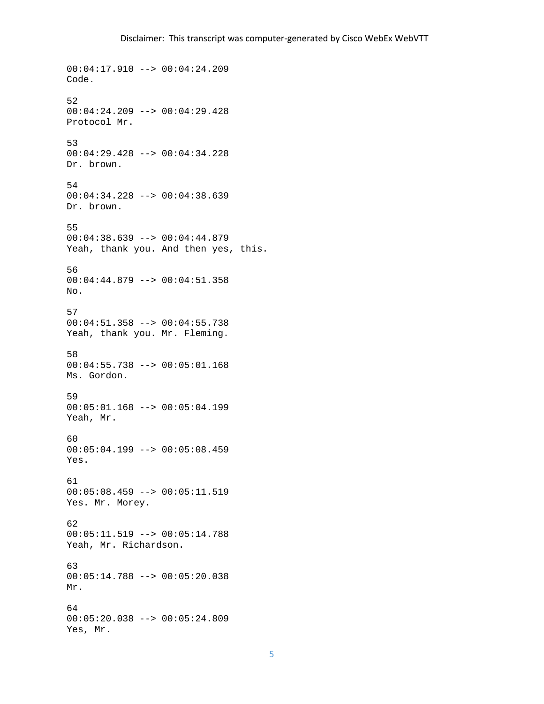00:04:17.910 --> 00:04:24.209 Code. 52 00:04:24.209 --> 00:04:29.428 Protocol Mr. 53 00:04:29.428 --> 00:04:34.228 Dr. brown. 54 00:04:34.228 --> 00:04:38.639 Dr. brown. 55 00:04:38.639 --> 00:04:44.879 Yeah, thank you. And then yes, this. 56 00:04:44.879 --> 00:04:51.358 No. 57 00:04:51.358 --> 00:04:55.738 Yeah, thank you. Mr. Fleming. 58 00:04:55.738 --> 00:05:01.168 Ms. Gordon. 59 00:05:01.168 --> 00:05:04.199 Yeah, Mr. 60 00:05:04.199 --> 00:05:08.459 Yes. 61 00:05:08.459 --> 00:05:11.519 Yes. Mr. Morey. 62 00:05:11.519 --> 00:05:14.788 Yeah, Mr. Richardson. 63 00:05:14.788 --> 00:05:20.038 Mr. 64 00:05:20.038 --> 00:05:24.809 Yes, Mr.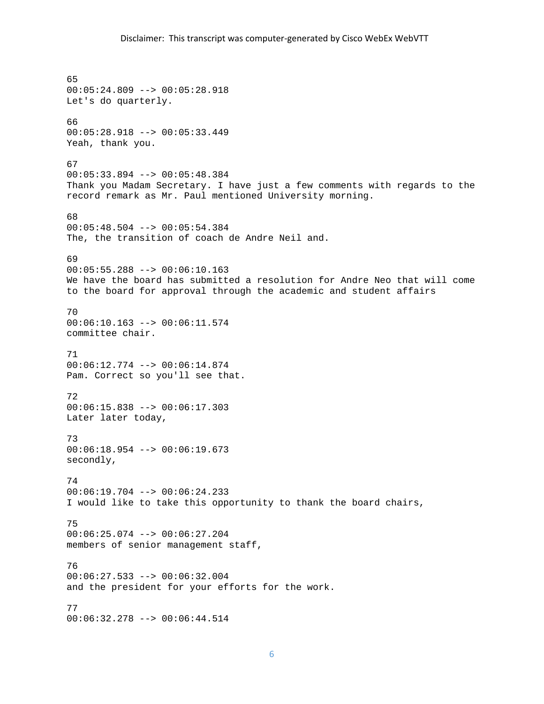```
65 
00:05:24.809 --> 00:05:28.918 
Let's do quarterly. 
66 
00:05:28.918 --> 00:05:33.449 
Yeah, thank you. 
67 
00:05:33.894 --> 00:05:48.384 
Thank you Madam Secretary. I have just a few comments with regards to the 
record remark as Mr. Paul mentioned University morning. 
68 
00:05:48.504 --> 00:05:54.384The, the transition of coach de Andre Neil and. 
69 
00:05:55.288 --> 00:06:10.163 
We have the board has submitted a resolution for Andre Neo that will come 
to the board for approval through the academic and student affairs 
70 
00:06:10.163 --> 00:06:11.574 
committee chair. 
71 
00:06:12.774 --> 00:06:14.874 
Pam. Correct so you'll see that. 
72 
00:06:15.838 --> 00:06:17.303 
Later later today, 
73 
00:06:18.954 --> 00:06:19.673 
secondly, 
74 
00:06:19.704 --> 00:06:24.233I would like to take this opportunity to thank the board chairs, 
75 
00:06:25.074 --> 00:06:27.204 
members of senior management staff, 
76 
00:06:27.533 --> 00:06:32.004 
and the president for your efforts for the work. 
77 
00:06:32.278 --> 00:06:44.514
```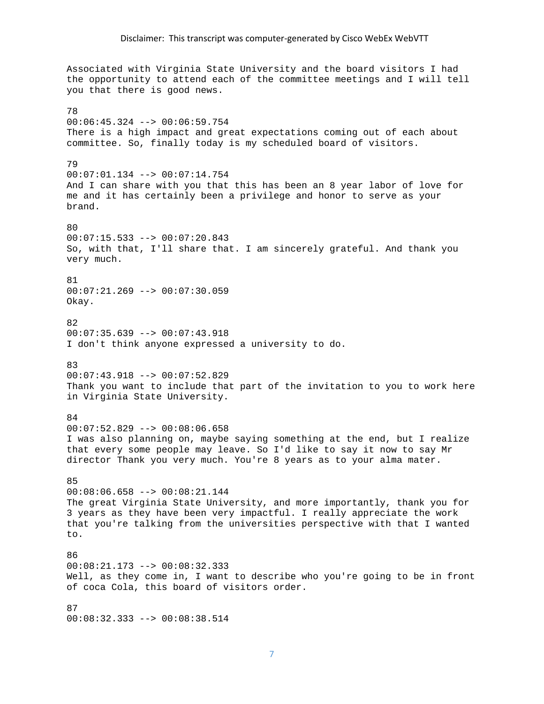Associated with Virginia State University and the board visitors I had the opportunity to attend each of the committee meetings and I will tell you that there is good news. 78 00:06:45.324 --> 00:06:59.754 There is a high impact and great expectations coming out of each about committee. So, finally today is my scheduled board of visitors. 79 00:07:01.134 --> 00:07:14.754 And I can share with you that this has been an 8 year labor of love for me and it has certainly been a privilege and honor to serve as your brand. 80 00:07:15.533 --> 00:07:20.843 So, with that, I'll share that. I am sincerely grateful. And thank you very much. 81  $00:07:21.269$  -->  $00:07:30.059$ Okay. 82 00:07:35.639 --> 00:07:43.918 I don't think anyone expressed a university to do. 83 00:07:43.918 --> 00:07:52.829 Thank you want to include that part of the invitation to you to work here in Virginia State University. 84 00:07:52.829 --> 00:08:06.658 I was also planning on, maybe saying something at the end, but I realize that every some people may leave. So I'd like to say it now to say Mr director Thank you very much. You're 8 years as to your alma mater. 85 00:08:06.658 --> 00:08:21.144 The great Virginia State University, and more importantly, thank you for 3 years as they have been very impactful. I really appreciate the work that you're talking from the universities perspective with that I wanted to. 86 00:08:21.173 --> 00:08:32.333 Well, as they come in, I want to describe who you're going to be in front of coca Cola, this board of visitors order. 87

00:08:32.333 --> 00:08:38.514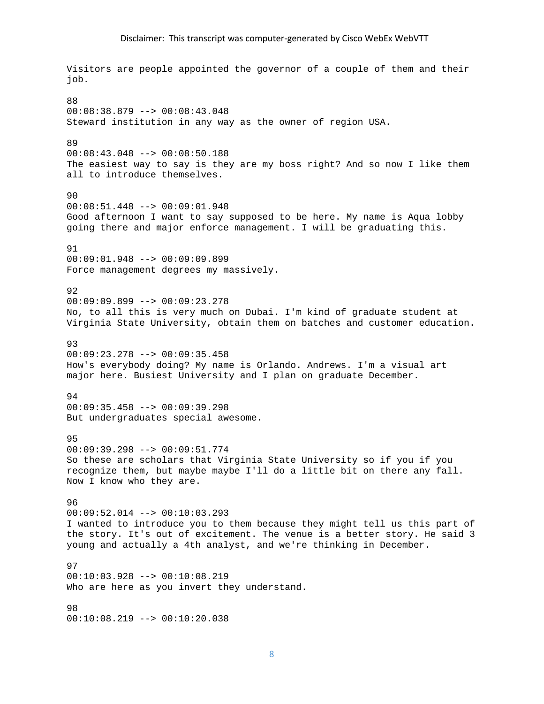Visitors are people appointed the governor of a couple of them and their job. 88 00:08:38.879 --> 00:08:43.048 Steward institution in any way as the owner of region USA. 89 00:08:43.048 --> 00:08:50.188 The easiest way to say is they are my boss right? And so now I like them all to introduce themselves.  $90$ 00:08:51.448 --> 00:09:01.948 Good afternoon I want to say supposed to be here. My name is Aqua lobby going there and major enforce management. I will be graduating this. 91 00:09:01.948 --> 00:09:09.899 Force management degrees my massively. 92 00:09:09.899 --> 00:09:23.278 No, to all this is very much on Dubai. I'm kind of graduate student at Virginia State University, obtain them on batches and customer education. 93 00:09:23.278 --> 00:09:35.458 How's everybody doing? My name is Orlando. Andrews. I'm a visual art major here. Busiest University and I plan on graduate December. 94 00:09:35.458 --> 00:09:39.298 But undergraduates special awesome. 95 00:09:39.298 --> 00:09:51.774 So these are scholars that Virginia State University so if you if you recognize them, but maybe maybe I'll do a little bit on there any fall. Now I know who they are. 96 00:09:52.014 --> 00:10:03.293 I wanted to introduce you to them because they might tell us this part of the story. It's out of excitement. The venue is a better story. He said 3 young and actually a 4th analyst, and we're thinking in December. 97 00:10:03.928 --> 00:10:08.219 Who are here as you invert they understand. 98 00:10:08.219 --> 00:10:20.038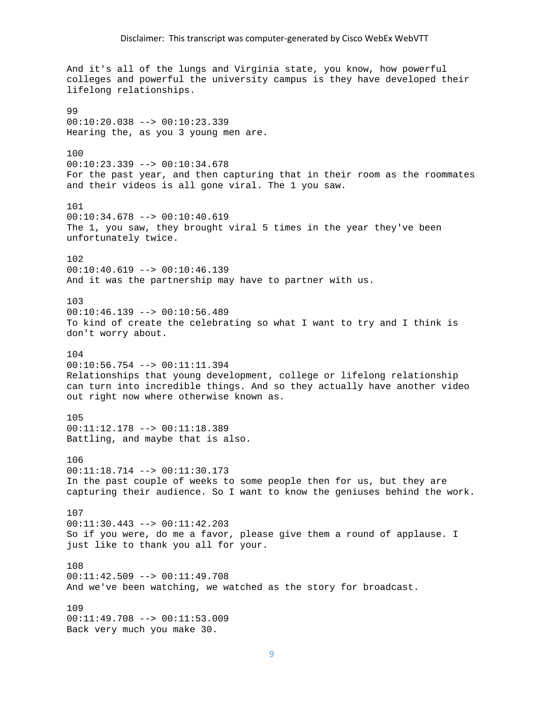And it's all of the lungs and Virginia state, you know, how powerful colleges and powerful the university campus is they have developed their lifelong relationships. 99 00:10:20.038 --> 00:10:23.339 Hearing the, as you 3 young men are. 100 00:10:23.339 --> 00:10:34.678 For the past year, and then capturing that in their room as the roommates and their videos is all gone viral. The 1 you saw. 101 00:10:34.678 --> 00:10:40.619 The 1, you saw, they brought viral 5 times in the year they've been unfortunately twice. 102  $00:10:40.619$  -->  $00:10:46.139$ And it was the partnership may have to partner with us. 103 00:10:46.139 --> 00:10:56.489 To kind of create the celebrating so what I want to try and I think is don't worry about. 104 00:10:56.754 --> 00:11:11.394 Relationships that young development, college or lifelong relationship can turn into incredible things. And so they actually have another video out right now where otherwise known as. 105 00:11:12.178 --> 00:11:18.389 Battling, and maybe that is also. 106 00:11:18.714 --> 00:11:30.173 In the past couple of weeks to some people then for us, but they are capturing their audience. So I want to know the geniuses behind the work. 107 00:11:30.443 --> 00:11:42.203 So if you were, do me a favor, please give them a round of applause. I just like to thank you all for your. 108 00:11:42.509 --> 00:11:49.708 And we've been watching, we watched as the story for broadcast. 109 00:11:49.708 --> 00:11:53.009 Back very much you make 30.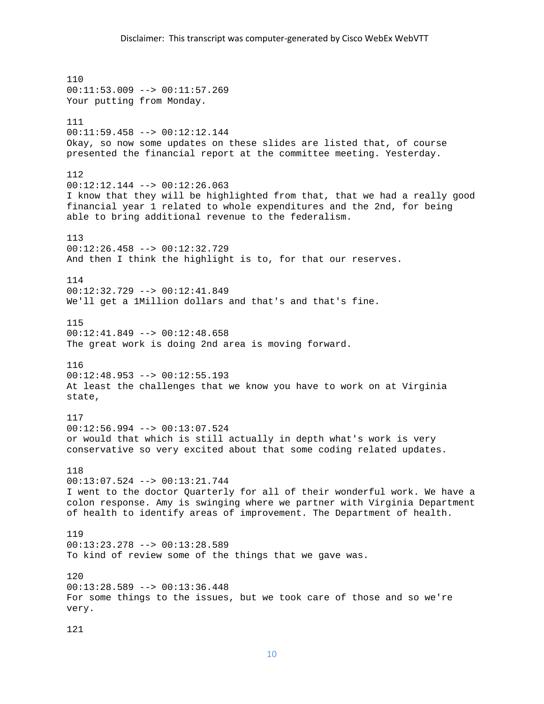110 00:11:53.009 --> 00:11:57.269 Your putting from Monday. 111 00:11:59.458 --> 00:12:12.144 Okay, so now some updates on these slides are listed that, of course presented the financial report at the committee meeting. Yesterday. 112 00:12:12.144 --> 00:12:26.063 I know that they will be highlighted from that, that we had a really good financial year 1 related to whole expenditures and the 2nd, for being able to bring additional revenue to the federalism. 113 00:12:26.458 --> 00:12:32.729 And then I think the highlight is to, for that our reserves. 114 00:12:32.729 --> 00:12:41.849 We'll get a 1Million dollars and that's and that's fine. 115 00:12:41.849 --> 00:12:48.658 The great work is doing 2nd area is moving forward. 116 00:12:48.953 --> 00:12:55.193 At least the challenges that we know you have to work on at Virginia state, 117 00:12:56.994 --> 00:13:07.524 or would that which is still actually in depth what's work is very conservative so very excited about that some coding related updates. 118 00:13:07.524 --> 00:13:21.744 I went to the doctor Quarterly for all of their wonderful work. We have a colon response. Amy is swinging where we partner with Virginia Department of health to identify areas of improvement. The Department of health. 119 00:13:23.278 --> 00:13:28.589 To kind of review some of the things that we gave was. 120 00:13:28.589 --> 00:13:36.448 For some things to the issues, but we took care of those and so we're very. 121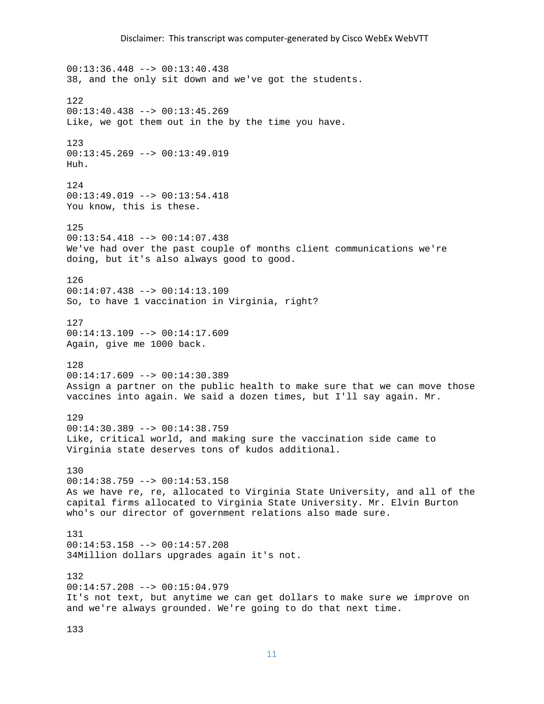00:13:36.448 --> 00:13:40.438 38, and the only sit down and we've got the students. 122 00:13:40.438 --> 00:13:45.269 Like, we got them out in the by the time you have. 123 00:13:45.269 --> 00:13:49.019 Huh. 124 00:13:49.019 --> 00:13:54.418 You know, this is these. 125 00:13:54.418 --> 00:14:07.438 We've had over the past couple of months client communications we're doing, but it's also always good to good. 126 00:14:07.438 --> 00:14:13.109 So, to have 1 vaccination in Virginia, right? 127 00:14:13.109 --> 00:14:17.609 Again, give me 1000 back. 128 00:14:17.609 --> 00:14:30.389 Assign a partner on the public health to make sure that we can move those vaccines into again. We said a dozen times, but I'll say again. Mr. 129 00:14:30.389 --> 00:14:38.759 Like, critical world, and making sure the vaccination side came to Virginia state deserves tons of kudos additional. 130  $00:14:38.759$  -->  $00:14:53.158$ As we have re, re, allocated to Virginia State University, and all of the capital firms allocated to Virginia State University. Mr. Elvin Burton who's our director of government relations also made sure. 131 00:14:53.158 --> 00:14:57.208 34Million dollars upgrades again it's not. 132 00:14:57.208 --> 00:15:04.979 It's not text, but anytime we can get dollars to make sure we improve on and we're always grounded. We're going to do that next time.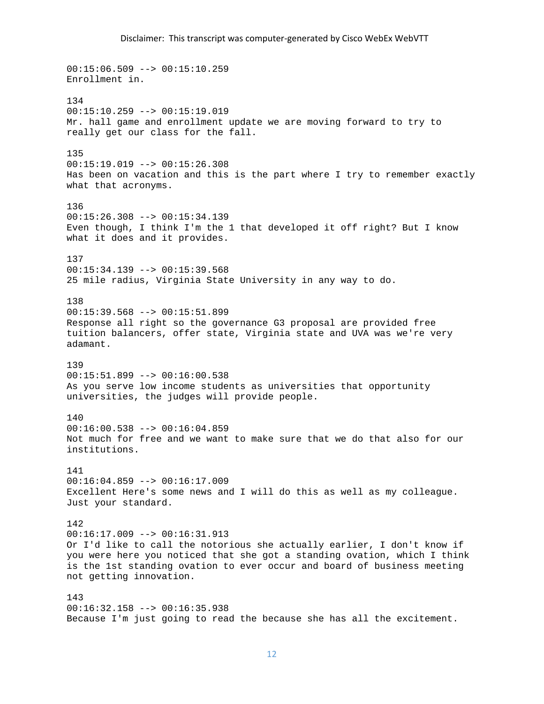$00:15:06.509$  -->  $00:15:10.259$ Enrollment in. 134 00:15:10.259 --> 00:15:19.019 Mr. hall game and enrollment update we are moving forward to try to really get our class for the fall. 135 00:15:19.019 --> 00:15:26.308 Has been on vacation and this is the part where I try to remember exactly what that acronyms. 136  $00:15:26.308$  -->  $00:15:34.139$ Even though, I think I'm the 1 that developed it off right? But I know what it does and it provides. 137  $00:15:34.139$  -->  $00:15:39.568$ 25 mile radius, Virginia State University in any way to do. 138 00:15:39.568 --> 00:15:51.899 Response all right so the governance G3 proposal are provided free tuition balancers, offer state, Virginia state and UVA was we're very adamant. 139 00:15:51.899 --> 00:16:00.538 As you serve low income students as universities that opportunity universities, the judges will provide people.  $140$ 00:16:00.538 --> 00:16:04.859 Not much for free and we want to make sure that we do that also for our institutions. 141  $00:16:04.859$  -->  $00:16:17.009$ Excellent Here's some news and I will do this as well as my colleague. Just your standard. 142  $00:16:17.009$  -->  $00:16:31.913$ Or I'd like to call the notorious she actually earlier, I don't know if you were here you noticed that she got a standing ovation, which I think is the 1st standing ovation to ever occur and board of business meeting not getting innovation. 143  $00:16:32.158$  -->  $00:16:35.938$ Because I'm just going to read the because she has all the excitement.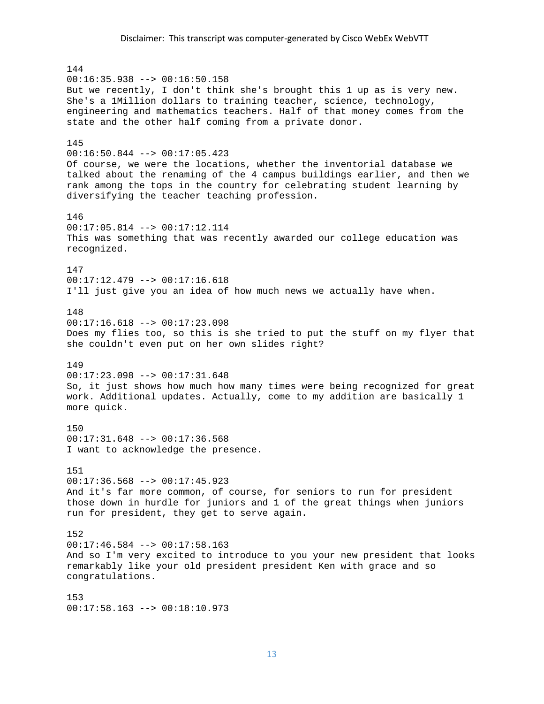144  $00:16:35.938$  -->  $00:16:50.158$ But we recently, I don't think she's brought this 1 up as is very new. She's a 1Million dollars to training teacher, science, technology, engineering and mathematics teachers. Half of that money comes from the state and the other half coming from a private donor. 145  $00:16:50.844$  -->  $00:17:05.423$ Of course, we were the locations, whether the inventorial database we talked about the renaming of the 4 campus buildings earlier, and then we rank among the tops in the country for celebrating student learning by diversifying the teacher teaching profession. 146  $00:17:05.814$  -->  $00:17:12.114$ This was something that was recently awarded our college education was recognized. 147 00:17:12.479 --> 00:17:16.618 I'll just give you an idea of how much news we actually have when. 148 00:17:16.618 --> 00:17:23.098 Does my flies too, so this is she tried to put the stuff on my flyer that she couldn't even put on her own slides right? 149 00:17:23.098 --> 00:17:31.648 So, it just shows how much how many times were being recognized for great work. Additional updates. Actually, come to my addition are basically 1 more quick. 150  $00:17:31.648$  -->  $00:17:36.568$ I want to acknowledge the presence. 151  $00:17:36.568$  -->  $00:17:45.923$ And it's far more common, of course, for seniors to run for president those down in hurdle for juniors and 1 of the great things when juniors run for president, they get to serve again. 152 00:17:46.584 --> 00:17:58.163 And so I'm very excited to introduce to you your new president that looks remarkably like your old president president Ken with grace and so congratulations. 153  $00:17:58.163$  -->  $00:18:10.973$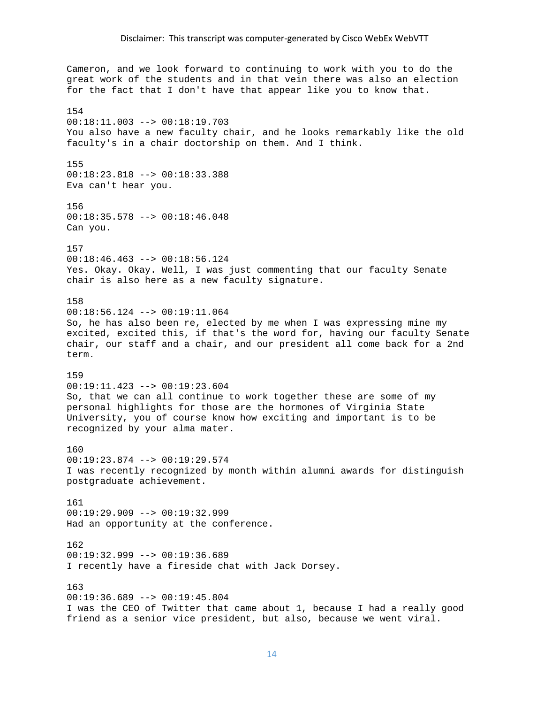Cameron, and we look forward to continuing to work with you to do the great work of the students and in that vein there was also an election for the fact that I don't have that appear like you to know that. 154 00:18:11.003 --> 00:18:19.703 You also have a new faculty chair, and he looks remarkably like the old faculty's in a chair doctorship on them. And I think. 155 00:18:23.818 --> 00:18:33.388 Eva can't hear you. 156 00:18:35.578 --> 00:18:46.048 Can you. 157 00:18:46.463 --> 00:18:56.124 Yes. Okay. Okay. Well, I was just commenting that our faculty Senate chair is also here as a new faculty signature. 158 00:18:56.124 --> 00:19:11.064 So, he has also been re, elected by me when I was expressing mine my excited, excited this, if that's the word for, having our faculty Senate chair, our staff and a chair, and our president all come back for a 2nd term. 159 00:19:11.423 --> 00:19:23.604 So, that we can all continue to work together these are some of my personal highlights for those are the hormones of Virginia State University, you of course know how exciting and important is to be recognized by your alma mater. 160  $00:19:23.874$  -->  $00:19:29.574$ I was recently recognized by month within alumni awards for distinguish postgraduate achievement. 161 00:19:29.909 --> 00:19:32.999 Had an opportunity at the conference. 162 00:19:32.999 --> 00:19:36.689 I recently have a fireside chat with Jack Dorsey. 163 00:19:36.689 --> 00:19:45.804 I was the CEO of Twitter that came about 1, because I had a really good friend as a senior vice president, but also, because we went viral.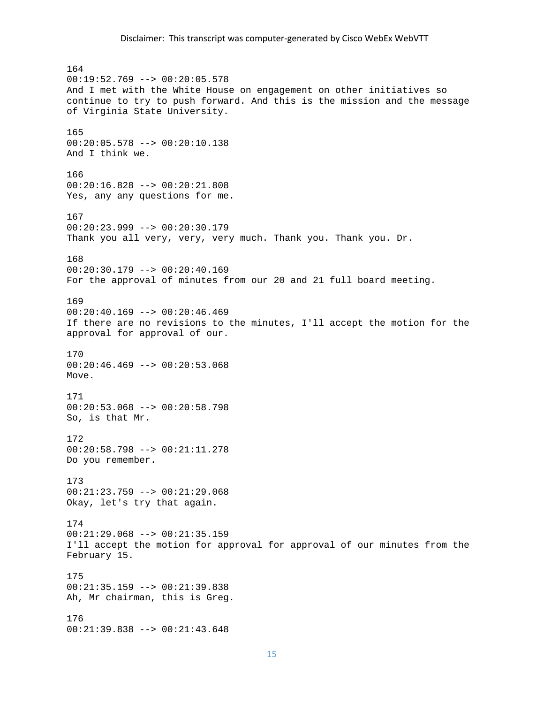164  $00:19:52.769$  -->  $00:20:05.578$ And I met with the White House on engagement on other initiatives so continue to try to push forward. And this is the mission and the message of Virginia State University. 165 00:20:05.578 --> 00:20:10.138 And I think we. 166 00:20:16.828 --> 00:20:21.808 Yes, any any questions for me. 167 00:20:23.999 --> 00:20:30.179 Thank you all very, very, very much. Thank you. Thank you. Dr. 168 00:20:30.179 --> 00:20:40.169 For the approval of minutes from our 20 and 21 full board meeting. 169  $00:20:40.169$  -->  $00:20:46.469$ If there are no revisions to the minutes, I'll accept the motion for the approval for approval of our. 170 00:20:46.469 --> 00:20:53.068 Move. 171 00:20:53.068 --> 00:20:58.798 So, is that Mr. 172 00:20:58.798 --> 00:21:11.278 Do you remember. 173 00:21:23.759 --> 00:21:29.068 Okay, let's try that again. 174  $00:21:29.068$  -->  $00:21:35.159$ I'll accept the motion for approval for approval of our minutes from the February 15. 175 00:21:35.159 --> 00:21:39.838 Ah, Mr chairman, this is Greg. 176 00:21:39.838 --> 00:21:43.648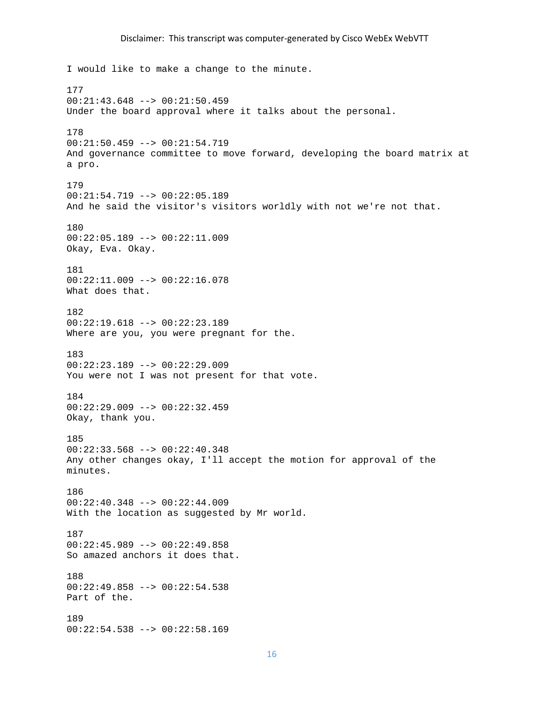I would like to make a change to the minute. 177 00:21:43.648 --> 00:21:50.459 Under the board approval where it talks about the personal. 178 00:21:50.459 --> 00:21:54.719 And governance committee to move forward, developing the board matrix at a pro. 179 00:21:54.719 --> 00:22:05.189 And he said the visitor's visitors worldly with not we're not that. 180 00:22:05.189 --> 00:22:11.009 Okay, Eva. Okay. 181  $00:22:11.009$  -->  $00:22:16.078$ What does that. 182 00:22:19.618 --> 00:22:23.189 Where are you, you were pregnant for the. 183 00:22:23.189 --> 00:22:29.009 You were not I was not present for that vote. 184 00:22:29.009 --> 00:22:32.459 Okay, thank you. 185 00:22:33.568 --> 00:22:40.348 Any other changes okay, I'll accept the motion for approval of the minutes. 186 00:22:40.348 --> 00:22:44.009 With the location as suggested by Mr world. 187 00:22:45.989 --> 00:22:49.858 So amazed anchors it does that. 188 00:22:49.858 --> 00:22:54.538 Part of the. 189 00:22:54.538 --> 00:22:58.169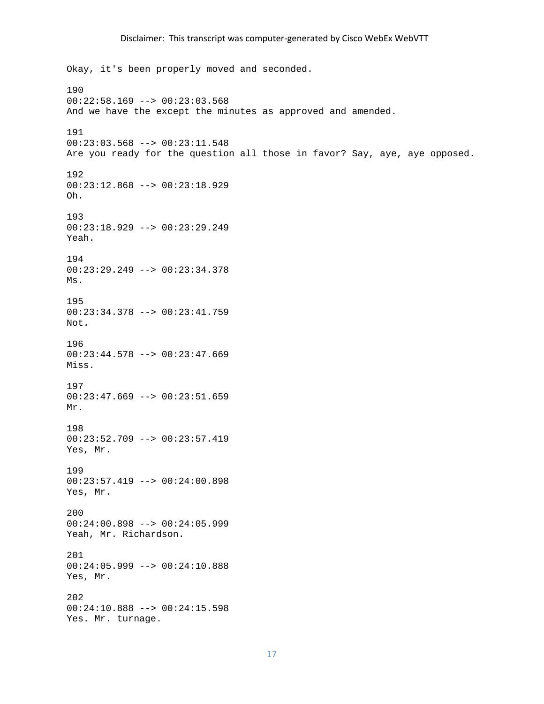Okay, it's been properly moved and seconded. 190 00:22:58.169 --> 00:23:03.568 And we have the except the minutes as approved and amended. 191 00:23:03.568 --> 00:23:11.548 Are you ready for the question all those in favor? Say, aye, aye opposed. 192 00:23:12.868 --> 00:23:18.929 Oh. 193 00:23:18.929 --> 00:23:29.249 Yeah. 194 00:23:29.249 --> 00:23:34.378 Ms. 195 00:23:34.378 --> 00:23:41.759 Not. 196 00:23:44.578 --> 00:23:47.669 Miss. 197 00:23:47.669 --> 00:23:51.659 Mr. 198 00:23:52.709 --> 00:23:57.419 Yes, Mr. 199 00:23:57.419 --> 00:24:00.898 Yes, Mr. 200 00:24:00.898 --> 00:24:05.999 Yeah, Mr. Richardson. 201 00:24:05.999 --> 00:24:10.888 Yes, Mr. 202 00:24:10.888 --> 00:24:15.598 Yes. Mr. turnage.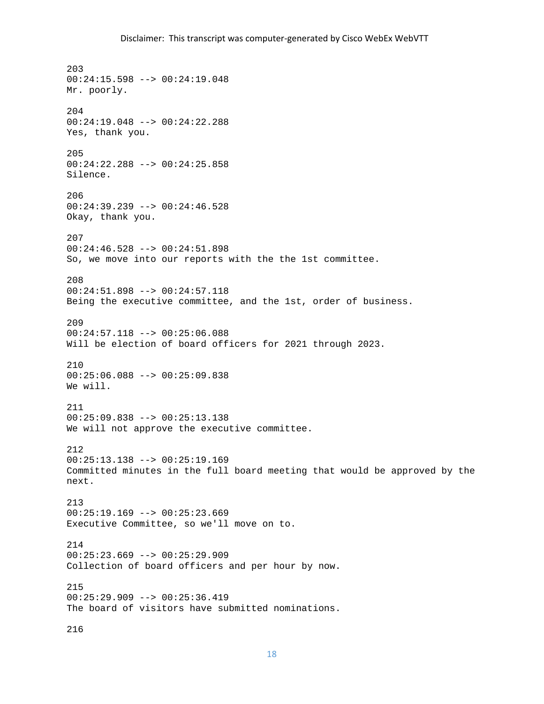203 00:24:15.598 --> 00:24:19.048 Mr. poorly. 204 00:24:19.048 --> 00:24:22.288 Yes, thank you. 205 00:24:22.288 --> 00:24:25.858 Silence. 206 00:24:39.239 --> 00:24:46.528 Okay, thank you. 207 00:24:46.528 --> 00:24:51.898 So, we move into our reports with the the 1st committee. 208 00:24:51.898 --> 00:24:57.118 Being the executive committee, and the 1st, order of business. 209 00:24:57.118 --> 00:25:06.088 Will be election of board officers for 2021 through 2023. 210 00:25:06.088 --> 00:25:09.838 We will. 211 00:25:09.838 --> 00:25:13.138 We will not approve the executive committee. 212 00:25:13.138 --> 00:25:19.169 Committed minutes in the full board meeting that would be approved by the next. 213 00:25:19.169 --> 00:25:23.669 Executive Committee, so we'll move on to. 214  $00:25:23.669$  -->  $00:25:29.909$ Collection of board officers and per hour by now. 215 00:25:29.909 --> 00:25:36.419 The board of visitors have submitted nominations. 216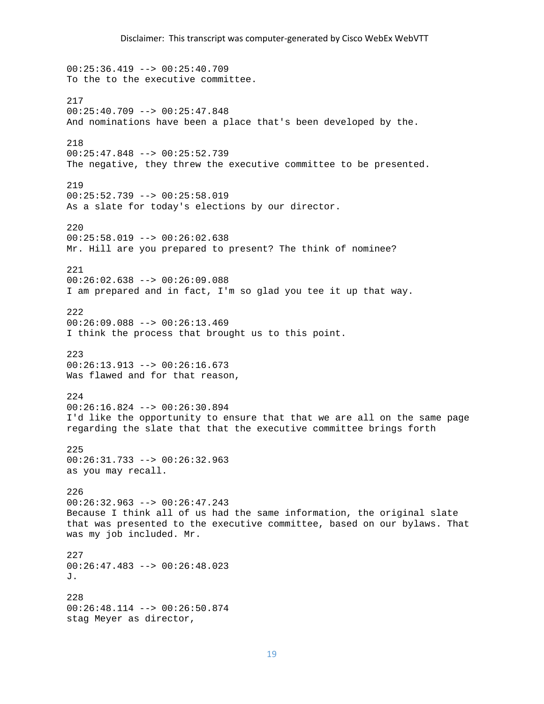$00:25:36.419$  -->  $00:25:40.709$ To the to the executive committee. 217 00:25:40.709 --> 00:25:47.848 And nominations have been a place that's been developed by the. 218 00:25:47.848 --> 00:25:52.739 The negative, they threw the executive committee to be presented. 219 00:25:52.739 --> 00:25:58.019 As a slate for today's elections by our director. 220 00:25:58.019 --> 00:26:02.638 Mr. Hill are you prepared to present? The think of nominee? 221 00:26:02.638 --> 00:26:09.088 I am prepared and in fact, I'm so glad you tee it up that way. 222 00:26:09.088 --> 00:26:13.469 I think the process that brought us to this point. 223 00:26:13.913 --> 00:26:16.673 Was flawed and for that reason, 224 00:26:16.824 --> 00:26:30.894 I'd like the opportunity to ensure that that we are all on the same page regarding the slate that that the executive committee brings forth 225 00:26:31.733 --> 00:26:32.963 as you may recall. 226  $00:26:32.963$  -->  $00:26:47.243$ Because I think all of us had the same information, the original slate that was presented to the executive committee, based on our bylaws. That was my job included. Mr. 227 00:26:47.483 --> 00:26:48.023 J. 228 00:26:48.114 --> 00:26:50.874 stag Meyer as director,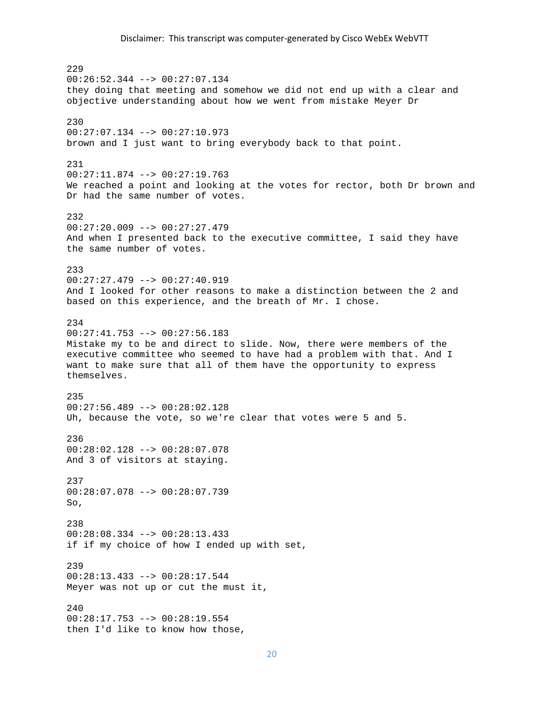229 00:26:52.344 --> 00:27:07.134 they doing that meeting and somehow we did not end up with a clear and objective understanding about how we went from mistake Meyer Dr 230 00:27:07.134 --> 00:27:10.973 brown and I just want to bring everybody back to that point. 231 00:27:11.874 --> 00:27:19.763 We reached a point and looking at the votes for rector, both Dr brown and Dr had the same number of votes. 232  $00:27:20.009$  -->  $00:27:27.479$ And when I presented back to the executive committee, I said they have the same number of votes. 233 00:27:27.479 --> 00:27:40.919 And I looked for other reasons to make a distinction between the 2 and based on this experience, and the breath of Mr. I chose. 234 00:27:41.753 --> 00:27:56.183 Mistake my to be and direct to slide. Now, there were members of the executive committee who seemed to have had a problem with that. And I want to make sure that all of them have the opportunity to express themselves. 235 00:27:56.489 --> 00:28:02.128 Uh, because the vote, so we're clear that votes were 5 and 5. 236 00:28:02.128 --> 00:28:07.078 And 3 of visitors at staying. 237 00:28:07.078 --> 00:28:07.739 So, 238  $00:28:08.334$  -->  $00:28:13.433$ if if my choice of how I ended up with set, 239 00:28:13.433 --> 00:28:17.544 Meyer was not up or cut the must it,  $240$ 00:28:17.753 --> 00:28:19.554 then I'd like to know how those,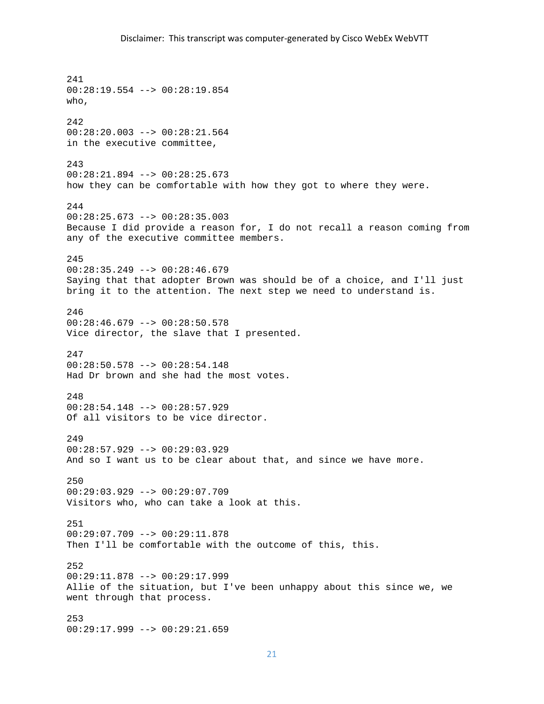241 00:28:19.554 --> 00:28:19.854 who, 242 00:28:20.003 --> 00:28:21.564 in the executive committee, 243 00:28:21.894 --> 00:28:25.673 how they can be comfortable with how they got to where they were. 244 00:28:25.673 --> 00:28:35.003 Because I did provide a reason for, I do not recall a reason coming from any of the executive committee members. 245  $00:28:35.249$  -->  $00:28:46.679$ Saying that that adopter Brown was should be of a choice, and I'll just bring it to the attention. The next step we need to understand is. 246 00:28:46.679 --> 00:28:50.578 Vice director, the slave that I presented. 247 00:28:50.578 --> 00:28:54.148 Had Dr brown and she had the most votes. 248 00:28:54.148 --> 00:28:57.929 Of all visitors to be vice director. 249 00:28:57.929 --> 00:29:03.929 And so I want us to be clear about that, and since we have more. 250 00:29:03.929 --> 00:29:07.709 Visitors who, who can take a look at this. 251 00:29:07.709 --> 00:29:11.878 Then I'll be comfortable with the outcome of this, this. 252 00:29:11.878 --> 00:29:17.999 Allie of the situation, but I've been unhappy about this since we, we went through that process. 253 00:29:17.999 --> 00:29:21.659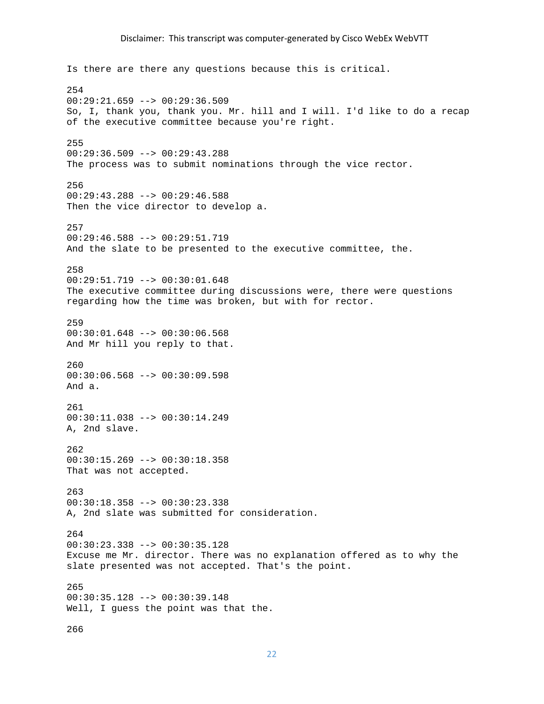Is there are there any questions because this is critical. 254 00:29:21.659 --> 00:29:36.509 So, I, thank you, thank you. Mr. hill and I will. I'd like to do a recap of the executive committee because you're right. 255 00:29:36.509 --> 00:29:43.288 The process was to submit nominations through the vice rector. 256 00:29:43.288 --> 00:29:46.588 Then the vice director to develop a. 257 00:29:46.588 --> 00:29:51.719 And the slate to be presented to the executive committee, the. 258 00:29:51.719 --> 00:30:01.648 The executive committee during discussions were, there were questions regarding how the time was broken, but with for rector. 259 00:30:01.648 --> 00:30:06.568 And Mr hill you reply to that. 260 00:30:06.568 --> 00:30:09.598 And a. 261 00:30:11.038 --> 00:30:14.249 A, 2nd slave. 262 00:30:15.269 --> 00:30:18.358 That was not accepted. 263 00:30:18.358 --> 00:30:23.338 A, 2nd slate was submitted for consideration. 264 00:30:23.338 --> 00:30:35.128 Excuse me Mr. director. There was no explanation offered as to why the slate presented was not accepted. That's the point. 265 00:30:35.128 --> 00:30:39.148 Well, I guess the point was that the.

266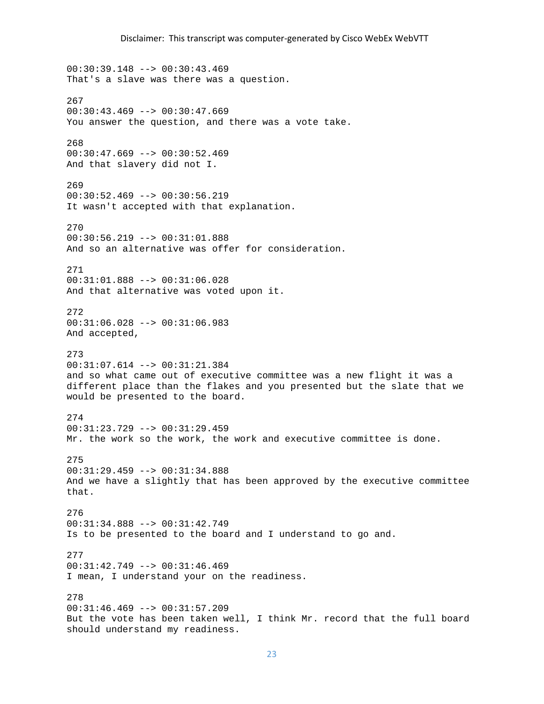00:30:39.148 --> 00:30:43.469 That's a slave was there was a question. 267  $00:30:43.469$  -->  $00:30:47.669$ You answer the question, and there was a vote take. 268  $00:30:47.669$  -->  $00:30:52.469$ And that slavery did not I. 269 00:30:52.469 --> 00:30:56.219 It wasn't accepted with that explanation. 270 00:30:56.219 --> 00:31:01.888 And so an alternative was offer for consideration. 271 00:31:01.888 --> 00:31:06.028 And that alternative was voted upon it. 272 00:31:06.028 --> 00:31:06.983 And accepted, 273 00:31:07.614 --> 00:31:21.384 and so what came out of executive committee was a new flight it was a different place than the flakes and you presented but the slate that we would be presented to the board. 274 00:31:23.729 --> 00:31:29.459 Mr. the work so the work, the work and executive committee is done. 275 00:31:29.459 --> 00:31:34.888 And we have a slightly that has been approved by the executive committee that. 276 00:31:34.888 --> 00:31:42.749 Is to be presented to the board and I understand to go and. 277 00:31:42.749 --> 00:31:46.469 I mean, I understand your on the readiness. 278 00:31:46.469 --> 00:31:57.209 But the vote has been taken well, I think Mr. record that the full board should understand my readiness.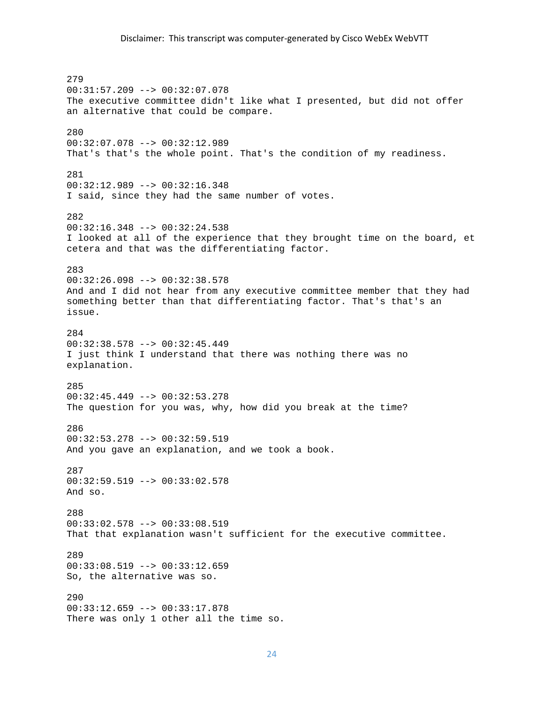279 00:31:57.209 --> 00:32:07.078 The executive committee didn't like what I presented, but did not offer an alternative that could be compare. 280 00:32:07.078 --> 00:32:12.989 That's that's the whole point. That's the condition of my readiness. 281 00:32:12.989 --> 00:32:16.348 I said, since they had the same number of votes. 282  $00:32:16.348$  -->  $00:32:24.538$ I looked at all of the experience that they brought time on the board, et cetera and that was the differentiating factor. 283 00:32:26.098 --> 00:32:38.578 And and I did not hear from any executive committee member that they had something better than that differentiating factor. That's that's an issue. 284 00:32:38.578 --> 00:32:45.449 I just think I understand that there was nothing there was no explanation. 285 00:32:45.449 --> 00:32:53.278 The question for you was, why, how did you break at the time? 286 00:32:53.278 --> 00:32:59.519 And you gave an explanation, and we took a book. 287 00:32:59.519 --> 00:33:02.578 And so. 288 00:33:02.578 --> 00:33:08.519 That that explanation wasn't sufficient for the executive committee. 289  $00:33:08.519$  -->  $00:33:12.659$ So, the alternative was so. 290 00:33:12.659 --> 00:33:17.878 There was only 1 other all the time so.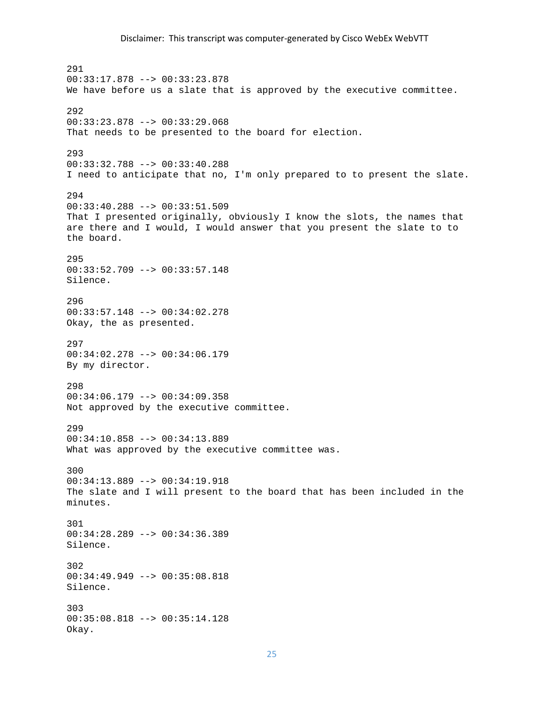291 00:33:17.878 --> 00:33:23.878 We have before us a slate that is approved by the executive committee. 292 00:33:23.878 --> 00:33:29.068 That needs to be presented to the board for election. 293 00:33:32.788 --> 00:33:40.288 I need to anticipate that no, I'm only prepared to to present the slate. 294 00:33:40.288 --> 00:33:51.509 That I presented originally, obviously I know the slots, the names that are there and I would, I would answer that you present the slate to to the board. 295 00:33:52.709 --> 00:33:57.148 Silence. 296 00:33:57.148 --> 00:34:02.278 Okay, the as presented. 297 00:34:02.278 --> 00:34:06.179 By my director. 298 00:34:06.179 --> 00:34:09.358 Not approved by the executive committee. 299 00:34:10.858 --> 00:34:13.889 What was approved by the executive committee was. 300 00:34:13.889 --> 00:34:19.918 The slate and I will present to the board that has been included in the minutes. 301 00:34:28.289 --> 00:34:36.389 Silence. 302 00:34:49.949 --> 00:35:08.818 Silence. 303 00:35:08.818 --> 00:35:14.128 Okay.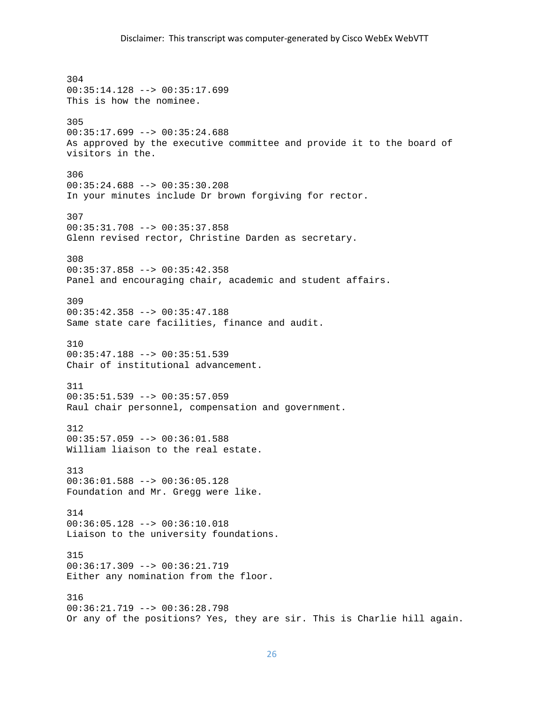304 00:35:14.128 --> 00:35:17.699 This is how the nominee. 305 00:35:17.699 --> 00:35:24.688 As approved by the executive committee and provide it to the board of visitors in the. 306 00:35:24.688 --> 00:35:30.208 In your minutes include Dr brown forgiving for rector. 307 00:35:31.708 --> 00:35:37.858 Glenn revised rector, Christine Darden as secretary. 308 00:35:37.858 --> 00:35:42.358 Panel and encouraging chair, academic and student affairs. 309 00:35:42.358 --> 00:35:47.188 Same state care facilities, finance and audit. 310 00:35:47.188 --> 00:35:51.539 Chair of institutional advancement. 311 00:35:51.539 --> 00:35:57.059 Raul chair personnel, compensation and government. 312 00:35:57.059 --> 00:36:01.588 William liaison to the real estate. 313 00:36:01.588 --> 00:36:05.128 Foundation and Mr. Gregg were like. 314 00:36:05.128 --> 00:36:10.018 Liaison to the university foundations. 315 00:36:17.309 --> 00:36:21.719 Either any nomination from the floor. 316 00:36:21.719 --> 00:36:28.798 Or any of the positions? Yes, they are sir. This is Charlie hill again.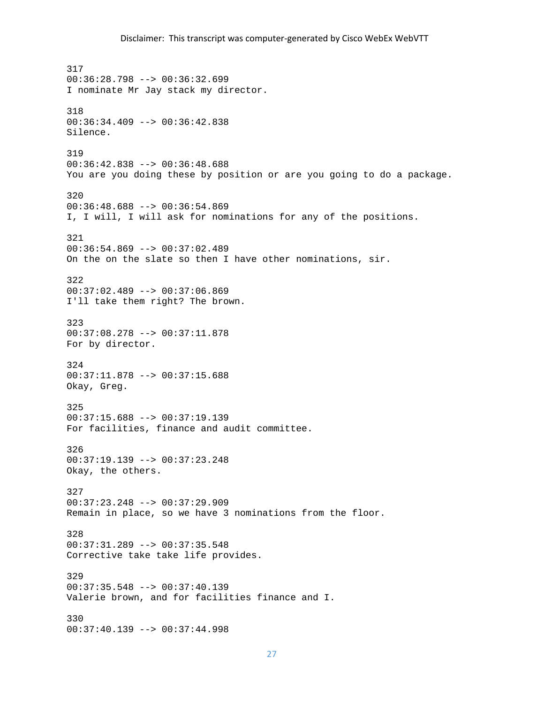317 00:36:28.798 --> 00:36:32.699 I nominate Mr Jay stack my director. 318 00:36:34.409 --> 00:36:42.838 Silence. 319 00:36:42.838 --> 00:36:48.688 You are you doing these by position or are you going to do a package. 320 00:36:48.688 --> 00:36:54.869 I, I will, I will ask for nominations for any of the positions. 321 00:36:54.869 --> 00:37:02.489 On the on the slate so then I have other nominations, sir. 322 00:37:02.489 --> 00:37:06.869 I'll take them right? The brown. 323 00:37:08.278 --> 00:37:11.878 For by director. 324 00:37:11.878 --> 00:37:15.688 Okay, Greg. 325 00:37:15.688 --> 00:37:19.139 For facilities, finance and audit committee. 326 00:37:19.139 --> 00:37:23.248 Okay, the others. 327 00:37:23.248 --> 00:37:29.909 Remain in place, so we have 3 nominations from the floor. 328 00:37:31.289 --> 00:37:35.548 Corrective take take life provides. 329 00:37:35.548 --> 00:37:40.139 Valerie brown, and for facilities finance and I. 330 00:37:40.139 --> 00:37:44.998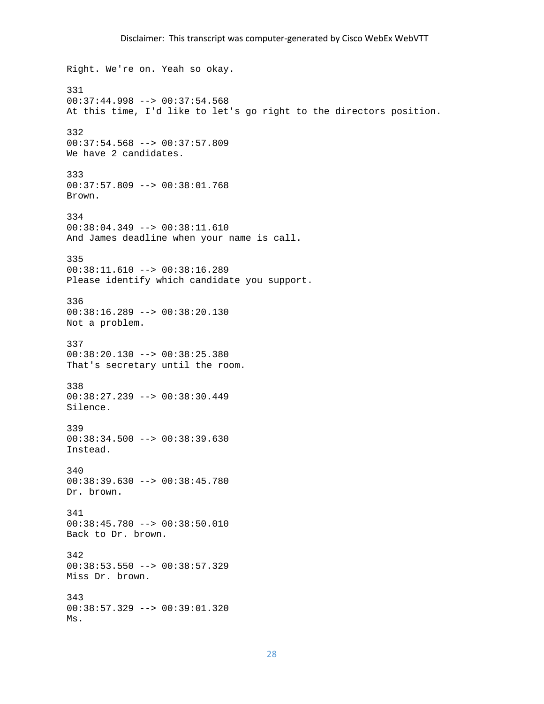Right. We're on. Yeah so okay. 331  $00:37:44.998$  -->  $00:37:54.568$ At this time, I'd like to let's go right to the directors position. 332 00:37:54.568 --> 00:37:57.809 We have 2 candidates. 333 00:37:57.809 --> 00:38:01.768 Brown. 334 00:38:04.349 --> 00:38:11.610 And James deadline when your name is call. 335 00:38:11.610 --> 00:38:16.289 Please identify which candidate you support. 336 00:38:16.289 --> 00:38:20.130 Not a problem. 337 00:38:20.130 --> 00:38:25.380 That's secretary until the room. 338 00:38:27.239 --> 00:38:30.449 Silence. 339 00:38:34.500 --> 00:38:39.630 Instead. 340 00:38:39.630 --> 00:38:45.780 Dr. brown. 341 00:38:45.780 --> 00:38:50.010 Back to Dr. brown. 342 00:38:53.550 --> 00:38:57.329 Miss Dr. brown. 343 00:38:57.329 --> 00:39:01.320 Ms.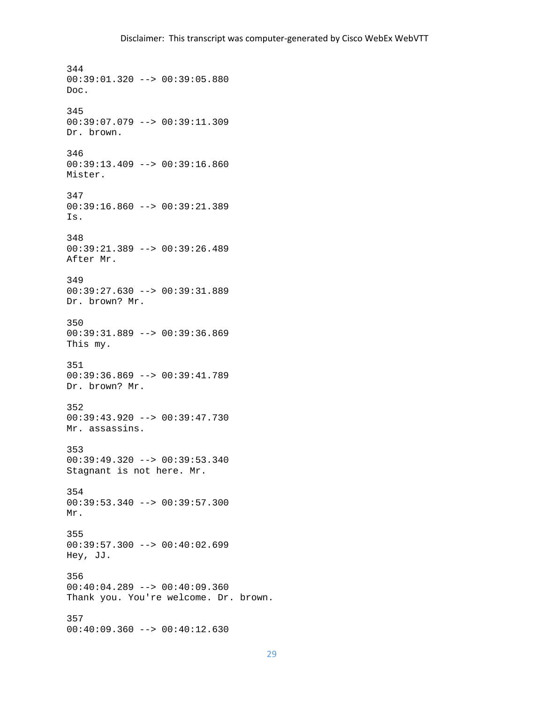344 00:39:01.320 --> 00:39:05.880 Doc. 345 00:39:07.079 --> 00:39:11.309 Dr. brown. 346 00:39:13.409 --> 00:39:16.860 Mister. 347 00:39:16.860 --> 00:39:21.389 Is. 348 00:39:21.389 --> 00:39:26.489 After Mr. 349 00:39:27.630 --> 00:39:31.889 Dr. brown? Mr. 350 00:39:31.889 --> 00:39:36.869 This my. 351 00:39:36.869 --> 00:39:41.789 Dr. brown? Mr. 352 00:39:43.920 --> 00:39:47.730 Mr. assassins. 353 00:39:49.320 --> 00:39:53.340 Stagnant is not here. Mr. 354 00:39:53.340 --> 00:39:57.300 Mr. 355 00:39:57.300 --> 00:40:02.699 Hey, JJ. 356 00:40:04.289 --> 00:40:09.360 Thank you. You're welcome. Dr. brown. 357 00:40:09.360 --> 00:40:12.630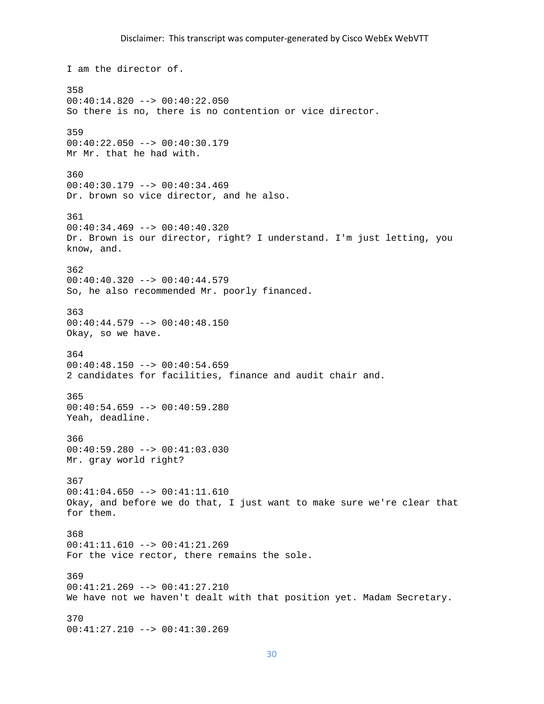I am the director of. 358 00:40:14.820 --> 00:40:22.050 So there is no, there is no contention or vice director. 359 00:40:22.050 --> 00:40:30.179 Mr Mr. that he had with. 360  $00:40:30.179$  -->  $00:40:34.469$ Dr. brown so vice director, and he also. 361  $00:40:34.469$  -->  $00:40:40.320$ Dr. Brown is our director, right? I understand. I'm just letting, you know, and. 362 00:40:40.320 --> 00:40:44.579 So, he also recommended Mr. poorly financed. 363 00:40:44.579 --> 00:40:48.150 Okay, so we have. 364 00:40:48.150 --> 00:40:54.659 2 candidates for facilities, finance and audit chair and. 365 00:40:54.659 --> 00:40:59.280 Yeah, deadline. 366 00:40:59.280 --> 00:41:03.030 Mr. gray world right? 367 00:41:04.650 --> 00:41:11.610 Okay, and before we do that, I just want to make sure we're clear that for them. 368 00:41:11.610 --> 00:41:21.269 For the vice rector, there remains the sole. 369 00:41:21.269 --> 00:41:27.210 We have not we haven't dealt with that position yet. Madam Secretary. 370 00:41:27.210 --> 00:41:30.269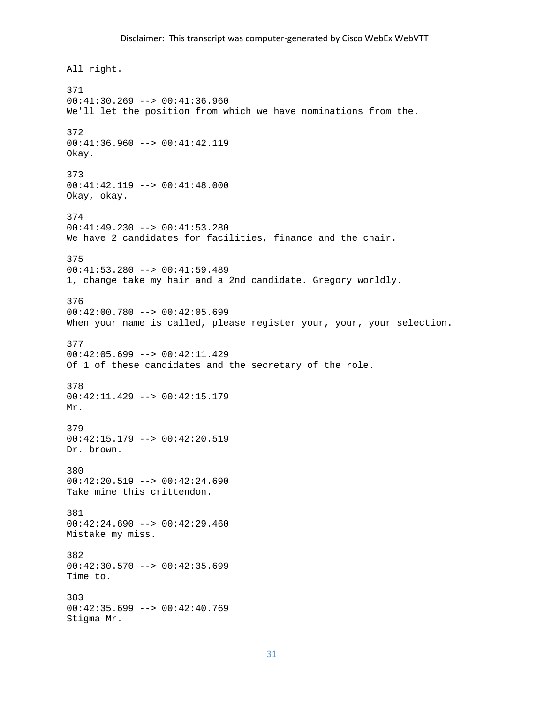All right. 371 00:41:30.269 --> 00:41:36.960 We'll let the position from which we have nominations from the. 372 00:41:36.960 --> 00:41:42.119 Okay. 373 00:41:42.119 --> 00:41:48.000 Okay, okay. 374 00:41:49.230 --> 00:41:53.280 We have 2 candidates for facilities, finance and the chair. 375 00:41:53.280 --> 00:41:59.489 1, change take my hair and a 2nd candidate. Gregory worldly. 376 00:42:00.780 --> 00:42:05.699 When your name is called, please register your, your, your selection. 377  $00:42:05.699$  -->  $00:42:11.429$ Of 1 of these candidates and the secretary of the role. 378 00:42:11.429 --> 00:42:15.179 Mr. 379 00:42:15.179 --> 00:42:20.519 Dr. brown. 380  $00:42:20.519$  -->  $00:42:24.690$ Take mine this crittendon. 381 00:42:24.690 --> 00:42:29.460 Mistake my miss. 382  $00:42:30.570$  -->  $00:42:35.699$ Time to. 383 00:42:35.699 --> 00:42:40.769 Stigma Mr.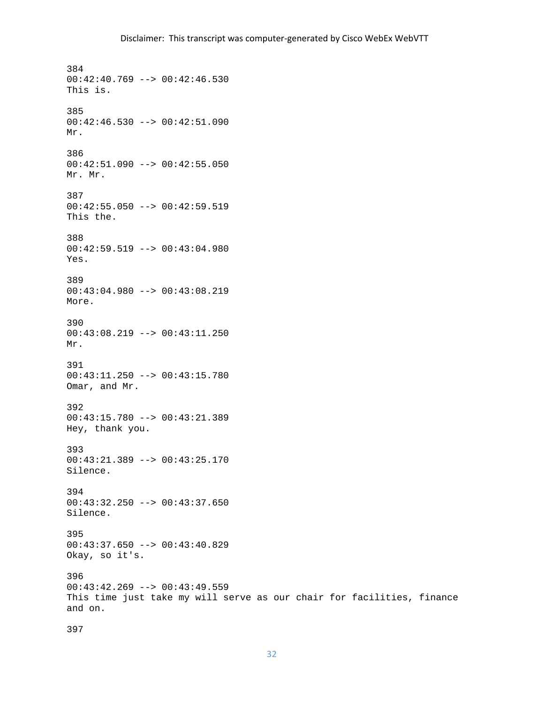384  $00:42:40.769$  -->  $00:42:46.530$ This is. 385  $00:42:46.530$  -->  $00:42:51.090$ Mr. 386 00:42:51.090 --> 00:42:55.050 Mr. Mr. 387 00:42:55.050 --> 00:42:59.519 This the. 388 00:42:59.519 --> 00:43:04.980 Yes. 389 00:43:04.980 --> 00:43:08.219 More. 390 00:43:08.219 --> 00:43:11.250 Mr. 391 00:43:11.250 --> 00:43:15.780 Omar, and Mr. 392 00:43:15.780 --> 00:43:21.389 Hey, thank you. 393 00:43:21.389 --> 00:43:25.170 Silence. 394 00:43:32.250 --> 00:43:37.650 Silence. 395 00:43:37.650 --> 00:43:40.829 Okay, so it's. 396 00:43:42.269 --> 00:43:49.559 This time just take my will serve as our chair for facilities, finance and on.

397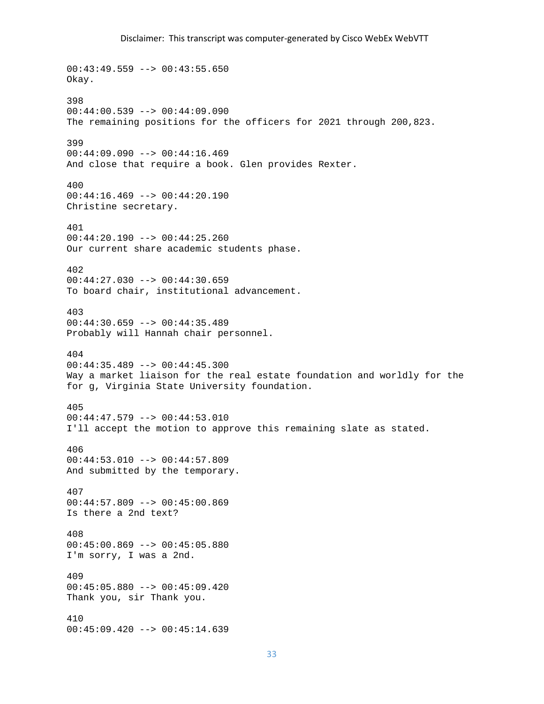00:43:49.559 --> 00:43:55.650 Okay. 398 00:44:00.539 --> 00:44:09.090 The remaining positions for the officers for 2021 through 200,823. 399 00:44:09.090 --> 00:44:16.469 And close that require a book. Glen provides Rexter. 400 00:44:16.469 --> 00:44:20.190 Christine secretary. 401 00:44:20.190 --> 00:44:25.260 Our current share academic students phase. 402 00:44:27.030 --> 00:44:30.659 To board chair, institutional advancement. 403 00:44:30.659 --> 00:44:35.489 Probably will Hannah chair personnel. 404 00:44:35.489 --> 00:44:45.300 Way a market liaison for the real estate foundation and worldly for the for g, Virginia State University foundation. 405  $00:44:47.579$  -->  $00:44:53.010$ I'll accept the motion to approve this remaining slate as stated. 406 00:44:53.010 --> 00:44:57.809 And submitted by the temporary. 407  $00:44:57.809$  -->  $00:45:00.869$ Is there a 2nd text? 408 00:45:00.869 --> 00:45:05.880 I'm sorry, I was a 2nd. 409 00:45:05.880 --> 00:45:09.420 Thank you, sir Thank you. 410 00:45:09.420 --> 00:45:14.639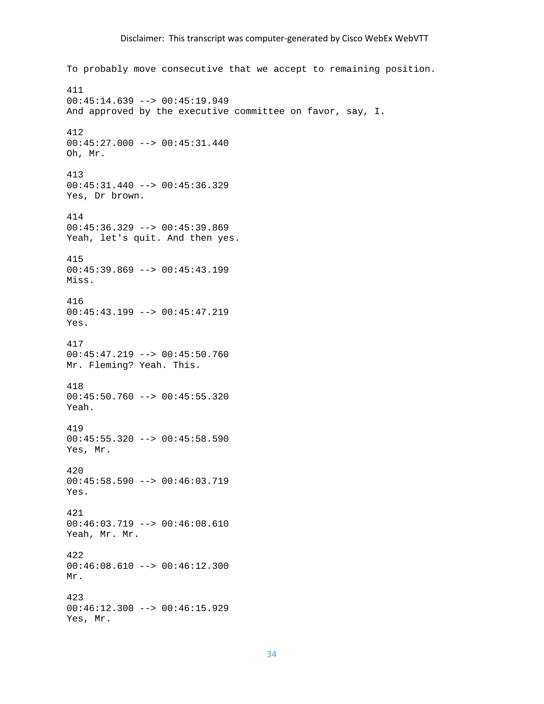To probably move consecutive that we accept to remaining position. 411 00:45:14.639 --> 00:45:19.949 And approved by the executive committee on favor, say, I. 412 00:45:27.000 --> 00:45:31.440 Oh, Mr. 413 00:45:31.440 --> 00:45:36.329 Yes, Dr brown. 414 00:45:36.329 --> 00:45:39.869 Yeah, let's quit. And then yes. 415 00:45:39.869 --> 00:45:43.199 Miss. 416 00:45:43.199 --> 00:45:47.219 Yes. 417 00:45:47.219 --> 00:45:50.760 Mr. Fleming? Yeah. This. 418 00:45:50.760 --> 00:45:55.320 Yeah. 419 00:45:55.320 --> 00:45:58.590 Yes, Mr. 420 00:45:58.590 --> 00:46:03.719 Yes. 421 00:46:03.719 --> 00:46:08.610 Yeah, Mr. Mr. 422 00:46:08.610 --> 00:46:12.300 Mr. 423 00:46:12.300 --> 00:46:15.929 Yes, Mr.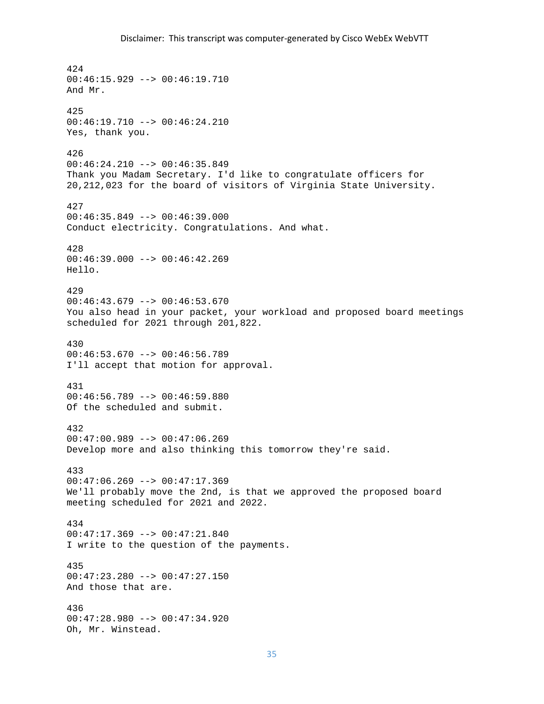```
424 
00:46:15.929 --> 00:46:19.710 
And Mr. 
425 
00:46:19.710 --> 00:46:24.210 
Yes, thank you. 
426 
00:46:24.210 --> 00:46:35.849 
Thank you Madam Secretary. I'd like to congratulate officers for 
20,212,023 for the board of visitors of Virginia State University. 
427 
00:46:35.849 --> 00:46:39.000 
Conduct electricity. Congratulations. And what. 
428 
00:46:39.000 --> 00:46:42.269Hello. 
429 
00:46:43.679 --> 00:46:53.670 
You also head in your packet, your workload and proposed board meetings 
scheduled for 2021 through 201,822. 
430 
00:46:53.670 --> 00:46:56.789 
I'll accept that motion for approval. 
431 
00:46:56.789 --> 00:46:59.880 
Of the scheduled and submit. 
432 
00:47:00.989 --> 00:47:06.269 
Develop more and also thinking this tomorrow they're said. 
433 
00:47:06.269 --> 00:47:17.369We'll probably move the 2nd, is that we approved the proposed board 
meeting scheduled for 2021 and 2022. 
434 
00:47:17.369 --> 00:47:21.840 
I write to the question of the payments. 
435 
00:47:23.280 --> 00:47:27.150 
And those that are. 
436 
00:47:28.980 --> 00:47:34.920 
Oh, Mr. Winstead.
```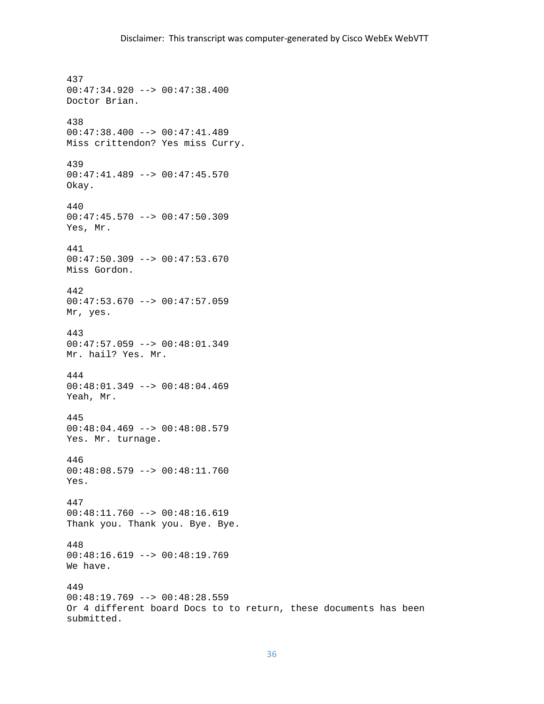437 00:47:34.920 --> 00:47:38.400 Doctor Brian. 438 00:47:38.400 --> 00:47:41.489 Miss crittendon? Yes miss Curry. 439 00:47:41.489 --> 00:47:45.570 Okay. 440 00:47:45.570 --> 00:47:50.309 Yes, Mr. 441 00:47:50.309 --> 00:47:53.670 Miss Gordon. 442 00:47:53.670 --> 00:47:57.059 Mr, yes. 443 00:47:57.059 --> 00:48:01.349 Mr. hail? Yes. Mr. 444 00:48:01.349 --> 00:48:04.469 Yeah, Mr. 445 00:48:04.469 --> 00:48:08.579 Yes. Mr. turnage. 446 00:48:08.579 --> 00:48:11.760 Yes. 447 00:48:11.760 --> 00:48:16.619 Thank you. Thank you. Bye. Bye. 448 00:48:16.619 --> 00:48:19.769 We have. 449 00:48:19.769 --> 00:48:28.559 Or 4 different board Docs to to return, these documents has been submitted.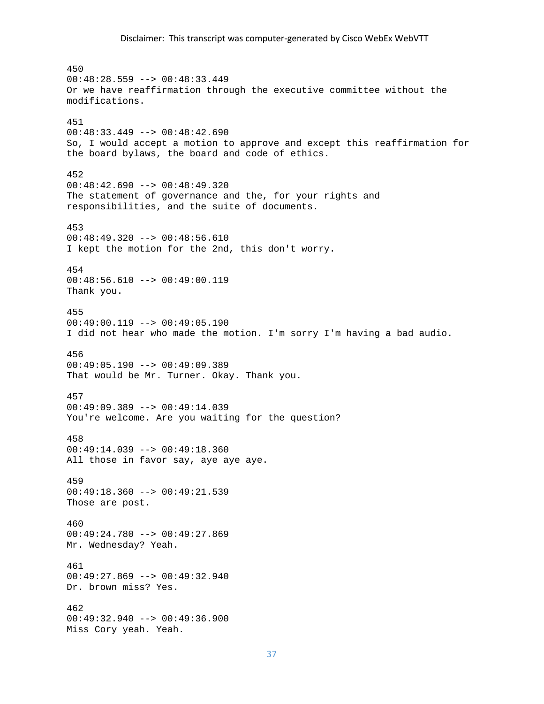450 00:48:28.559 --> 00:48:33.449 Or we have reaffirmation through the executive committee without the modifications. 451 00:48:33.449 --> 00:48:42.690 So, I would accept a motion to approve and except this reaffirmation for the board bylaws, the board and code of ethics. 452  $00:48:42.690$  -->  $00:48:49.320$ The statement of governance and the, for your rights and responsibilities, and the suite of documents. 453 00:48:49.320 --> 00:48:56.610 I kept the motion for the 2nd, this don't worry. 454 00:48:56.610 --> 00:49:00.119 Thank you. 455 00:49:00.119 --> 00:49:05.190 I did not hear who made the motion. I'm sorry I'm having a bad audio. 456 00:49:05.190 --> 00:49:09.389 That would be Mr. Turner. Okay. Thank you. 457 00:49:09.389 --> 00:49:14.039 You're welcome. Are you waiting for the question? 458 00:49:14.039 --> 00:49:18.360 All those in favor say, aye aye aye. 459 00:49:18.360 --> 00:49:21.539 Those are post. 460 00:49:24.780 --> 00:49:27.869 Mr. Wednesday? Yeah. 461 00:49:27.869 --> 00:49:32.940 Dr. brown miss? Yes. 462 00:49:32.940 --> 00:49:36.900 Miss Cory yeah. Yeah.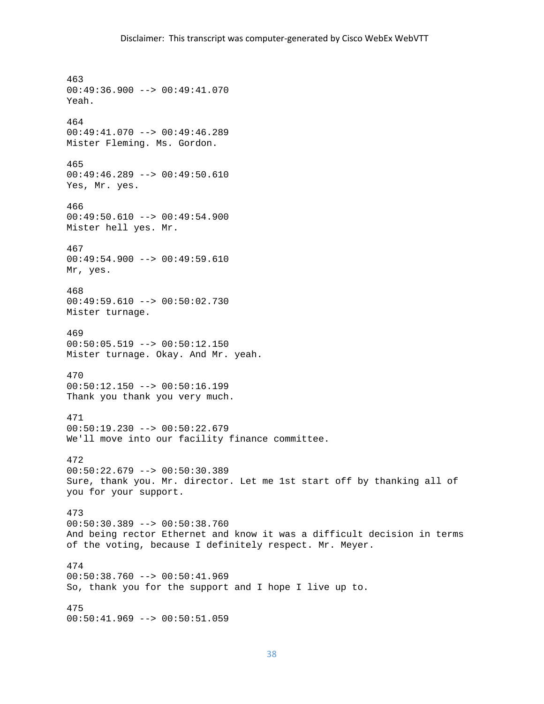463 00:49:36.900 --> 00:49:41.070 Yeah. 464 00:49:41.070 --> 00:49:46.289 Mister Fleming. Ms. Gordon. 465 00:49:46.289 --> 00:49:50.610 Yes, Mr. yes. 466 00:49:50.610 --> 00:49:54.900 Mister hell yes. Mr. 467 00:49:54.900 --> 00:49:59.610 Mr, yes. 468 00:49:59.610 --> 00:50:02.730 Mister turnage. 469  $00:50:05.519$  -->  $00:50:12.150$ Mister turnage. Okay. And Mr. yeah. 470 00:50:12.150 --> 00:50:16.199 Thank you thank you very much. 471 00:50:19.230 --> 00:50:22.679 We'll move into our facility finance committee. 472 00:50:22.679 --> 00:50:30.389 Sure, thank you. Mr. director. Let me 1st start off by thanking all of you for your support. 473 00:50:30.389 --> 00:50:38.760 And being rector Ethernet and know it was a difficult decision in terms of the voting, because I definitely respect. Mr. Meyer. 474  $00:50:38.760 --> 00:50:41.969$ So, thank you for the support and I hope I live up to. 475 00:50:41.969 --> 00:50:51.059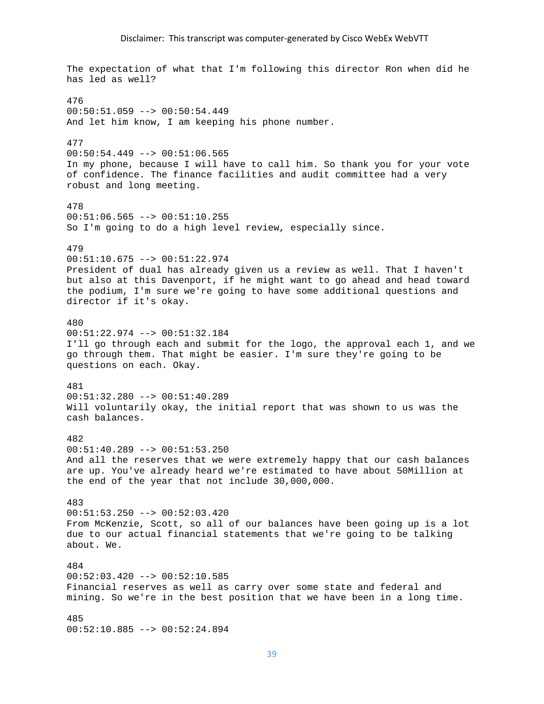# Disclaimer: This transcript was computer‐generated by Cisco WebEx WebVTT

The expectation of what that I'm following this director Ron when did he has led as well? 476 00:50:51.059 --> 00:50:54.449 And let him know, I am keeping his phone number. 477  $00:50:54.449$  -->  $00:51:06.565$ In my phone, because I will have to call him. So thank you for your vote of confidence. The finance facilities and audit committee had a very robust and long meeting. 478  $00:51:06.565$  -->  $00:51:10.255$ So I'm going to do a high level review, especially since. 479 00:51:10.675 --> 00:51:22.974 President of dual has already given us a review as well. That I haven't but also at this Davenport, if he might want to go ahead and head toward the podium, I'm sure we're going to have some additional questions and director if it's okay. 480 00:51:22.974 --> 00:51:32.184 I'll go through each and submit for the logo, the approval each 1, and we go through them. That might be easier. I'm sure they're going to be questions on each. Okay. 481 00:51:32.280 --> 00:51:40.289 Will voluntarily okay, the initial report that was shown to us was the cash balances. 482 00:51:40.289 --> 00:51:53.250 And all the reserves that we were extremely happy that our cash balances are up. You've already heard we're estimated to have about 50Million at the end of the year that not include 30,000,000. 483 00:51:53.250 --> 00:52:03.420 From McKenzie, Scott, so all of our balances have been going up is a lot due to our actual financial statements that we're going to be talking about. We. 484  $00:52:03.420$  -->  $00:52:10.585$ Financial reserves as well as carry over some state and federal and mining. So we're in the best position that we have been in a long time. 485 00:52:10.885 --> 00:52:24.894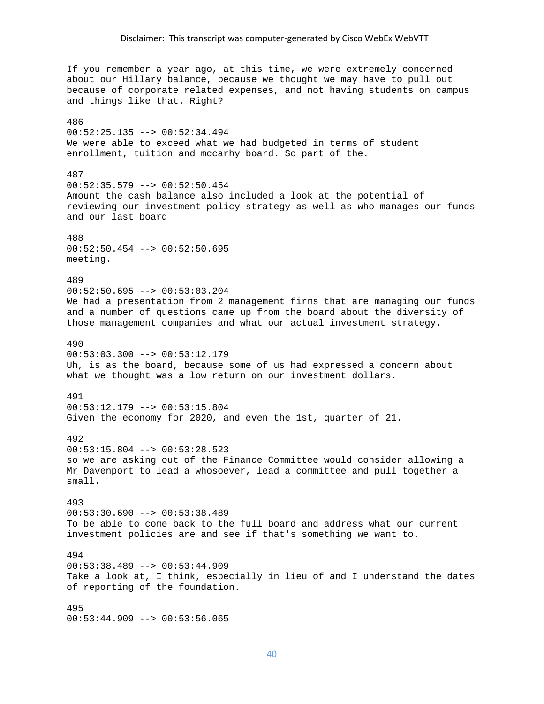If you remember a year ago, at this time, we were extremely concerned about our Hillary balance, because we thought we may have to pull out because of corporate related expenses, and not having students on campus and things like that. Right? 486 00:52:25.135 --> 00:52:34.494 We were able to exceed what we had budgeted in terms of student enrollment, tuition and mccarhy board. So part of the. 487 00:52:35.579 --> 00:52:50.454 Amount the cash balance also included a look at the potential of reviewing our investment policy strategy as well as who manages our funds and our last board 488 00:52:50.454 --> 00:52:50.695 meeting. 489  $00:52:50.695$  -->  $00:53:03.204$ We had a presentation from 2 management firms that are managing our funds and a number of questions came up from the board about the diversity of those management companies and what our actual investment strategy. 490  $00:53:03.300$  -->  $00:53:12.179$ Uh, is as the board, because some of us had expressed a concern about what we thought was a low return on our investment dollars. 491 00:53:12.179 --> 00:53:15.804 Given the economy for 2020, and even the 1st, quarter of 21. 492 00:53:15.804 --> 00:53:28.523 so we are asking out of the Finance Committee would consider allowing a Mr Davenport to lead a whosoever, lead a committee and pull together a small. 493 00:53:30.690 --> 00:53:38.489 To be able to come back to the full board and address what our current investment policies are and see if that's something we want to. 494  $00:53:38.489$  -->  $00:53:44.909$ Take a look at, I think, especially in lieu of and I understand the dates of reporting of the foundation. 495 00:53:44.909 --> 00:53:56.065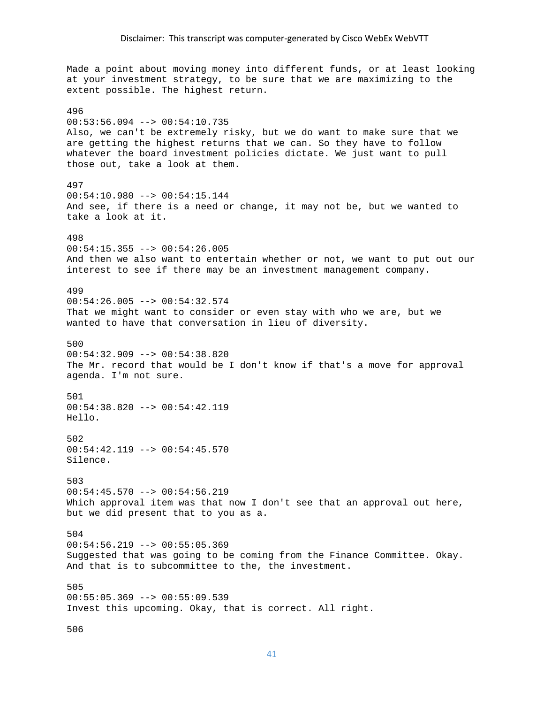Made a point about moving money into different funds, or at least looking at your investment strategy, to be sure that we are maximizing to the extent possible. The highest return. 496 00:53:56.094 --> 00:54:10.735 Also, we can't be extremely risky, but we do want to make sure that we are getting the highest returns that we can. So they have to follow whatever the board investment policies dictate. We just want to pull those out, take a look at them. 497 00:54:10.980 --> 00:54:15.144 And see, if there is a need or change, it may not be, but we wanted to take a look at it. 498 00:54:15.355 --> 00:54:26.005 And then we also want to entertain whether or not, we want to put out our interest to see if there may be an investment management company. 499 00:54:26.005 --> 00:54:32.574 That we might want to consider or even stay with who we are, but we wanted to have that conversation in lieu of diversity. 500  $00:54:32.909$  -->  $00:54:38.820$ The Mr. record that would be I don't know if that's a move for approval agenda. I'm not sure. 501 00:54:38.820 --> 00:54:42.119 Hello. 502 00:54:42.119 --> 00:54:45.570 Silence. 503  $00:54:45.570$  -->  $00:54:56.219$ Which approval item was that now I don't see that an approval out here, but we did present that to you as a. 504 00:54:56.219 --> 00:55:05.369 Suggested that was going to be coming from the Finance Committee. Okay. And that is to subcommittee to the, the investment. 505  $00:55:05.369$  -->  $00:55:09.539$ Invest this upcoming. Okay, that is correct. All right.

506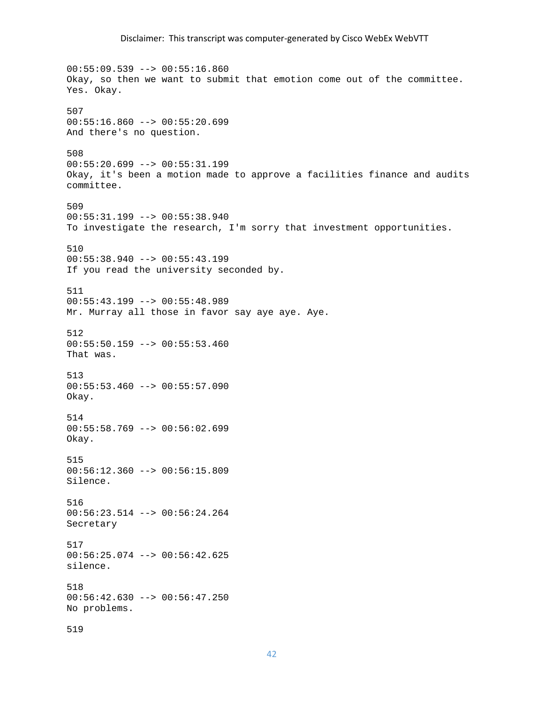00:55:09.539 --> 00:55:16.860 Okay, so then we want to submit that emotion come out of the committee. Yes. Okay. 507  $00:55:16.860$  -->  $00:55:20.699$ And there's no question. 508  $00:55:20.699$  -->  $00:55:31.199$ Okay, it's been a motion made to approve a facilities finance and audits committee. 509 00:55:31.199 --> 00:55:38.940 To investigate the research, I'm sorry that investment opportunities. 510 00:55:38.940 --> 00:55:43.199 If you read the university seconded by. 511 00:55:43.199 --> 00:55:48.989 Mr. Murray all those in favor say aye aye. Aye. 512  $00:55:50.159$  -->  $00:55:53.460$ That was. 513 00:55:53.460 --> 00:55:57.090 Okay. 514 00:55:58.769 --> 00:56:02.699 Okay. 515 00:56:12.360 --> 00:56:15.809 Silence. 516 00:56:23.514 --> 00:56:24.264 Secretary 517 00:56:25.074 --> 00:56:42.625 silence. 518 00:56:42.630 --> 00:56:47.250 No problems. 519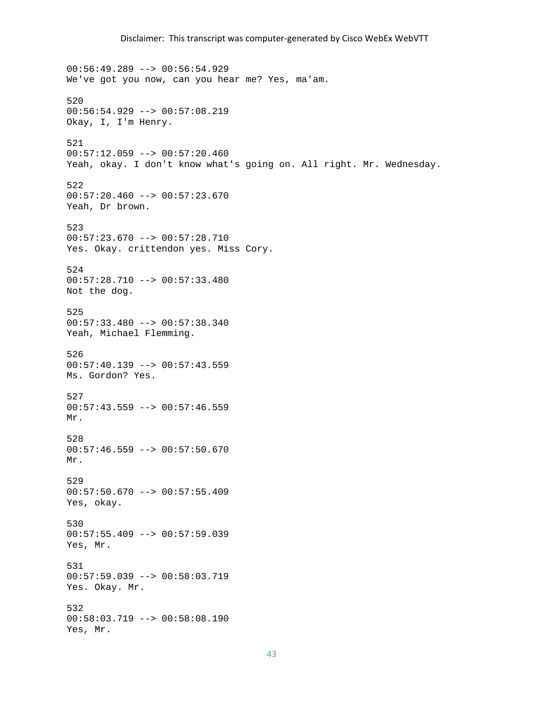00:56:49.289 --> 00:56:54.929 We've got you now, can you hear me? Yes, ma'am. 520 00:56:54.929 --> 00:57:08.219 Okay, I, I'm Henry. 521 00:57:12.059 --> 00:57:20.460 Yeah, okay. I don't know what's going on. All right. Mr. Wednesday. 522  $00:57:20.460$  -->  $00:57:23.670$ Yeah, Dr brown. 523 00:57:23.670 --> 00:57:28.710 Yes. Okay. crittendon yes. Miss Cory. 524 00:57:28.710 --> 00:57:33.480 Not the dog. 525 00:57:33.480 --> 00:57:38.340 Yeah, Michael Flemming. 526 00:57:40.139 --> 00:57:43.559 Ms. Gordon? Yes. 527 00:57:43.559 --> 00:57:46.559 Mr. 528  $00:57:46.559$  -->  $00:57:50.670$ Mr. 529  $00:57:50.670$  -->  $00:57:55.409$ Yes, okay. 530  $00:57:55.409$  -->  $00:57:59.039$ Yes, Mr. 531 00:57:59.039 --> 00:58:03.719 Yes. Okay. Mr. 532 00:58:03.719 --> 00:58:08.190 Yes, Mr.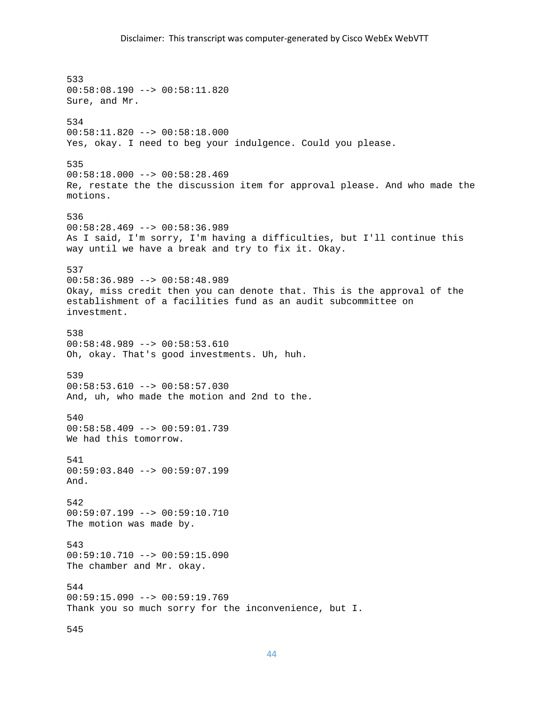533 00:58:08.190 --> 00:58:11.820 Sure, and Mr. 534 00:58:11.820 --> 00:58:18.000 Yes, okay. I need to beg your indulgence. Could you please. 535 00:58:18.000 --> 00:58:28.469 Re, restate the the discussion item for approval please. And who made the motions. 536 00:58:28.469 --> 00:58:36.989 As I said, I'm sorry, I'm having a difficulties, but I'll continue this way until we have a break and try to fix it. Okay. 537 00:58:36.989 --> 00:58:48.989 Okay, miss credit then you can denote that. This is the approval of the establishment of a facilities fund as an audit subcommittee on investment. 538 00:58:48.989 --> 00:58:53.610 Oh, okay. That's good investments. Uh, huh. 539 00:58:53.610 --> 00:58:57.030 And, uh, who made the motion and 2nd to the. 540 00:58:58.409 --> 00:59:01.739 We had this tomorrow. 541 00:59:03.840 --> 00:59:07.199 And. 542 00:59:07.199 --> 00:59:10.710 The motion was made by. 543  $00:59:10.710$  -->  $00:59:15.090$ The chamber and Mr. okay. 544 00:59:15.090 --> 00:59:19.769 Thank you so much sorry for the inconvenience, but I. 545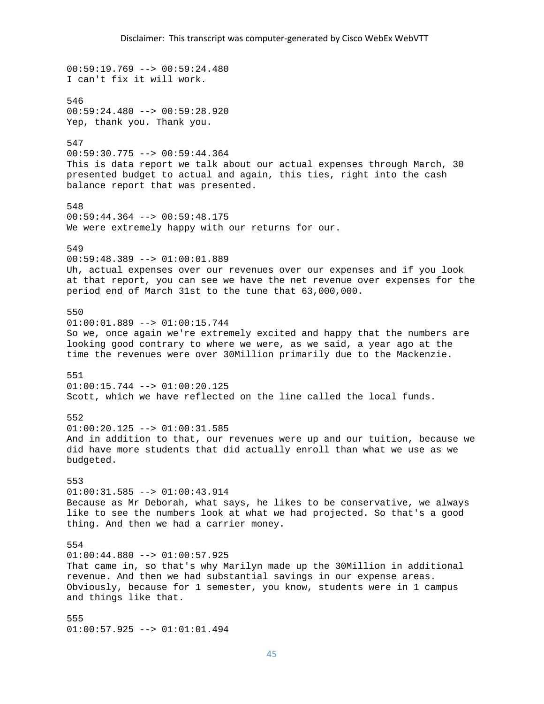$00:59:19.769 --> 00:59:24.480$ I can't fix it will work. 546 00:59:24.480 --> 00:59:28.920 Yep, thank you. Thank you. 547 00:59:30.775 --> 00:59:44.364 This is data report we talk about our actual expenses through March, 30 presented budget to actual and again, this ties, right into the cash balance report that was presented. 548  $00:59:44.364$  -->  $00:59:48.175$ We were extremely happy with our returns for our. 549 00:59:48.389 --> 01:00:01.889 Uh, actual expenses over our revenues over our expenses and if you look at that report, you can see we have the net revenue over expenses for the period end of March 31st to the tune that 63,000,000. 550 01:00:01.889 --> 01:00:15.744 So we, once again we're extremely excited and happy that the numbers are looking good contrary to where we were, as we said, a year ago at the time the revenues were over 30Million primarily due to the Mackenzie. 551 01:00:15.744 --> 01:00:20.125 Scott, which we have reflected on the line called the local funds. 552 01:00:20.125 --> 01:00:31.585 And in addition to that, our revenues were up and our tuition, because we did have more students that did actually enroll than what we use as we budgeted. 553 01:00:31.585 --> 01:00:43.914 Because as Mr Deborah, what says, he likes to be conservative, we always like to see the numbers look at what we had projected. So that's a good thing. And then we had a carrier money. 554 01:00:44.880 --> 01:00:57.925 That came in, so that's why Marilyn made up the 30Million in additional revenue. And then we had substantial savings in our expense areas. Obviously, because for 1 semester, you know, students were in 1 campus and things like that. 555 01:00:57.925 --> 01:01:01.494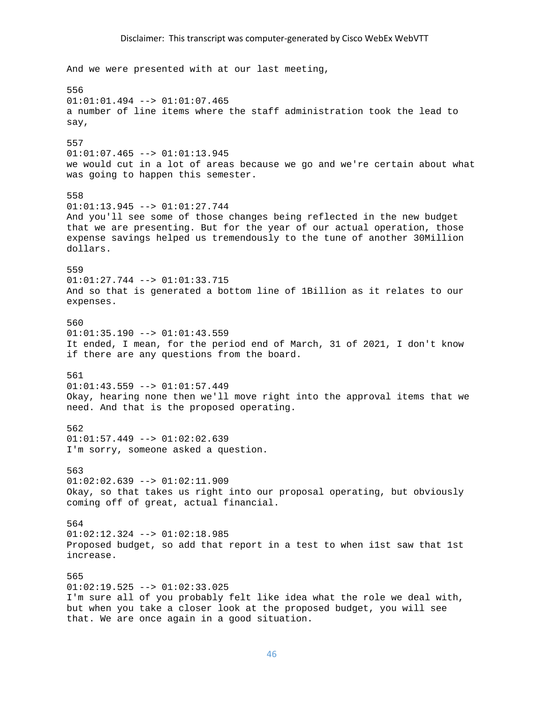### Disclaimer: This transcript was computer‐generated by Cisco WebEx WebVTT

And we were presented with at our last meeting, 556 01:01:01.494 --> 01:01:07.465 a number of line items where the staff administration took the lead to say, 557  $01:01:07.465$  -->  $01:01:13.945$ we would cut in a lot of areas because we go and we're certain about what was going to happen this semester. 558 01:01:13.945 --> 01:01:27.744 And you'll see some of those changes being reflected in the new budget that we are presenting. But for the year of our actual operation, those expense savings helped us tremendously to the tune of another 30Million dollars. 559 01:01:27.744 --> 01:01:33.715 And so that is generated a bottom line of 1Billion as it relates to our expenses. 560  $01:01:35.190$  -->  $01:01:43.559$ It ended, I mean, for the period end of March, 31 of 2021, I don't know if there are any questions from the board. 561 01:01:43.559 --> 01:01:57.449 Okay, hearing none then we'll move right into the approval items that we need. And that is the proposed operating. 562  $01:01:57.449$  -->  $01:02:02.639$ I'm sorry, someone asked a question. 563  $01:02:02.639$  -->  $01:02:11.909$ Okay, so that takes us right into our proposal operating, but obviously coming off of great, actual financial. 564  $01:02:12.324$  -->  $01:02:18.985$ Proposed budget, so add that report in a test to when i1st saw that 1st increase. 565  $01:02:19.525$  -->  $01:02:33.025$ I'm sure all of you probably felt like idea what the role we deal with, but when you take a closer look at the proposed budget, you will see that. We are once again in a good situation.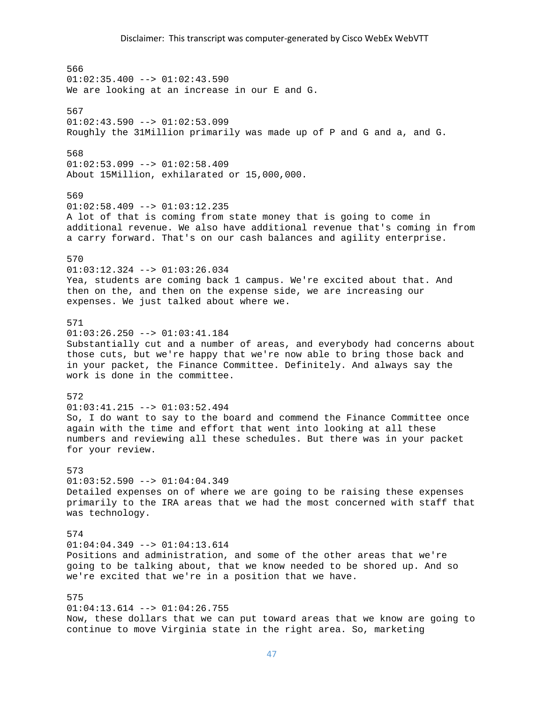566  $01:02:35.400$  -->  $01:02:43.590$ We are looking at an increase in our E and G. 567  $01:02:43.590$  -->  $01:02:53.099$ Roughly the 31Million primarily was made up of P and G and a, and G. 568  $01:02:53.099$  -->  $01:02:58.409$ About 15Million, exhilarated or 15,000,000. 569  $01:02:58.409$  -->  $01:03:12.235$ A lot of that is coming from state money that is going to come in additional revenue. We also have additional revenue that's coming in from a carry forward. That's on our cash balances and agility enterprise. 570 01:03:12.324 --> 01:03:26.034 Yea, students are coming back 1 campus. We're excited about that. And then on the, and then on the expense side, we are increasing our expenses. We just talked about where we. 571 01:03:26.250 --> 01:03:41.184 Substantially cut and a number of areas, and everybody had concerns about those cuts, but we're happy that we're now able to bring those back and in your packet, the Finance Committee. Definitely. And always say the work is done in the committee. 572  $01:03:41.215$  -->  $01:03:52.494$ So, I do want to say to the board and commend the Finance Committee once again with the time and effort that went into looking at all these numbers and reviewing all these schedules. But there was in your packet for your review. 573  $01:03:52.590$  -->  $01:04:04.349$ Detailed expenses on of where we are going to be raising these expenses primarily to the IRA areas that we had the most concerned with staff that was technology. 574  $01:04:04.349$  -->  $01:04:13.614$ Positions and administration, and some of the other areas that we're going to be talking about, that we know needed to be shored up. And so we're excited that we're in a position that we have. 575  $01:04:13.614$  -->  $01:04:26.755$ Now, these dollars that we can put toward areas that we know are going to continue to move Virginia state in the right area. So, marketing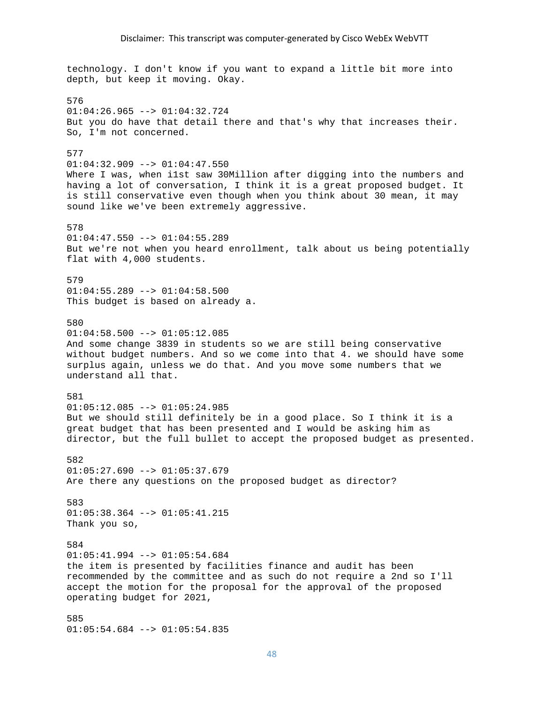technology. I don't know if you want to expand a little bit more into depth, but keep it moving. Okay. 576  $01:04:26.965$  -->  $01:04:32.724$ But you do have that detail there and that's why that increases their. So, I'm not concerned. 577  $01:04:32.909$  -->  $01:04:47.550$ Where I was, when i1st saw 30Million after digging into the numbers and having a lot of conversation, I think it is a great proposed budget. It is still conservative even though when you think about 30 mean, it may sound like we've been extremely aggressive. 578 01:04:47.550 --> 01:04:55.289 But we're not when you heard enrollment, talk about us being potentially flat with 4,000 students. 579  $01:04:55.289$  -->  $01:04:58.500$ This budget is based on already a. 580  $01:04:58.500$  -->  $01:05:12.085$ And some change 3839 in students so we are still being conservative without budget numbers. And so we come into that 4. we should have some surplus again, unless we do that. And you move some numbers that we understand all that. 581  $01:05:12.085$  -->  $01:05:24.985$ But we should still definitely be in a good place. So I think it is a great budget that has been presented and I would be asking him as director, but the full bullet to accept the proposed budget as presented. 582  $01:05:27.690$  -->  $01:05:37.679$ Are there any questions on the proposed budget as director? 583 01:05:38.364 --> 01:05:41.215 Thank you so, 584  $01:05:41.994$  -->  $01:05:54.684$ the item is presented by facilities finance and audit has been recommended by the committee and as such do not require a 2nd so I'll accept the motion for the proposal for the approval of the proposed operating budget for 2021, 585

01:05:54.684 --> 01:05:54.835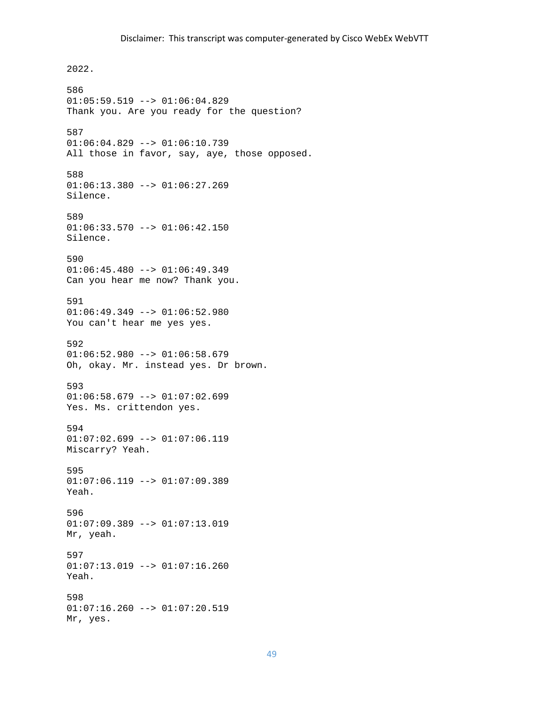2022. 586  $01:05:59.519$  -->  $01:06:04.829$ Thank you. Are you ready for the question? 587 01:06:04.829 --> 01:06:10.739 All those in favor, say, aye, those opposed. 588  $01:06:13.380$  -->  $01:06:27.269$ Silence. 589  $01:06:33.570$  -->  $01:06:42.150$ Silence. 590  $01:06:45.480$  -->  $01:06:49.349$ Can you hear me now? Thank you. 591 01:06:49.349 --> 01:06:52.980 You can't hear me yes yes. 592  $01:06:52.980$  -->  $01:06:58.679$ Oh, okay. Mr. instead yes. Dr brown. 593  $01:06:58.679$  -->  $01:07:02.699$ Yes. Ms. crittendon yes. 594  $01:07:02.699$  -->  $01:07:06.119$ Miscarry? Yeah. 595  $01:07:06.119$  -->  $01:07:09.389$ Yeah. 596 01:07:09.389 --> 01:07:13.019 Mr, yeah. 597  $01:07:13.019$  -->  $01:07:16.260$ Yeah. 598  $01:07:16.260$  -->  $01:07:20.519$ Mr, yes.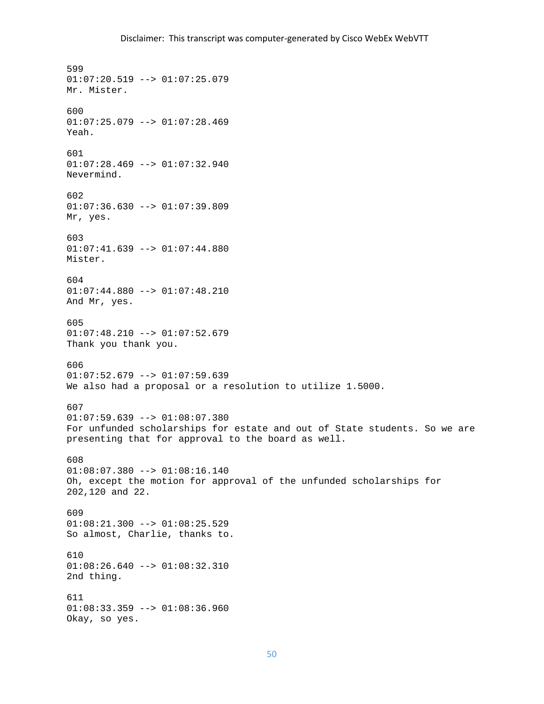599  $01:07:20.519$  -->  $01:07:25.079$ Mr. Mister. 600  $01:07:25.079$  -->  $01:07:28.469$ Yeah. 601 01:07:28.469 --> 01:07:32.940 Nevermind. 602  $01:07:36.630$  -->  $01:07:39.809$ Mr, yes. 603 01:07:41.639 --> 01:07:44.880 Mister. 604 01:07:44.880 --> 01:07:48.210 And Mr, yes. 605  $01:07:48.210$  -->  $01:07:52.679$ Thank you thank you. 606  $01:07:52.679$  -->  $01:07:59.639$ We also had a proposal or a resolution to utilize 1.5000. 607  $01:07:59.639$  -->  $01:08:07.380$ For unfunded scholarships for estate and out of State students. So we are presenting that for approval to the board as well. 608 01:08:07.380 --> 01:08:16.140 Oh, except the motion for approval of the unfunded scholarships for 202,120 and 22. 609  $01:08:21.300$  -->  $01:08:25.529$ So almost, Charlie, thanks to. 610  $01:08:26.640$  -->  $01:08:32.310$ 2nd thing. 611  $01:08:33.359$  -->  $01:08:36.960$ Okay, so yes.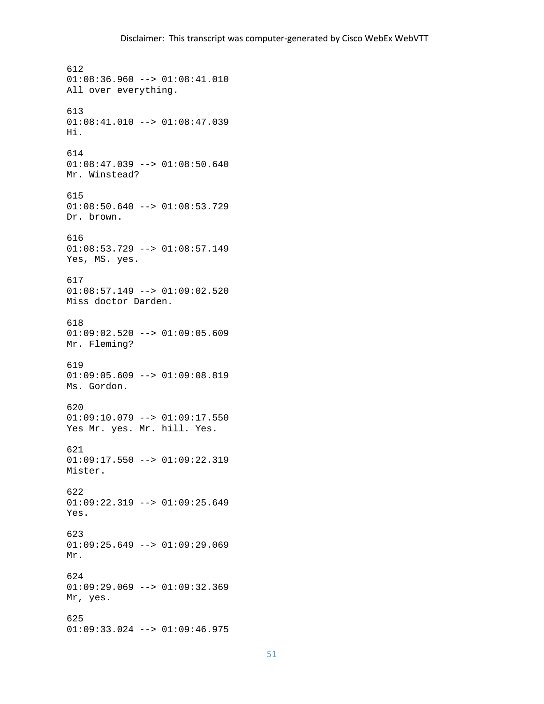612  $01:08:36.960$  -->  $01:08:41.010$ All over everything. 613  $01:08:41.010$  -->  $01:08:47.039$ Hi. 614 01:08:47.039 --> 01:08:50.640 Mr. Winstead? 615  $01:08:50.640$  -->  $01:08:53.729$ Dr. brown. 616 01:08:53.729 --> 01:08:57.149 Yes, MS. yes. 617 01:08:57.149 --> 01:09:02.520 Miss doctor Darden. 618  $01:09:02.520$  -->  $01:09:05.609$ Mr. Fleming? 619 01:09:05.609 --> 01:09:08.819 Ms. Gordon. 620  $01:09:10.079$  -->  $01:09:17.550$ Yes Mr. yes. Mr. hill. Yes. 621 01:09:17.550 --> 01:09:22.319 Mister. 622 01:09:22.319 --> 01:09:25.649 Yes. 623 01:09:25.649 --> 01:09:29.069 Mr. 624 01:09:29.069 --> 01:09:32.369 Mr, yes. 625 01:09:33.024 --> 01:09:46.975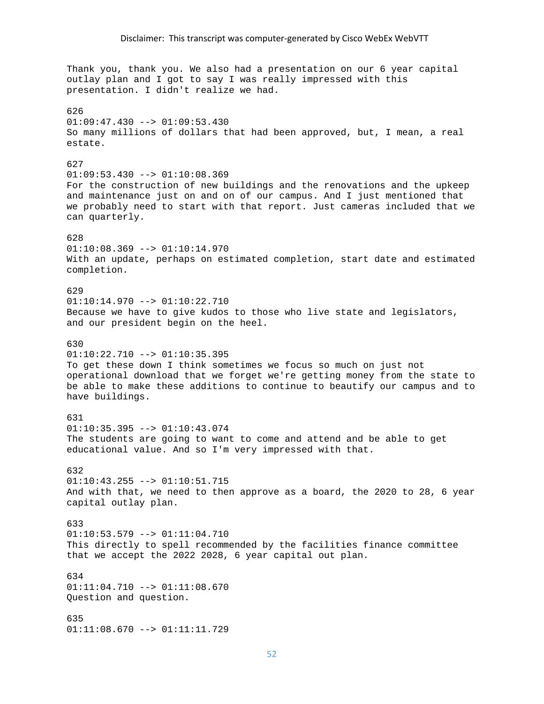Thank you, thank you. We also had a presentation on our 6 year capital outlay plan and I got to say I was really impressed with this presentation. I didn't realize we had. 626  $01:09:47.430$  -->  $01:09:53.430$ So many millions of dollars that had been approved, but, I mean, a real estate. 627 01:09:53.430 --> 01:10:08.369 For the construction of new buildings and the renovations and the upkeep and maintenance just on and on of our campus. And I just mentioned that we probably need to start with that report. Just cameras included that we can quarterly. 628  $01:10:08.369$  -->  $01:10:14.970$ With an update, perhaps on estimated completion, start date and estimated completion. 629 01:10:14.970 --> 01:10:22.710 Because we have to give kudos to those who live state and legislators, and our president begin on the heel. 630  $01:10:22.710$  -->  $01:10:35.395$ To get these down I think sometimes we focus so much on just not operational download that we forget we're getting money from the state to be able to make these additions to continue to beautify our campus and to have buildings. 631 01:10:35.395 --> 01:10:43.074 The students are going to want to come and attend and be able to get educational value. And so I'm very impressed with that. 632  $01:10:43.255$  -->  $01:10:51.715$ And with that, we need to then approve as a board, the 2020 to 28, 6 year capital outlay plan. 633  $01:10:53.579$  -->  $01:11:04.710$ This directly to spell recommended by the facilities finance committee that we accept the 2022 2028, 6 year capital out plan. 634 01:11:04.710 --> 01:11:08.670 Question and question. 635 01:11:08.670 --> 01:11:11.729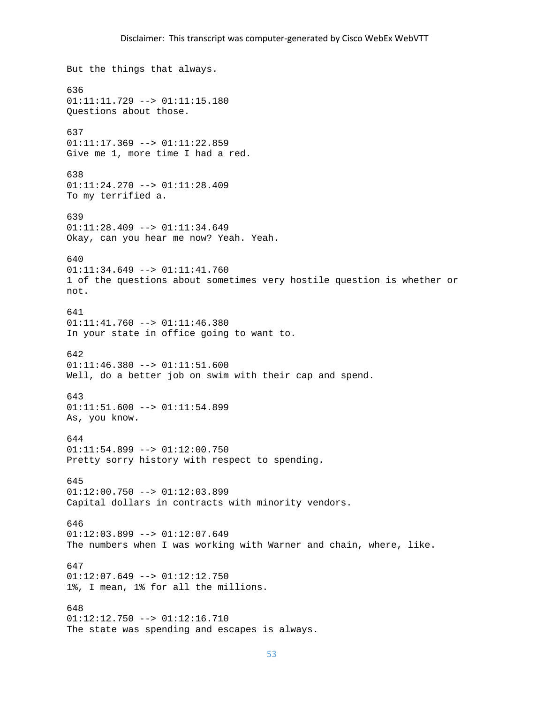But the things that always. 636 01:11:11.729 --> 01:11:15.180 Questions about those. 637 01:11:17.369 --> 01:11:22.859 Give me 1, more time I had a red. 638 01:11:24.270 --> 01:11:28.409 To my terrified a. 639  $01:11:28.409$  -->  $01:11:34.649$ Okay, can you hear me now? Yeah. Yeah. 640 01:11:34.649 --> 01:11:41.760 1 of the questions about sometimes very hostile question is whether or not. 641 01:11:41.760 --> 01:11:46.380 In your state in office going to want to. 642 01:11:46.380 --> 01:11:51.600 Well, do a better job on swim with their cap and spend. 643 01:11:51.600 --> 01:11:54.899 As, you know. 644 01:11:54.899 --> 01:12:00.750 Pretty sorry history with respect to spending. 645  $01:12:00.750$  -->  $01:12:03.899$ Capital dollars in contracts with minority vendors. 646  $01:12:03.899$  -->  $01:12:07.649$ The numbers when I was working with Warner and chain, where, like. 647  $01:12:07.649$  -->  $01:12:12.750$ 1%, I mean, 1% for all the millions. 648 01:12:12.750 --> 01:12:16.710 The state was spending and escapes is always.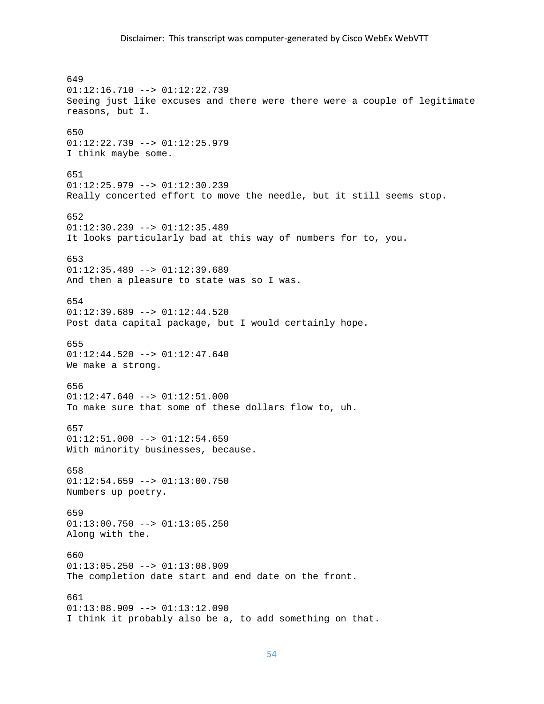# Disclaimer: This transcript was computer‐generated by Cisco WebEx WebVTT

649 01:12:16.710 --> 01:12:22.739 Seeing just like excuses and there were there were a couple of legitimate reasons, but I. 650 01:12:22.739 --> 01:12:25.979 I think maybe some. 651 01:12:25.979 --> 01:12:30.239 Really concerted effort to move the needle, but it still seems stop. 652  $01:12:30.239$  -->  $01:12:35.489$ It looks particularly bad at this way of numbers for to, you. 653  $01:12:35.489$  -->  $01:12:39.689$ And then a pleasure to state was so I was. 654  $01:12:39.689$  -->  $01:12:44.520$ Post data capital package, but I would certainly hope. 655  $01:12:44.520$  -->  $01:12:47.640$ We make a strong. 656 01:12:47.640 --> 01:12:51.000 To make sure that some of these dollars flow to, uh. 657  $01:12:51.000$  -->  $01:12:54.659$ With minority businesses, because. 658  $01:12:54.659$  -->  $01:13:00.750$ Numbers up poetry. 659  $01:13:00.750$  -->  $01:13:05.250$ Along with the. 660  $01:13:05.250$  -->  $01:13:08.909$ The completion date start and end date on the front. 661  $01:13:08.909$  -->  $01:13:12.090$ I think it probably also be a, to add something on that.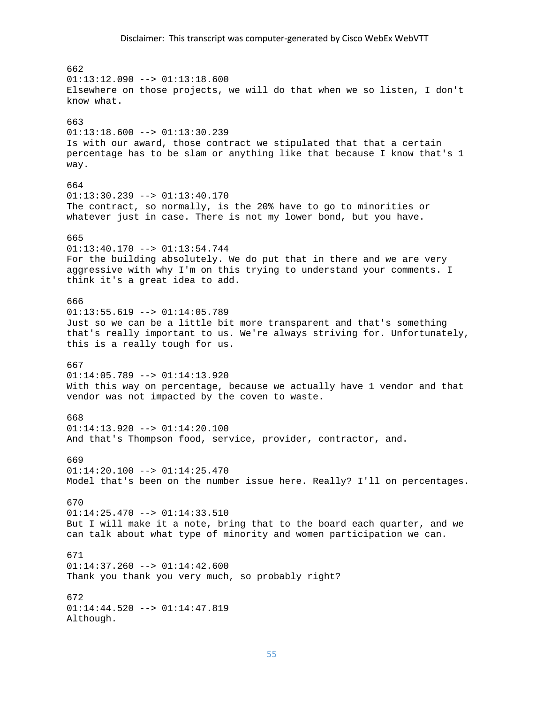662  $01:13:12.090$  -->  $01:13:18.600$ Elsewhere on those projects, we will do that when we so listen, I don't know what. 663  $01:13:18.600$  -->  $01:13:30.239$ Is with our award, those contract we stipulated that that a certain percentage has to be slam or anything like that because I know that's 1 way. 664  $01:13:30.239$  -->  $01:13:40.170$ The contract, so normally, is the 20% have to go to minorities or whatever just in case. There is not my lower bond, but you have. 665  $01:13:40.170$  -->  $01:13:54.744$ For the building absolutely. We do put that in there and we are very aggressive with why I'm on this trying to understand your comments. I think it's a great idea to add. 666  $01:13:55.619$  -->  $01:14:05.789$ Just so we can be a little bit more transparent and that's something that's really important to us. We're always striving for. Unfortunately, this is a really tough for us. 667 01:14:05.789 --> 01:14:13.920 With this way on percentage, because we actually have 1 vendor and that vendor was not impacted by the coven to waste. 668 01:14:13.920 --> 01:14:20.100 And that's Thompson food, service, provider, contractor, and. 669  $01:14:20.100$  -->  $01:14:25.470$ Model that's been on the number issue here. Really? I'll on percentages. 670 01:14:25.470 --> 01:14:33.510 But I will make it a note, bring that to the board each quarter, and we can talk about what type of minority and women participation we can. 671  $01:14:37.260$  -->  $01:14:42.600$ Thank you thank you very much, so probably right? 672  $01:14:44.520$  -->  $01:14:47.819$ Although.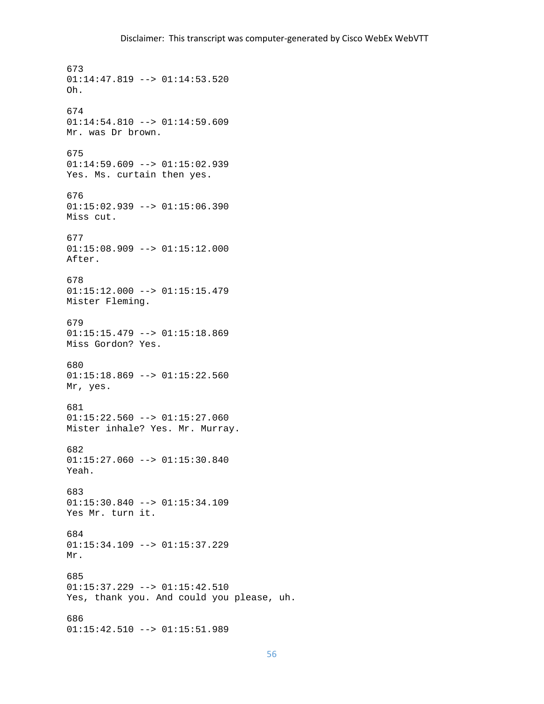673  $01:14:47.819$  -->  $01:14:53.520$ Oh. 674 01:14:54.810 --> 01:14:59.609 Mr. was Dr brown. 675 01:14:59.609 --> 01:15:02.939 Yes. Ms. curtain then yes. 676 01:15:02.939 --> 01:15:06.390 Miss cut. 677 01:15:08.909 --> 01:15:12.000 After. 678 01:15:12.000 --> 01:15:15.479 Mister Fleming. 679  $01:15:15.479$  -->  $01:15:18.869$ Miss Gordon? Yes. 680  $01:15:18.869$  -->  $01:15:22.560$ Mr, yes. 681  $01:15:22.560$  -->  $01:15:27.060$ Mister inhale? Yes. Mr. Murray. 682  $01:15:27.060$  -->  $01:15:30.840$ Yeah. 683 01:15:30.840 --> 01:15:34.109 Yes Mr. turn it. 684 01:15:34.109 --> 01:15:37.229 Mr. 685 01:15:37.229 --> 01:15:42.510 Yes, thank you. And could you please, uh. 686 01:15:42.510 --> 01:15:51.989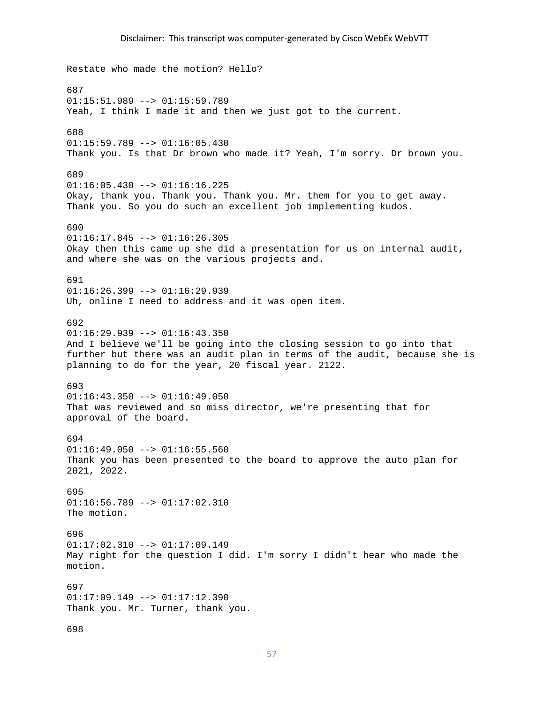Restate who made the motion? Hello? 687 01:15:51.989 --> 01:15:59.789 Yeah, I think I made it and then we just got to the current. 688 01:15:59.789 --> 01:16:05.430 Thank you. Is that Dr brown who made it? Yeah, I'm sorry. Dr brown you. 689  $01:16:05.430$  -->  $01:16:16.225$ Okay, thank you. Thank you. Thank you. Mr. them for you to get away. Thank you. So you do such an excellent job implementing kudos. 690 01:16:17.845 --> 01:16:26.305 Okay then this came up she did a presentation for us on internal audit, and where she was on the various projects and. 691  $01:16:26.399$  -->  $01:16:29.939$ Uh, online I need to address and it was open item. 692  $01:16:29.939$  -->  $01:16:43.350$ And I believe we'll be going into the closing session to go into that further but there was an audit plan in terms of the audit, because she is planning to do for the year, 20 fiscal year. 2122. 693  $01:16:43.350$  -->  $01:16:49.050$ That was reviewed and so miss director, we're presenting that for approval of the board. 694  $01:16:49.050$  -->  $01:16:55.560$ Thank you has been presented to the board to approve the auto plan for 2021, 2022. 695 01:16:56.789 --> 01:17:02.310 The motion. 696 01:17:02.310 --> 01:17:09.149 May right for the question I did. I'm sorry I didn't hear who made the motion. 697 01:17:09.149 --> 01:17:12.390 Thank you. Mr. Turner, thank you.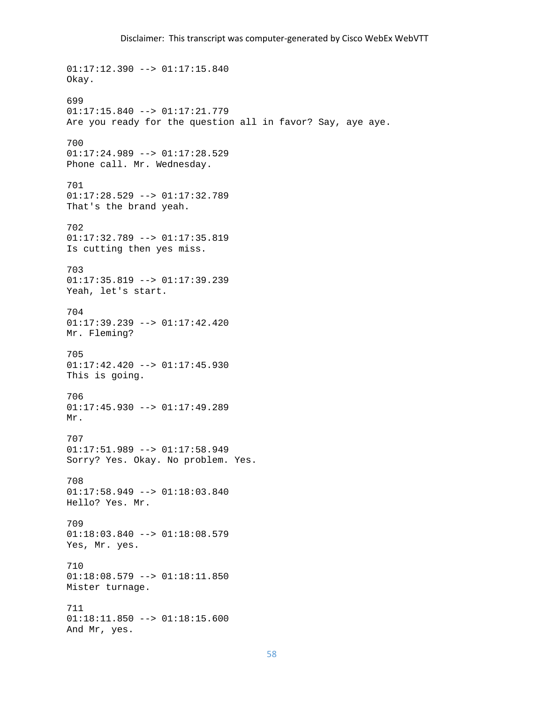01:17:12.390 --> 01:17:15.840 Okay. 699 01:17:15.840 --> 01:17:21.779 Are you ready for the question all in favor? Say, aye aye. 700 01:17:24.989 --> 01:17:28.529 Phone call. Mr. Wednesday. 701  $01:17:28.529$  -->  $01:17:32.789$ That's the brand yeah. 702 01:17:32.789 --> 01:17:35.819 Is cutting then yes miss. 703 01:17:35.819 --> 01:17:39.239 Yeah, let's start. 704 01:17:39.239 --> 01:17:42.420 Mr. Fleming? 705 01:17:42.420 --> 01:17:45.930 This is going. 706 01:17:45.930 --> 01:17:49.289 Mr. 707 01:17:51.989 --> 01:17:58.949 Sorry? Yes. Okay. No problem. Yes. 708  $01:17:58.949$  -->  $01:18:03.840$ Hello? Yes. Mr. 709 01:18:03.840 --> 01:18:08.579 Yes, Mr. yes. 710 01:18:08.579 --> 01:18:11.850 Mister turnage. 711 01:18:11.850 --> 01:18:15.600 And Mr, yes.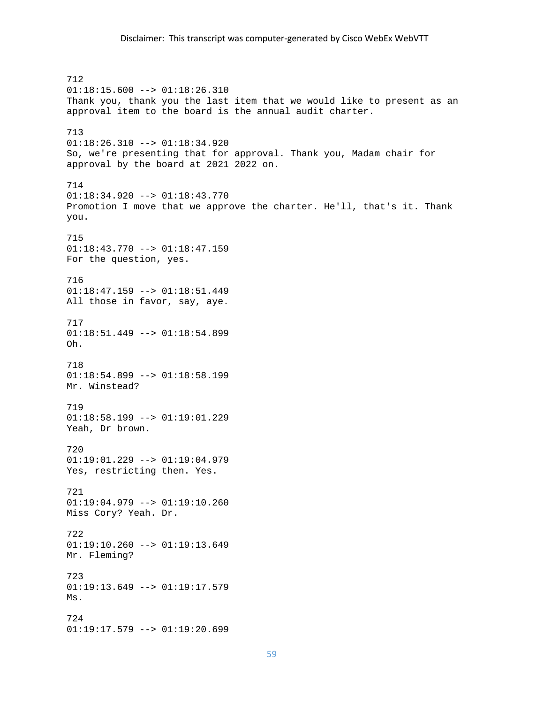712 01:18:15.600 --> 01:18:26.310 Thank you, thank you the last item that we would like to present as an approval item to the board is the annual audit charter. 713 01:18:26.310 --> 01:18:34.920 So, we're presenting that for approval. Thank you, Madam chair for approval by the board at 2021 2022 on. 714  $01:18:34.920$  -->  $01:18:43.770$ Promotion I move that we approve the charter. He'll, that's it. Thank you. 715 01:18:43.770 --> 01:18:47.159 For the question, yes. 716 01:18:47.159 --> 01:18:51.449 All those in favor, say, aye. 717  $01:18:51.449$  -->  $01:18:54.899$ Oh. 718 01:18:54.899 --> 01:18:58.199 Mr. Winstead? 719  $01:18:58.199$  -->  $01:19:01.229$ Yeah, Dr brown. 720 01:19:01.229 --> 01:19:04.979 Yes, restricting then. Yes. 721 01:19:04.979 --> 01:19:10.260 Miss Cory? Yeah. Dr. 722 01:19:10.260 --> 01:19:13.649 Mr. Fleming? 723 01:19:13.649 --> 01:19:17.579 Ms. 724 01:19:17.579 --> 01:19:20.699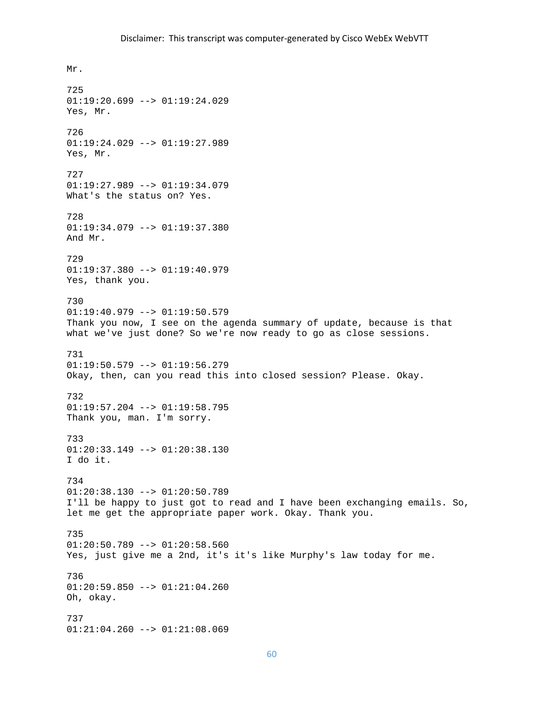Mr. 725 01:19:20.699 --> 01:19:24.029 Yes, Mr. 726 01:19:24.029 --> 01:19:27.989 Yes, Mr. 727  $01:19:27.989$  -->  $01:19:34.079$ What's the status on? Yes. 728 01:19:34.079 --> 01:19:37.380 And Mr. 729  $01:19:37.380$  -->  $01:19:40.979$ Yes, thank you. 730  $01:19:40.979$  -->  $01:19:50.579$ Thank you now, I see on the agenda summary of update, because is that what we've just done? So we're now ready to go as close sessions. 731 01:19:50.579 --> 01:19:56.279 Okay, then, can you read this into closed session? Please. Okay. 732 01:19:57.204 --> 01:19:58.795 Thank you, man. I'm sorry. 733 01:20:33.149 --> 01:20:38.130 I do it. 734 01:20:38.130 --> 01:20:50.789 I'll be happy to just got to read and I have been exchanging emails. So, let me get the appropriate paper work. Okay. Thank you. 735 01:20:50.789 --> 01:20:58.560 Yes, just give me a 2nd, it's it's like Murphy's law today for me. 736 01:20:59.850 --> 01:21:04.260 Oh, okay. 737 01:21:04.260 --> 01:21:08.069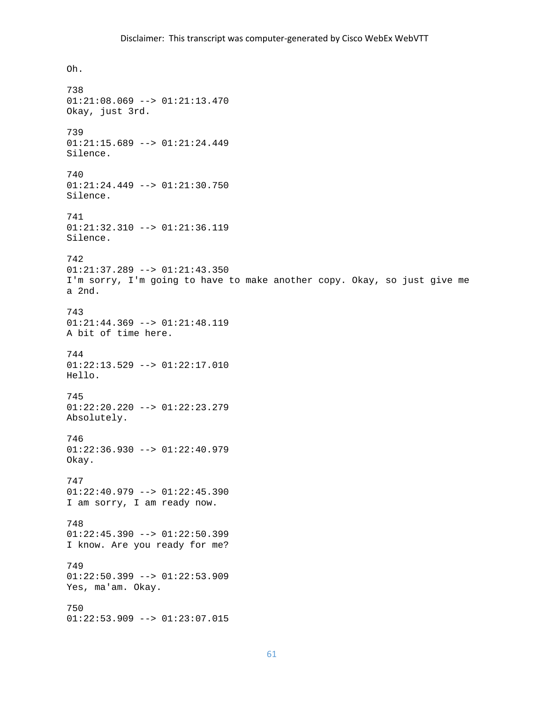# Disclaimer: This transcript was computer‐generated by Cisco WebEx WebVTT

Oh. 738 01:21:08.069 --> 01:21:13.470 Okay, just 3rd. 739 01:21:15.689 --> 01:21:24.449 Silence. 740 01:21:24.449 --> 01:21:30.750 Silence. 741 01:21:32.310 --> 01:21:36.119 Silence. 742  $01:21:37.289$  -->  $01:21:43.350$ I'm sorry, I'm going to have to make another copy. Okay, so just give me a 2nd. 743 01:21:44.369 --> 01:21:48.119 A bit of time here. 744 01:22:13.529 --> 01:22:17.010 Hello. 745 01:22:20.220 --> 01:22:23.279 Absolutely. 746 01:22:36.930 --> 01:22:40.979 Okay. 747  $01:22:40.979$  -->  $01:22:45.390$ I am sorry, I am ready now. 748  $01:22:45.390$  -->  $01:22:50.399$ I know. Are you ready for me? 749 01:22:50.399 --> 01:22:53.909 Yes, ma'am. Okay. 750 01:22:53.909 --> 01:23:07.015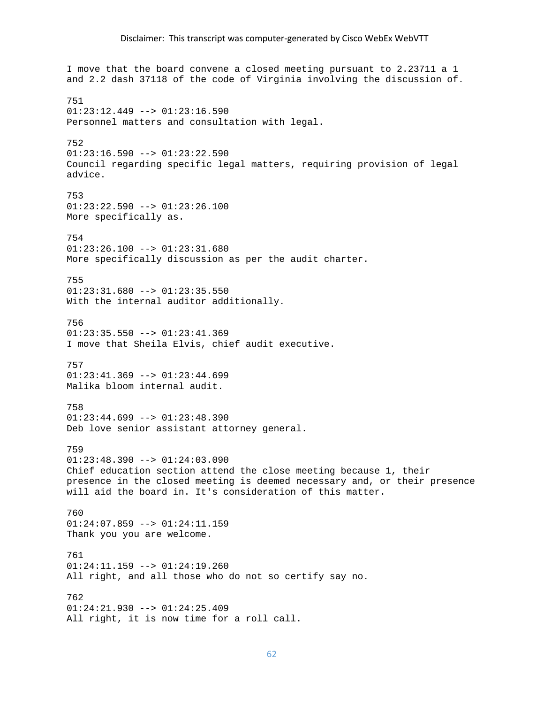# Disclaimer: This transcript was computer‐generated by Cisco WebEx WebVTT

I move that the board convene a closed meeting pursuant to 2.23711 a 1 and 2.2 dash 37118 of the code of Virginia involving the discussion of. 751  $01:23:12.449$  -->  $01:23:16.590$ Personnel matters and consultation with legal. 752  $01:23:16.590$  -->  $01:23:22.590$ Council regarding specific legal matters, requiring provision of legal advice. 753 01:23:22.590 --> 01:23:26.100 More specifically as. 754 01:23:26.100 --> 01:23:31.680 More specifically discussion as per the audit charter. 755  $01:23:31.680$  -->  $01:23:35.550$ With the internal auditor additionally. 756  $01:23:35.550$  -->  $01:23:41.369$ I move that Sheila Elvis, chief audit executive. 757  $01:23:41.369$  -->  $01:23:44.699$ Malika bloom internal audit. 758  $01:23:44.699$  -->  $01:23:48.390$ Deb love senior assistant attorney general. 759  $01:23:48.390$  -->  $01:24:03.090$ Chief education section attend the close meeting because 1, their presence in the closed meeting is deemed necessary and, or their presence will aid the board in. It's consideration of this matter. 760 01:24:07.859 --> 01:24:11.159 Thank you you are welcome. 761 01:24:11.159 --> 01:24:19.260 All right, and all those who do not so certify say no. 762  $01:24:21.930$  -->  $01:24:25.409$ All right, it is now time for a roll call.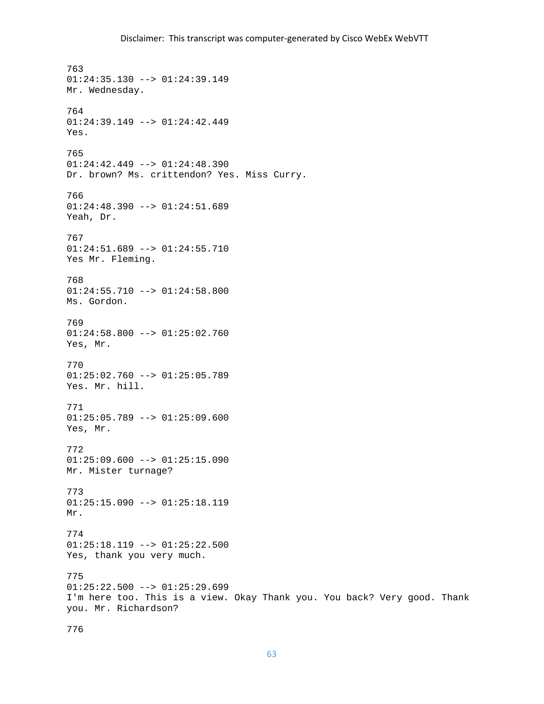763  $01:24:35.130$  -->  $01:24:39.149$ Mr. Wednesday. 764 01:24:39.149 --> 01:24:42.449 Yes. 765 01:24:42.449 --> 01:24:48.390 Dr. brown? Ms. crittendon? Yes. Miss Curry. 766 01:24:48.390 --> 01:24:51.689 Yeah, Dr. 767 01:24:51.689 --> 01:24:55.710 Yes Mr. Fleming. 768  $01:24:55.710$  -->  $01:24:58.800$ Ms. Gordon. 769  $01:24:58.800$  -->  $01:25:02.760$ Yes, Mr. 770 01:25:02.760 --> 01:25:05.789 Yes. Mr. hill. 771  $01:25:05.789$  -->  $01:25:09.600$ Yes, Mr. 772  $01:25:09.600$  -->  $01:25:15.090$ Mr. Mister turnage? 773 01:25:15.090 --> 01:25:18.119 Mr. 774 01:25:18.119 --> 01:25:22.500 Yes, thank you very much. 775 01:25:22.500 --> 01:25:29.699 I'm here too. This is a view. Okay Thank you. You back? Very good. Thank you. Mr. Richardson?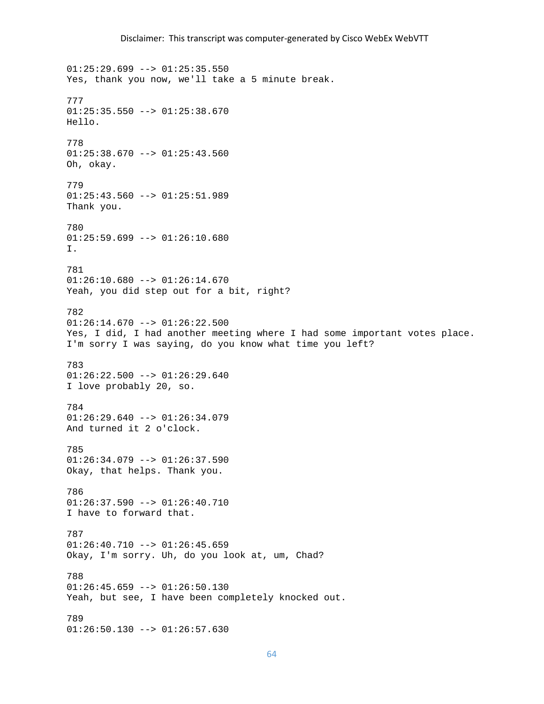$01:25:29.699$  -->  $01:25:35.550$ Yes, thank you now, we'll take a 5 minute break. 777  $01:25:35.550$  -->  $01:25:38.670$ Hello. 778  $01:25:38.670$  -->  $01:25:43.560$ Oh, okay. 779 01:25:43.560 --> 01:25:51.989 Thank you. 780  $01:25:59.699$  -->  $01:26:10.680$ I. 781  $01:26:10.680$  -->  $01:26:14.670$ Yeah, you did step out for a bit, right? 782  $01:26:14.670$  -->  $01:26:22.500$ Yes, I did, I had another meeting where I had some important votes place. I'm sorry I was saying, do you know what time you left? 783  $01:26:22.500$  -->  $01:26:29.640$ I love probably 20, so. 784  $01:26:29.640$  -->  $01:26:34.079$ And turned it 2 o'clock. 785 01:26:34.079 --> 01:26:37.590 Okay, that helps. Thank you. 786  $01:26:37.590$  -->  $01:26:40.710$ I have to forward that. 787  $01:26:40.710$  -->  $01:26:45.659$ Okay, I'm sorry. Uh, do you look at, um, Chad? 788 01:26:45.659 --> 01:26:50.130 Yeah, but see, I have been completely knocked out. 789 01:26:50.130 --> 01:26:57.630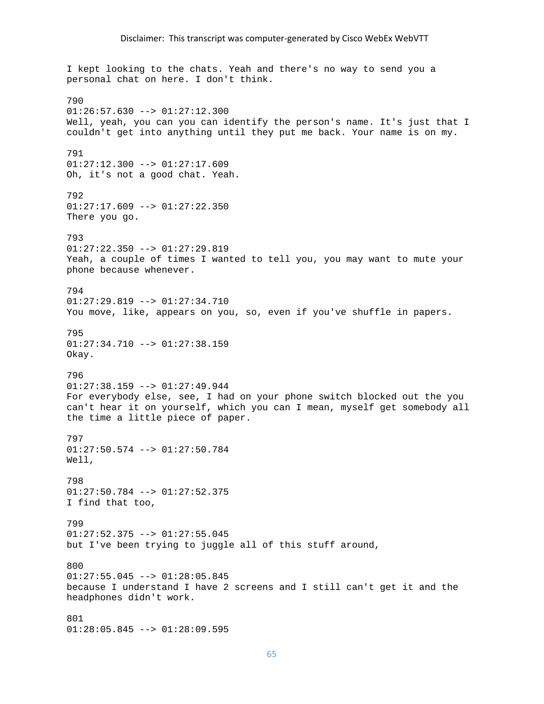I kept looking to the chats. Yeah and there's no way to send you a personal chat on here. I don't think. 790  $01:26:57.630$  -->  $01:27:12.300$ Well, yeah, you can you can identify the person's name. It's just that I couldn't get into anything until they put me back. Your name is on my. 791 01:27:12.300 --> 01:27:17.609 Oh, it's not a good chat. Yeah. 792 01:27:17.609 --> 01:27:22.350 There you go. 793 01:27:22.350 --> 01:27:29.819 Yeah, a couple of times I wanted to tell you, you may want to mute your phone because whenever. 794 01:27:29.819 --> 01:27:34.710 You move, like, appears on you, so, even if you've shuffle in papers. 795  $01:27:34.710$  -->  $01:27:38.159$ Okay. 796 01:27:38.159 --> 01:27:49.944 For everybody else, see, I had on your phone switch blocked out the you can't hear it on yourself, which you can I mean, myself get somebody all the time a little piece of paper. 797 01:27:50.574 --> 01:27:50.784 Well, 798 01:27:50.784 --> 01:27:52.375 I find that too, 799  $01:27:52.375$  -->  $01:27:55.045$ but I've been trying to juggle all of this stuff around, 800  $01:27:55.045$  -->  $01:28:05.845$ because I understand I have 2 screens and I still can't get it and the headphones didn't work. 801 01:28:05.845 --> 01:28:09.595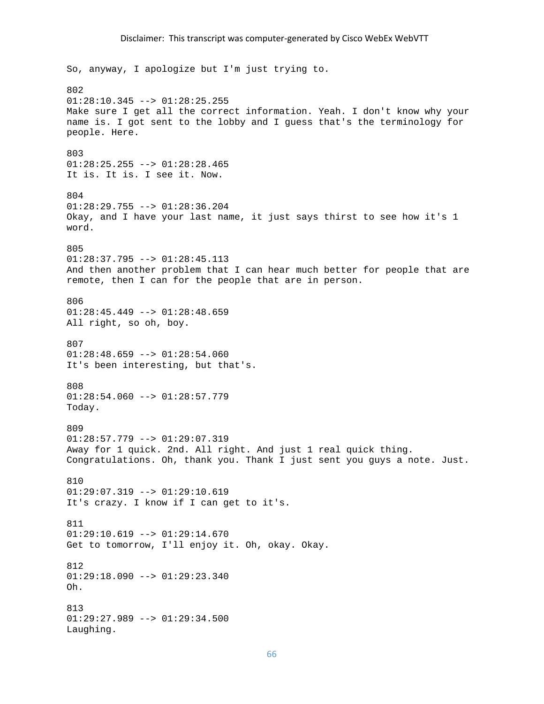### Disclaimer: This transcript was computer‐generated by Cisco WebEx WebVTT

So, anyway, I apologize but I'm just trying to. 802  $01:28:10.345$  -->  $01:28:25.255$ Make sure I get all the correct information. Yeah. I don't know why your name is. I got sent to the lobby and I guess that's the terminology for people. Here. 803 01:28:25.255 --> 01:28:28.465 It is. It is. I see it. Now. 804 01:28:29.755 --> 01:28:36.204 Okay, and I have your last name, it just says thirst to see how it's 1 word. 805 01:28:37.795 --> 01:28:45.113 And then another problem that I can hear much better for people that are remote, then I can for the people that are in person. 806  $01:28:45.449$  -->  $01:28:48.659$ All right, so oh, boy. 807  $01:28:48.659$  -->  $01:28:54.060$ It's been interesting, but that's. 808 01:28:54.060 --> 01:28:57.779 Today. 809 01:28:57.779 --> 01:29:07.319 Away for 1 quick. 2nd. All right. And just 1 real quick thing. Congratulations. Oh, thank you. Thank I just sent you guys a note. Just. 810  $01:29:07.319$  -->  $01:29:10.619$ It's crazy. I know if I can get to it's. 811  $01:29:10.619$  -->  $01:29:14.670$ Get to tomorrow, I'll enjoy it. Oh, okay. Okay. 812  $01:29:18.090$  -->  $01:29:23.340$ Oh. 813 01:29:27.989 --> 01:29:34.500 Laughing.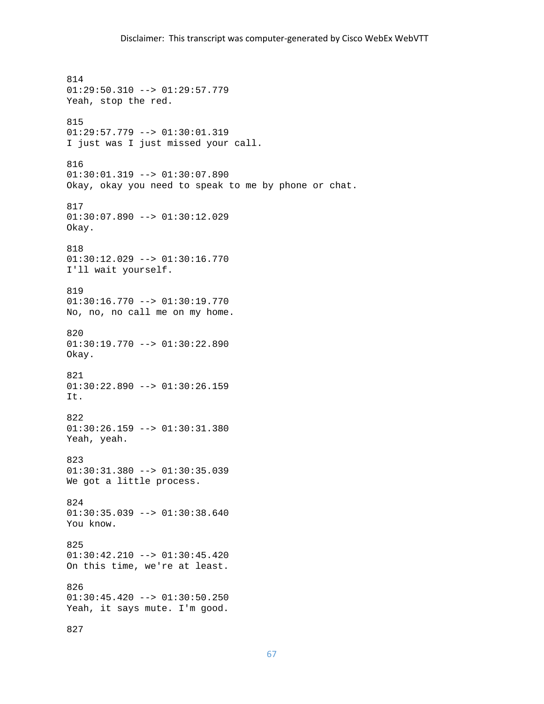814 01:29:50.310 --> 01:29:57.779 Yeah, stop the red. 815 01:29:57.779 --> 01:30:01.319 I just was I just missed your call. 816 01:30:01.319 --> 01:30:07.890 Okay, okay you need to speak to me by phone or chat. 817 01:30:07.890 --> 01:30:12.029 Okay. 818 01:30:12.029 --> 01:30:16.770 I'll wait yourself. 819 01:30:16.770 --> 01:30:19.770 No, no, no call me on my home. 820  $01:30:19.770$  -->  $01:30:22.890$ Okay. 821 01:30:22.890 --> 01:30:26.159 It. 822 01:30:26.159 --> 01:30:31.380 Yeah, yeah. 823 01:30:31.380 --> 01:30:35.039 We got a little process. 824 01:30:35.039 --> 01:30:38.640 You know. 825  $01:30:42.210$  -->  $01:30:45.420$ On this time, we're at least. 826  $01:30:45.420$  -->  $01:30:50.250$ Yeah, it says mute. I'm good. 827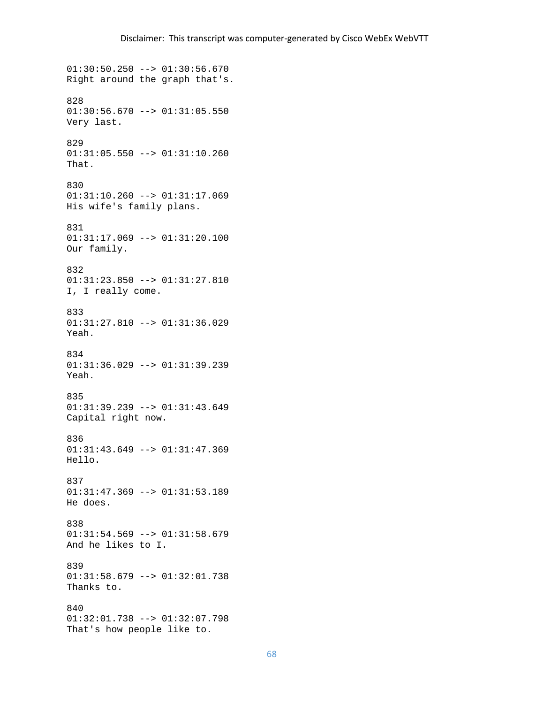01:30:50.250 --> 01:30:56.670 Right around the graph that's. 828  $01:30:56.670$  -->  $01:31:05.550$ Very last. 829 01:31:05.550 --> 01:31:10.260 That. 830 01:31:10.260 --> 01:31:17.069 His wife's family plans. 831 01:31:17.069 --> 01:31:20.100 Our family. 832 01:31:23.850 --> 01:31:27.810 I, I really come. 833 01:31:27.810 --> 01:31:36.029 Yeah. 834 01:31:36.029 --> 01:31:39.239 Yeah. 835 01:31:39.239 --> 01:31:43.649 Capital right now. 836 01:31:43.649 --> 01:31:47.369 Hello. 837  $01:31:47.369$  -->  $01:31:53.189$ He does. 838  $01:31:54.569$  -->  $01:31:58.679$ And he likes to I. 839 01:31:58.679 --> 01:32:01.738 Thanks to. 840 01:32:01.738 --> 01:32:07.798 That's how people like to.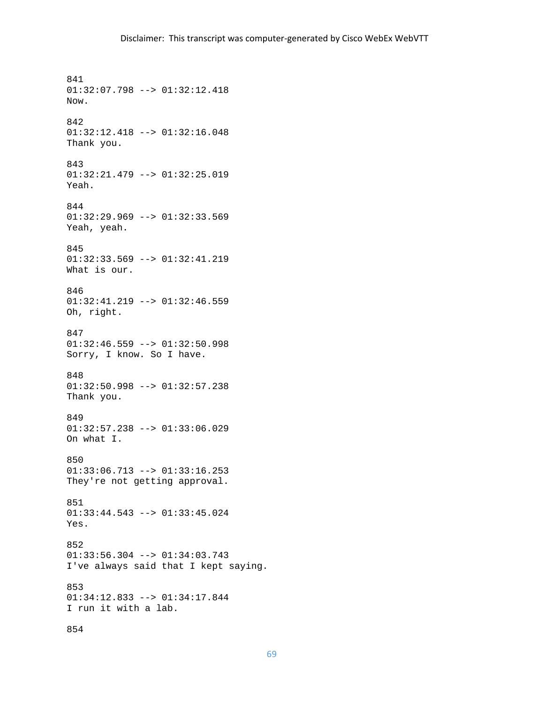841 01:32:07.798 --> 01:32:12.418 Now. 842 01:32:12.418 --> 01:32:16.048 Thank you. 843 01:32:21.479 --> 01:32:25.019 Yeah. 844 01:32:29.969 --> 01:32:33.569 Yeah, yeah. 845 01:32:33.569 --> 01:32:41.219 What is our. 846 01:32:41.219 --> 01:32:46.559 Oh, right. 847  $01:32:46.559$  -->  $01:32:50.998$ Sorry, I know. So I have. 848 01:32:50.998 --> 01:32:57.238 Thank you. 849 01:32:57.238 --> 01:33:06.029 On what I. 850 01:33:06.713 --> 01:33:16.253 They're not getting approval. 851 01:33:44.543 --> 01:33:45.024 Yes. 852 01:33:56.304 --> 01:34:03.743 I've always said that I kept saying. 853 01:34:12.833 --> 01:34:17.844 I run it with a lab. 854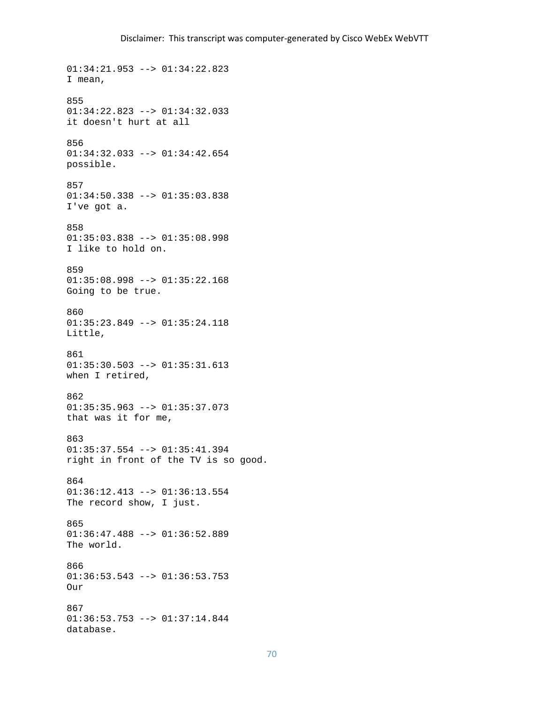```
01:34:21.953 --> 01:34:22.823 
I mean, 
855 
01:34:22.823 --> 01:34:32.033 
it doesn't hurt at all 
856 
01:34:32.033 --> 01:34:42.654 
possible. 
857 
01:34:50.338 --> 01:35:03.838 
I've got a. 
858 
01:35:03.838 --> 01:35:08.998 
I like to hold on. 
859 
01:35:08.998 --> 01:35:22.168 
Going to be true. 
860 
01:35:23.849 --> 01:35:24.118 
Little, 
861 
01:35:30.503 --> 01:35:31.613 
when I retired, 
862 
01:35:35.963 --> 01:35:37.073 
that was it for me, 
863 
01:35:37.554 --> 01:35:41.394 
right in front of the TV is so good. 
864 
01:36:12.413 --> 01:36:13.554 
The record show, I just. 
865 
01:36:47.488 --> 01:36:52.889 
The world. 
866 
01:36:53.543 --> 01:36:53.753 
Our 
867 
01:36:53.753 --> 01:37:14.844 
database.
```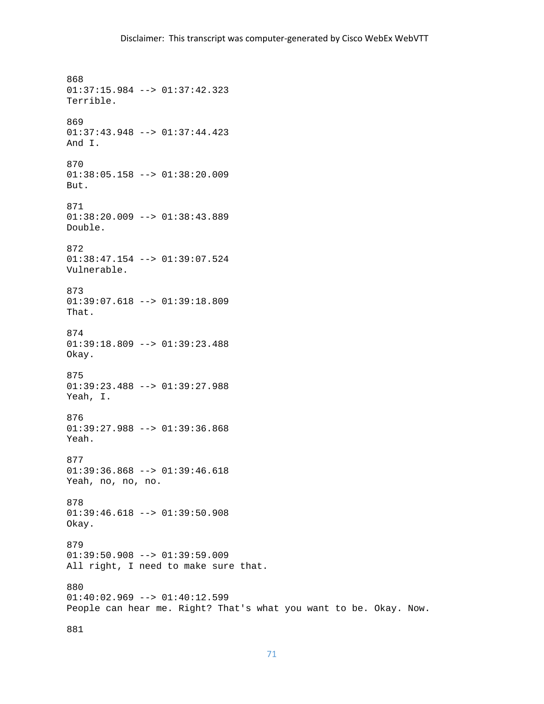868 01:37:15.984 --> 01:37:42.323 Terrible. 869 01:37:43.948 --> 01:37:44.423 And I. 870 01:38:05.158 --> 01:38:20.009 But. 871 01:38:20.009 --> 01:38:43.889 Double. 872 01:38:47.154 --> 01:39:07.524 Vulnerable. 873 01:39:07.618 --> 01:39:18.809 That. 874  $01:39:18.809$  -->  $01:39:23.488$ Okay. 875 01:39:23.488 --> 01:39:27.988 Yeah, I. 876 01:39:27.988 --> 01:39:36.868 Yeah. 877 01:39:36.868 --> 01:39:46.618 Yeah, no, no, no. 878 01:39:46.618 --> 01:39:50.908 Okay. 879  $01:39:50.908$  -->  $01:39:59.009$ All right, I need to make sure that. 880  $01:40:02.969$  -->  $01:40:12.599$ People can hear me. Right? That's what you want to be. Okay. Now.

881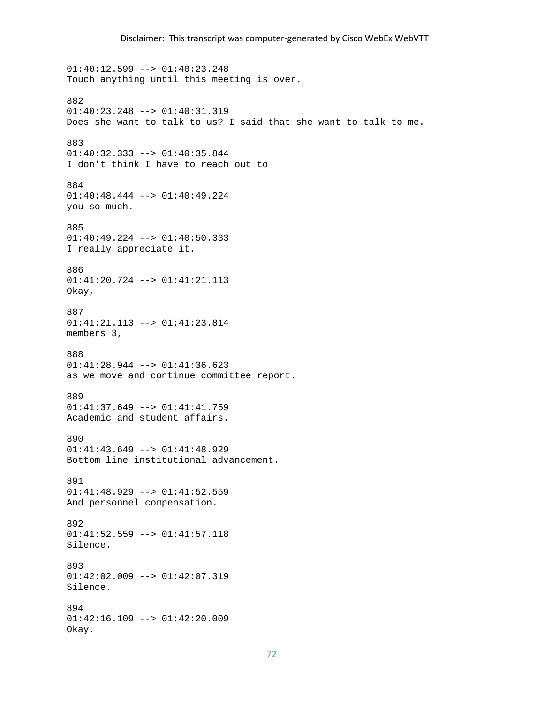```
01:40:12.599 --> 01:40:23.248 
Touch anything until this meeting is over. 
882 
01:40:23.248 --> 01:40:31.319 
Does she want to talk to us? I said that she want to talk to me. 
883 
01:40:32.333 --> 01:40:35.844 
I don't think I have to reach out to 
884 
01:40:48.444 --> 01:40:49.224 
you so much. 
885 
01:40:49.224 --> 01:40:50.333 
I really appreciate it. 
886 
01:41:20.724 --> 01:41:21.113 
Okay, 
887 
01:41:21.113 --> 01:41:23.814 
members 3, 
888 
01:41:28.944 --> 01:41:36.623 
as we move and continue committee report. 
889 
01:41:37.649 --> 01:41:41.759 
Academic and student affairs. 
890 
01:41:43.649 --> 01:41:48.929 
Bottom line institutional advancement. 
891 
01:41:48.929 --> 01:41:52.559And personnel compensation. 
892 
01:41:52.559 --> 01:41:57.118 
Silence. 
893 
01:42:02.009 --> 01:42:07.319 
Silence. 
894 
01:42:16.109 --> 01:42:20.009 
Okay.
```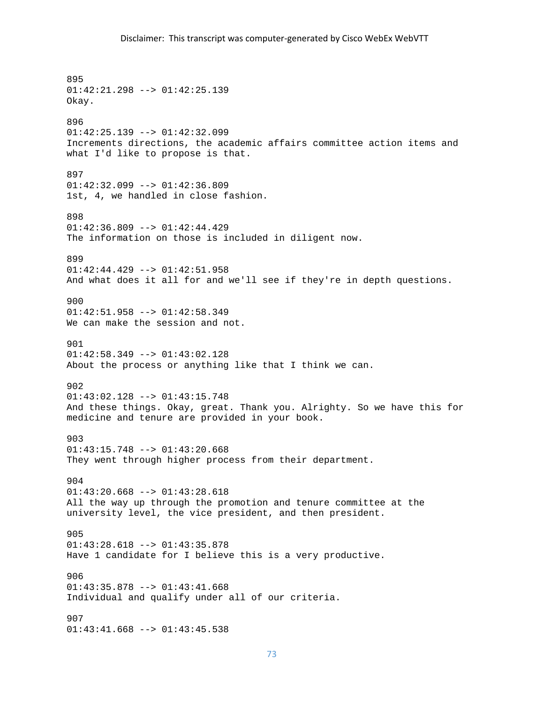895 01:42:21.298 --> 01:42:25.139 Okay. 896 01:42:25.139 --> 01:42:32.099 Increments directions, the academic affairs committee action items and what I'd like to propose is that. 897  $01:42:32.099$  -->  $01:42:36.809$ 1st, 4, we handled in close fashion. 898  $01:42:36.809$  -->  $01:42:44.429$ The information on those is included in diligent now. 899 01:42:44.429 --> 01:42:51.958 And what does it all for and we'll see if they're in depth questions. 900 01:42:51.958 --> 01:42:58.349 We can make the session and not. 901  $01:42:58.349$  -->  $01:43:02.128$ About the process or anything like that I think we can. 902 01:43:02.128 --> 01:43:15.748 And these things. Okay, great. Thank you. Alrighty. So we have this for medicine and tenure are provided in your book. 903 01:43:15.748 --> 01:43:20.668 They went through higher process from their department. 904  $01:43:20.668$  -->  $01:43:28.618$ All the way up through the promotion and tenure committee at the university level, the vice president, and then president. 905 01:43:28.618 --> 01:43:35.878 Have 1 candidate for I believe this is a very productive.  $906$ 01:43:35.878 --> 01:43:41.668 Individual and qualify under all of our criteria. 907 01:43:41.668 --> 01:43:45.538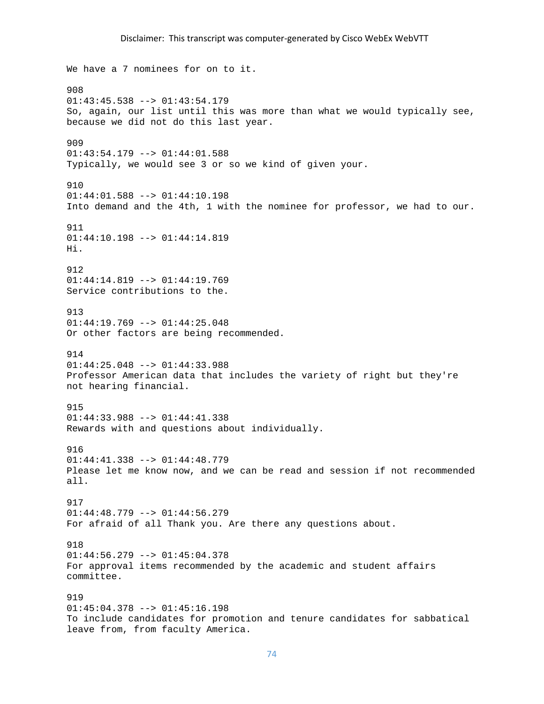### Disclaimer: This transcript was computer‐generated by Cisco WebEx WebVTT

We have a 7 nominees for on to it. 908  $01:43:45.538$  -->  $01:43:54.179$ So, again, our list until this was more than what we would typically see, because we did not do this last year. 909  $01:43:54.179$  -->  $01:44:01.588$ Typically, we would see 3 or so we kind of given your. 910 01:44:01.588 --> 01:44:10.198 Into demand and the 4th, 1 with the nominee for professor, we had to our. 911 01:44:10.198 --> 01:44:14.819 Hi. 912 01:44:14.819 --> 01:44:19.769 Service contributions to the. 913 01:44:19.769 --> 01:44:25.048 Or other factors are being recommended. 914 01:44:25.048 --> 01:44:33.988 Professor American data that includes the variety of right but they're not hearing financial. 915 01:44:33.988 --> 01:44:41.338 Rewards with and questions about individually. 916 01:44:41.338 --> 01:44:48.779 Please let me know now, and we can be read and session if not recommended all. 917 01:44:48.779 --> 01:44:56.279 For afraid of all Thank you. Are there any questions about. 918  $01:44:56.279$  -->  $01:45:04.378$ For approval items recommended by the academic and student affairs committee. 919 01:45:04.378 --> 01:45:16.198 To include candidates for promotion and tenure candidates for sabbatical leave from, from faculty America.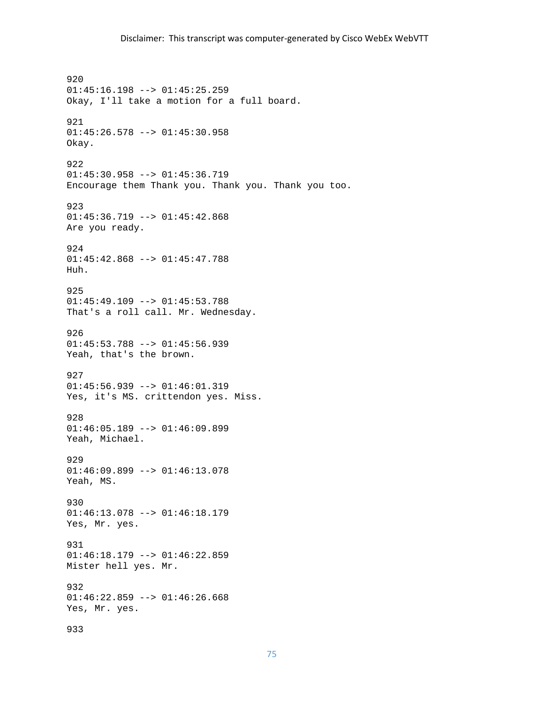920 01:45:16.198 --> 01:45:25.259 Okay, I'll take a motion for a full board. 921 01:45:26.578 --> 01:45:30.958 Okay. 922 01:45:30.958 --> 01:45:36.719 Encourage them Thank you. Thank you. Thank you too. 923 01:45:36.719 --> 01:45:42.868 Are you ready. 924 01:45:42.868 --> 01:45:47.788 Huh. 925 01:45:49.109 --> 01:45:53.788 That's a roll call. Mr. Wednesday. 926  $01:45:53.788$  -->  $01:45:56.939$ Yeah, that's the brown. 927 01:45:56.939 --> 01:46:01.319 Yes, it's MS. crittendon yes. Miss. 928 01:46:05.189 --> 01:46:09.899 Yeah, Michael. 929 01:46:09.899 --> 01:46:13.078 Yeah, MS. 930 01:46:13.078 --> 01:46:18.179 Yes, Mr. yes. 931  $01:46:18.179$  -->  $01:46:22.859$ Mister hell yes. Mr. 932  $01:46:22.859$  -->  $01:46:26.668$ Yes, Mr. yes. 933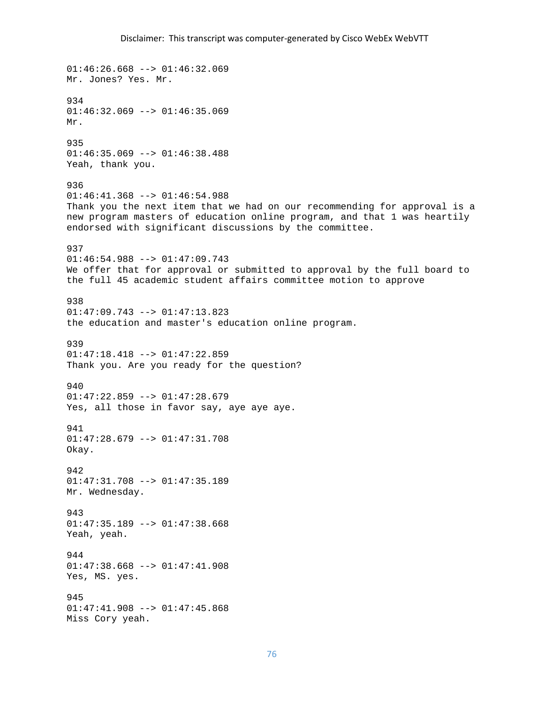$01:46:26.668$  -->  $01:46:32.069$ Mr. Jones? Yes. Mr. 934  $01:46:32.069$  -->  $01:46:35.069$ Mr. 935  $01:46:35.069$  -->  $01:46:38.488$ Yeah, thank you. 936  $01:46:41.368$  -->  $01:46:54.988$ Thank you the next item that we had on our recommending for approval is a new program masters of education online program, and that 1 was heartily endorsed with significant discussions by the committee. 937 01:46:54.988 --> 01:47:09.743 We offer that for approval or submitted to approval by the full board to the full 45 academic student affairs committee motion to approve 938 01:47:09.743 --> 01:47:13.823 the education and master's education online program. 939  $01:47:18.418$  -->  $01:47:22.859$ Thank you. Are you ready for the question? 940  $01:47:22.859$  -->  $01:47:28.679$ Yes, all those in favor say, aye aye aye. 941 01:47:28.679 --> 01:47:31.708 Okay. 942 01:47:31.708 --> 01:47:35.189 Mr. Wednesday. 943 01:47:35.189 --> 01:47:38.668 Yeah, yeah. 944  $01:47:38.668$  -->  $01:47:41.908$ Yes, MS. yes. 945 01:47:41.908 --> 01:47:45.868 Miss Cory yeah.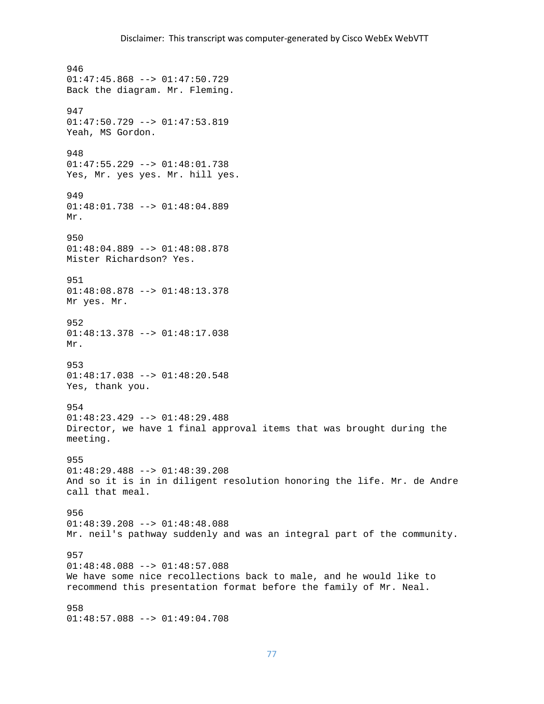946 01:47:45.868 --> 01:47:50.729 Back the diagram. Mr. Fleming. 947  $01:47:50.729$  -->  $01:47:53.819$ Yeah, MS Gordon. 948 01:47:55.229 --> 01:48:01.738 Yes, Mr. yes yes. Mr. hill yes. 949 01:48:01.738 --> 01:48:04.889 Mr. 950 01:48:04.889 --> 01:48:08.878 Mister Richardson? Yes. 951 01:48:08.878 --> 01:48:13.378 Mr yes. Mr. 952 01:48:13.378 --> 01:48:17.038 Mr. 953 01:48:17.038 --> 01:48:20.548 Yes, thank you. 954  $01:48:23.429$  -->  $01:48:29.488$ Director, we have 1 final approval items that was brought during the meeting. 955 01:48:29.488 --> 01:48:39.208 And so it is in in diligent resolution honoring the life. Mr. de Andre call that meal. 956 01:48:39.208 --> 01:48:48.088 Mr. neil's pathway suddenly and was an integral part of the community. 957  $01:48:48.088$  -->  $01:48:57.088$ We have some nice recollections back to male, and he would like to recommend this presentation format before the family of Mr. Neal. 958 01:48:57.088 --> 01:49:04.708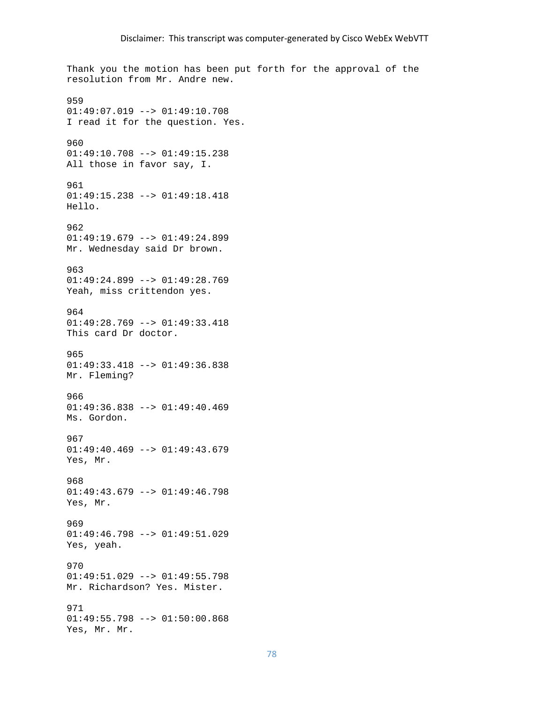Thank you the motion has been put forth for the approval of the resolution from Mr. Andre new. 959 01:49:07.019 --> 01:49:10.708 I read it for the question. Yes. 960 01:49:10.708 --> 01:49:15.238 All those in favor say, I. 961 01:49:15.238 --> 01:49:18.418 Hello. 962 01:49:19.679 --> 01:49:24.899 Mr. Wednesday said Dr brown. 963 01:49:24.899 --> 01:49:28.769 Yeah, miss crittendon yes. 964 01:49:28.769 --> 01:49:33.418 This card Dr doctor. 965 01:49:33.418 --> 01:49:36.838 Mr. Fleming? 966 01:49:36.838 --> 01:49:40.469 Ms. Gordon. 967 01:49:40.469 --> 01:49:43.679 Yes, Mr. 968  $01:49:43.679$  -->  $01:49:46.798$ Yes, Mr. 969 01:49:46.798 --> 01:49:51.029 Yes, yeah. 970  $01:49:51.029$  -->  $01:49:55.798$ Mr. Richardson? Yes. Mister. 971 01:49:55.798 --> 01:50:00.868 Yes, Mr. Mr.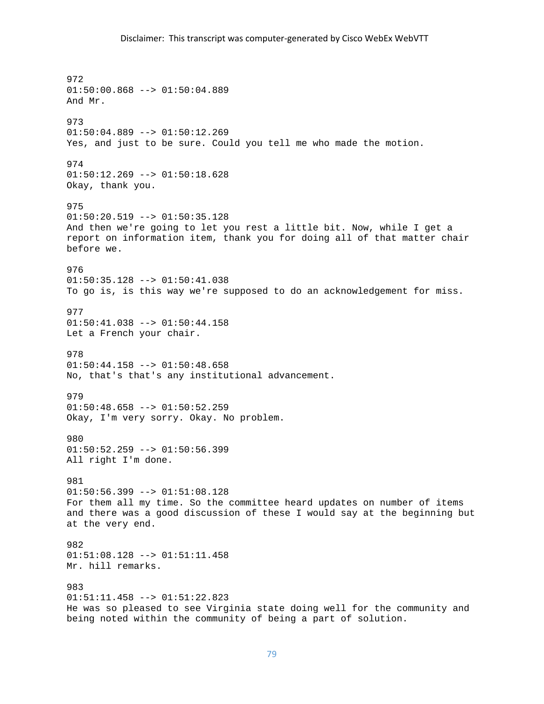# Disclaimer: This transcript was computer‐generated by Cisco WebEx WebVTT

972 01:50:00.868 --> 01:50:04.889 And Mr. 973 01:50:04.889 --> 01:50:12.269 Yes, and just to be sure. Could you tell me who made the motion. 974 01:50:12.269 --> 01:50:18.628 Okay, thank you. 975  $01:50:20.519$  -->  $01:50:35.128$ And then we're going to let you rest a little bit. Now, while I get a report on information item, thank you for doing all of that matter chair before we. 976 01:50:35.128 --> 01:50:41.038 To go is, is this way we're supposed to do an acknowledgement for miss. 977 01:50:41.038 --> 01:50:44.158 Let a French your chair. 978  $01:50:44.158$  -->  $01:50:48.658$ No, that's that's any institutional advancement. 979 01:50:48.658 --> 01:50:52.259 Okay, I'm very sorry. Okay. No problem. 980 01:50:52.259 --> 01:50:56.399 All right I'm done. 981  $01:50:56.399$  -->  $01:51:08.128$ For them all my time. So the committee heard updates on number of items and there was a good discussion of these I would say at the beginning but at the very end. 982 01:51:08.128 --> 01:51:11.458 Mr. hill remarks. 983 01:51:11.458 --> 01:51:22.823 He was so pleased to see Virginia state doing well for the community and being noted within the community of being a part of solution.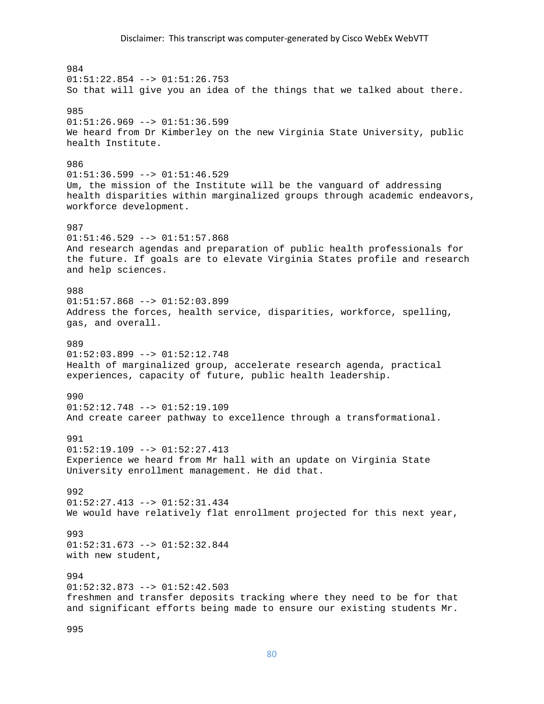984  $01:51:22.854$  -->  $01:51:26.753$ So that will give you an idea of the things that we talked about there. 985  $01:51:26.969$  -->  $01:51:36.599$ We heard from Dr Kimberley on the new Virginia State University, public health Institute. 986 01:51:36.599 --> 01:51:46.529 Um, the mission of the Institute will be the vanguard of addressing health disparities within marginalized groups through academic endeavors, workforce development. 987 01:51:46.529 --> 01:51:57.868 And research agendas and preparation of public health professionals for the future. If goals are to elevate Virginia States profile and research and help sciences. 988  $01:51:57.868$  -->  $01:52:03.899$ Address the forces, health service, disparities, workforce, spelling, gas, and overall. 989  $01:52:03.899$  -->  $01:52:12.748$ Health of marginalized group, accelerate research agenda, practical experiences, capacity of future, public health leadership. 990 01:52:12.748 --> 01:52:19.109 And create career pathway to excellence through a transformational. 991 01:52:19.109 --> 01:52:27.413 Experience we heard from Mr hall with an update on Virginia State University enrollment management. He did that. 992 01:52:27.413 --> 01:52:31.434 We would have relatively flat enrollment projected for this next year, 993 01:52:31.673 --> 01:52:32.844 with new student, 994 01:52:32.873 --> 01:52:42.503 freshmen and transfer deposits tracking where they need to be for that and significant efforts being made to ensure our existing students Mr.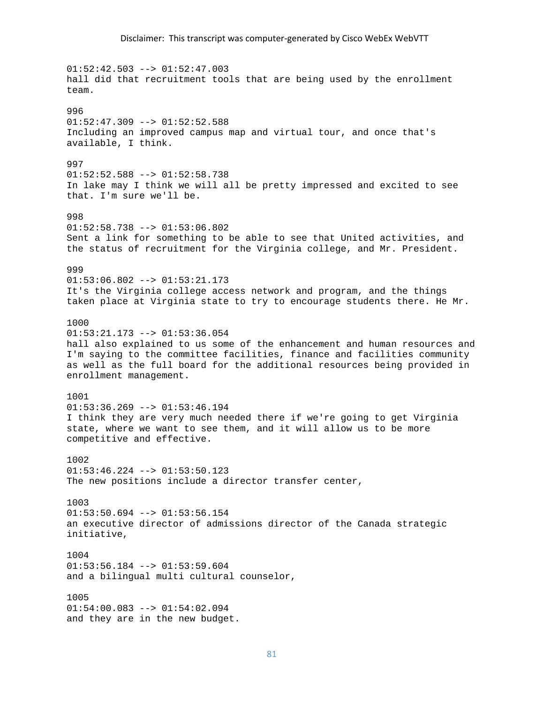$01:52:42.503$  -->  $01:52:47.003$ hall did that recruitment tools that are being used by the enrollment team. 996  $01:52:47.309$  -->  $01:52:52.588$ Including an improved campus map and virtual tour, and once that's available, I think. 997 01:52:52.588 --> 01:52:58.738 In lake may I think we will all be pretty impressed and excited to see that. I'm sure we'll be. 998  $01:52:58.738$  -->  $01:53:06.802$ Sent a link for something to be able to see that United activities, and the status of recruitment for the Virginia college, and Mr. President. 999 01:53:06.802 --> 01:53:21.173 It's the Virginia college access network and program, and the things taken place at Virginia state to try to encourage students there. He Mr. 1000 01:53:21.173 --> 01:53:36.054 hall also explained to us some of the enhancement and human resources and I'm saying to the committee facilities, finance and facilities community as well as the full board for the additional resources being provided in enrollment management. 1001  $01:53:36.269$  -->  $01:53:46.194$ I think they are very much needed there if we're going to get Virginia state, where we want to see them, and it will allow us to be more competitive and effective. 1002  $01:53:46.224$  -->  $01:53:50.123$ The new positions include a director transfer center, 1003 01:53:50.694 --> 01:53:56.154 an executive director of admissions director of the Canada strategic initiative, 1004  $01:53:56.184$  -->  $01:53:59.604$ and a bilingual multi cultural counselor, 1005  $01:54:00.083$  -->  $01:54:02.094$ and they are in the new budget.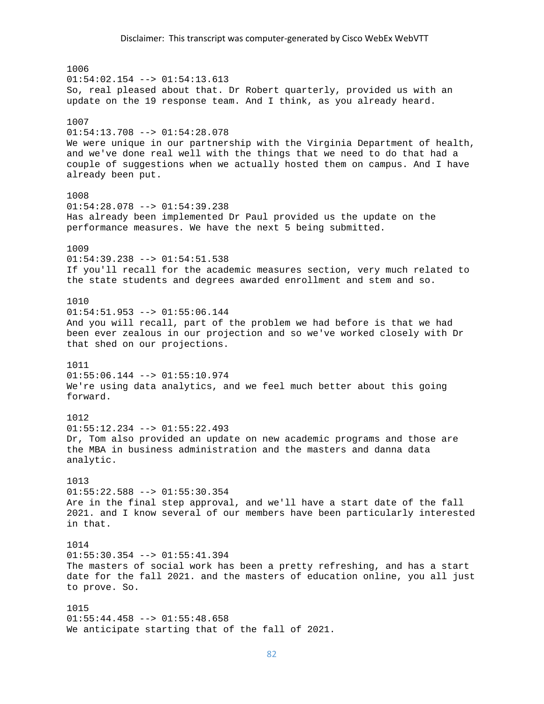1006  $01:54:02.154$  -->  $01:54:13.613$ So, real pleased about that. Dr Robert quarterly, provided us with an update on the 19 response team. And I think, as you already heard. 1007 01:54:13.708 --> 01:54:28.078 We were unique in our partnership with the Virginia Department of health, and we've done real well with the things that we need to do that had a couple of suggestions when we actually hosted them on campus. And I have already been put. 1008 01:54:28.078 --> 01:54:39.238 Has already been implemented Dr Paul provided us the update on the performance measures. We have the next 5 being submitted. 1009 01:54:39.238 --> 01:54:51.538 If you'll recall for the academic measures section, very much related to the state students and degrees awarded enrollment and stem and so. 1010  $01:54:51.953$  -->  $01:55:06.144$ And you will recall, part of the problem we had before is that we had been ever zealous in our projection and so we've worked closely with Dr that shed on our projections. 1011 01:55:06.144 --> 01:55:10.974 We're using data analytics, and we feel much better about this going forward. 1012 01:55:12.234 --> 01:55:22.493 Dr, Tom also provided an update on new academic programs and those are the MBA in business administration and the masters and danna data analytic. 1013  $01:55:22.588$  -->  $01:55:30.354$ Are in the final step approval, and we'll have a start date of the fall 2021. and I know several of our members have been particularly interested in that. 1014  $01:55:30.354$  -->  $01:55:41.394$ The masters of social work has been a pretty refreshing, and has a start date for the fall 2021. and the masters of education online, you all just to prove. So. 1015 01:55:44.458 --> 01:55:48.658 We anticipate starting that of the fall of 2021.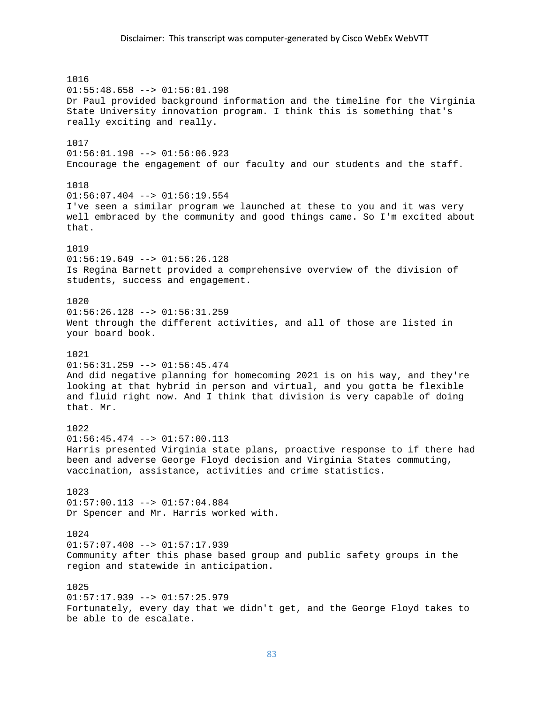### Disclaimer: This transcript was computer‐generated by Cisco WebEx WebVTT

1016 01:55:48.658 --> 01:56:01.198 Dr Paul provided background information and the timeline for the Virginia State University innovation program. I think this is something that's really exciting and really. 1017 01:56:01.198 --> 01:56:06.923 Encourage the engagement of our faculty and our students and the staff. 1018  $01:56:07.404$  -->  $01:56:19.554$ I've seen a similar program we launched at these to you and it was very well embraced by the community and good things came. So I'm excited about that. 1019 01:56:19.649 --> 01:56:26.128 Is Regina Barnett provided a comprehensive overview of the division of students, success and engagement. 1020  $01:56:26.128$  -->  $01:56:31.259$ Went through the different activities, and all of those are listed in your board book. 1021  $01:56:31.259$  -->  $01:56:45.474$ And did negative planning for homecoming 2021 is on his way, and they're looking at that hybrid in person and virtual, and you gotta be flexible and fluid right now. And I think that division is very capable of doing that. Mr. 1022  $01:56:45.474$  -->  $01:57:00.113$ Harris presented Virginia state plans, proactive response to if there had been and adverse George Floyd decision and Virginia States commuting, vaccination, assistance, activities and crime statistics. 1023 01:57:00.113 --> 01:57:04.884 Dr Spencer and Mr. Harris worked with. 1024 01:57:07.408 --> 01:57:17.939 Community after this phase based group and public safety groups in the region and statewide in anticipation. 1025 01:57:17.939 --> 01:57:25.979 Fortunately, every day that we didn't get, and the George Floyd takes to be able to de escalate.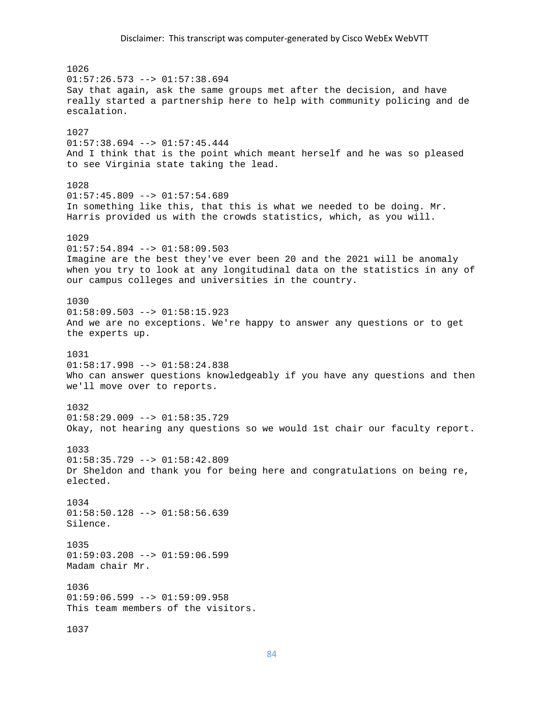1026  $01:57:26.573$  -->  $01:57:38.694$ Say that again, ask the same groups met after the decision, and have really started a partnership here to help with community policing and de escalation. 1027 01:57:38.694 --> 01:57:45.444 And I think that is the point which meant herself and he was so pleased to see Virginia state taking the lead. 1028  $01:57:45.809$  -->  $01:57:54.689$ In something like this, that this is what we needed to be doing. Mr. Harris provided us with the crowds statistics, which, as you will. 1029  $01:57:54.894$  -->  $01:58:09.503$ Imagine are the best they've ever been 20 and the 2021 will be anomaly when you try to look at any longitudinal data on the statistics in any of our campus colleges and universities in the country. 1030  $01:58:09.503$  -->  $01:58:15.923$ And we are no exceptions. We're happy to answer any questions or to get the experts up. 1031 01:58:17.998 --> 01:58:24.838 Who can answer questions knowledgeably if you have any questions and then we'll move over to reports. 1032  $01:58:29.009$  -->  $01:58:35.729$ Okay, not hearing any questions so we would 1st chair our faculty report. 1033 01:58:35.729 --> 01:58:42.809 Dr Sheldon and thank you for being here and congratulations on being re, elected. 1034 01:58:50.128 --> 01:58:56.639 Silence. 1035  $01:59:03.208$  -->  $01:59:06.599$ Madam chair Mr. 1036  $01:59:06.599$  -->  $01:59:09.958$ This team members of the visitors. 1037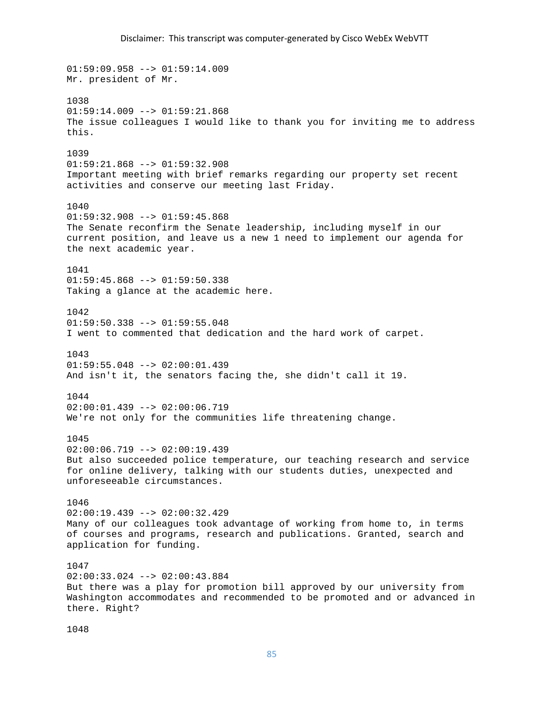# Disclaimer: This transcript was computer‐generated by Cisco WebEx WebVTT

01:59:09.958 --> 01:59:14.009 Mr. president of Mr. 1038  $01:59:14.009$  -->  $01:59:21.868$ The issue colleagues I would like to thank you for inviting me to address this. 1039 01:59:21.868 --> 01:59:32.908 Important meeting with brief remarks regarding our property set recent activities and conserve our meeting last Friday. 1040  $01:59:32.908$  -->  $01:59:45.868$ The Senate reconfirm the Senate leadership, including myself in our current position, and leave us a new 1 need to implement our agenda for the next academic year. 1041 01:59:45.868 --> 01:59:50.338 Taking a glance at the academic here. 1042 01:59:50.338 --> 01:59:55.048 I went to commented that dedication and the hard work of carpet. 1043 01:59:55.048 --> 02:00:01.439 And isn't it, the senators facing the, she didn't call it 19. 1044  $02:00:01.439$  -->  $02:00:06.719$ We're not only for the communities life threatening change. 1045 02:00:06.719 --> 02:00:19.439 But also succeeded police temperature, our teaching research and service for online delivery, talking with our students duties, unexpected and unforeseeable circumstances. 1046 02:00:19.439 --> 02:00:32.429 Many of our colleagues took advantage of working from home to, in terms of courses and programs, research and publications. Granted, search and application for funding. 1047 02:00:33.024 --> 02:00:43.884 But there was a play for promotion bill approved by our university from Washington accommodates and recommended to be promoted and or advanced in there. Right?

1048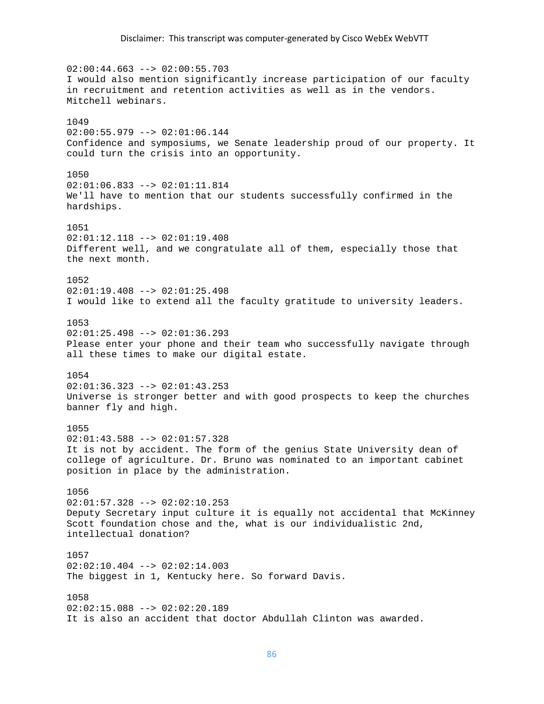$02:00:44.663$  -->  $02:00:55.703$ I would also mention significantly increase participation of our faculty in recruitment and retention activities as well as in the vendors. Mitchell webinars. 1049 02:00:55.979 --> 02:01:06.144 Confidence and symposiums, we Senate leadership proud of our property. It could turn the crisis into an opportunity. 1050 02:01:06.833 --> 02:01:11.814 We'll have to mention that our students successfully confirmed in the hardships. 1051 02:01:12.118 --> 02:01:19.408 Different well, and we congratulate all of them, especially those that the next month. 1052  $02:01:19.408$  -->  $02:01:25.498$ I would like to extend all the faculty gratitude to university leaders. 1053  $02:01:25.498$  -->  $02:01:36.293$ Please enter your phone and their team who successfully navigate through all these times to make our digital estate. 1054 02:01:36.323 --> 02:01:43.253 Universe is stronger better and with good prospects to keep the churches banner fly and high. 1055  $02:01:43.588$  -->  $02:01:57.328$ It is not by accident. The form of the genius State University dean of college of agriculture. Dr. Bruno was nominated to an important cabinet position in place by the administration. 1056  $02:01:57.328$  -->  $02:02:10.253$ Deputy Secretary input culture it is equally not accidental that McKinney Scott foundation chose and the, what is our individualistic 2nd, intellectual donation? 1057  $02:02:10.404$  -->  $02:02:14.003$ The biggest in 1, Kentucky here. So forward Davis. 1058  $02:02:15.088$  -->  $02:02:20.189$ It is also an accident that doctor Abdullah Clinton was awarded.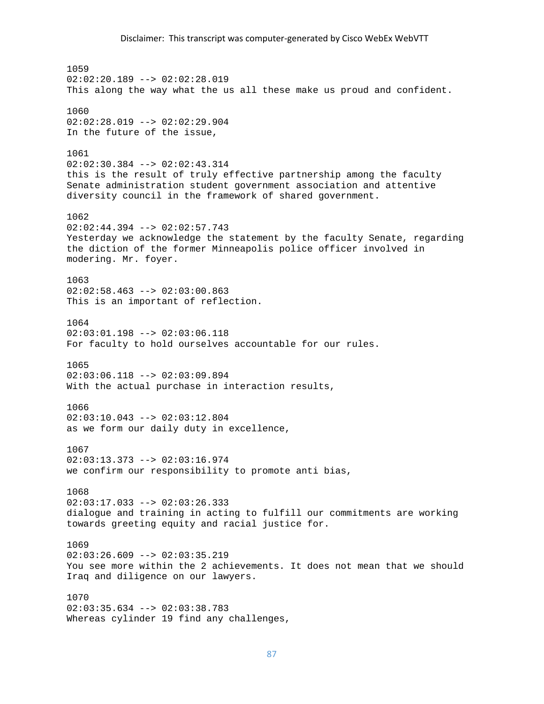1059  $02:02:20.189$  -->  $02:02:28.019$ This along the way what the us all these make us proud and confident. 1060 02:02:28.019 --> 02:02:29.904 In the future of the issue, 1061 02:02:30.384 --> 02:02:43.314 this is the result of truly effective partnership among the faculty Senate administration student government association and attentive diversity council in the framework of shared government. 1062  $02:02:44.394$  -->  $02:02:57.743$ Yesterday we acknowledge the statement by the faculty Senate, regarding the diction of the former Minneapolis police officer involved in modering. Mr. foyer. 1063  $02:02:58.463$  -->  $02:03:00.863$ This is an important of reflection. 1064 02:03:01.198 --> 02:03:06.118 For faculty to hold ourselves accountable for our rules. 1065  $02:03:06.118$  -->  $02:03:09.894$ With the actual purchase in interaction results, 1066  $02:03:10.043$  -->  $02:03:12.804$ as we form our daily duty in excellence, 1067 02:03:13.373 --> 02:03:16.974 we confirm our responsibility to promote anti bias, 1068  $02:03:17.033$  -->  $02:03:26.333$ dialogue and training in acting to fulfill our commitments are working towards greeting equity and racial justice for. 1069  $02:03:26.609$  -->  $02:03:35.219$ You see more within the 2 achievements. It does not mean that we should Iraq and diligence on our lawyers. 1070 02:03:35.634 --> 02:03:38.783 Whereas cylinder 19 find any challenges,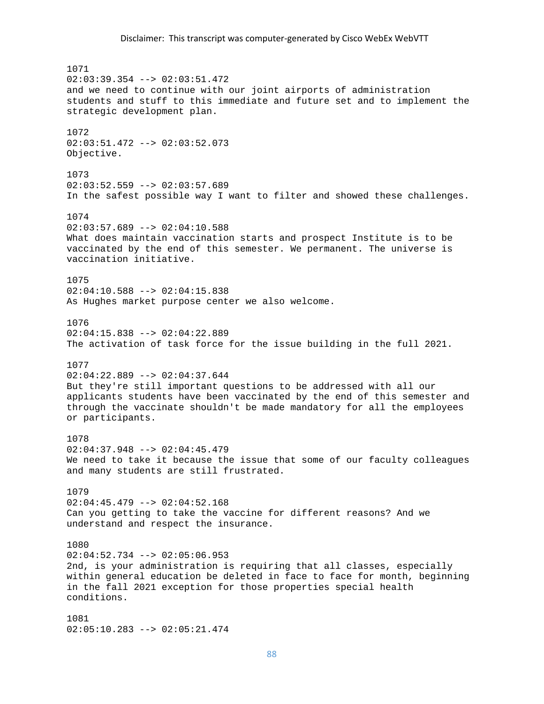### Disclaimer: This transcript was computer‐generated by Cisco WebEx WebVTT

1071  $02:03:39.354$  -->  $02:03:51.472$ and we need to continue with our joint airports of administration students and stuff to this immediate and future set and to implement the strategic development plan. 1072 02:03:51.472 --> 02:03:52.073 Objective. 1073  $02:03:52.559$  -->  $02:03:57.689$ In the safest possible way I want to filter and showed these challenges. 1074  $02:03:57.689$  -->  $02:04:10.588$ What does maintain vaccination starts and prospect Institute is to be vaccinated by the end of this semester. We permanent. The universe is vaccination initiative. 1075  $02:04:10.588$  -->  $02:04:15.838$ As Hughes market purpose center we also welcome. 1076 02:04:15.838 --> 02:04:22.889 The activation of task force for the issue building in the full 2021. 1077  $02:04:22.889$  -->  $02:04:37.644$ But they're still important questions to be addressed with all our applicants students have been vaccinated by the end of this semester and through the vaccinate shouldn't be made mandatory for all the employees or participants. 1078 02:04:37.948 --> 02:04:45.479 We need to take it because the issue that some of our faculty colleagues and many students are still frustrated. 1079 02:04:45.479 --> 02:04:52.168 Can you getting to take the vaccine for different reasons? And we understand and respect the insurance. 1080  $02:04:52.734$  -->  $02:05:06.953$ 2nd, is your administration is requiring that all classes, especially within general education be deleted in face to face for month, beginning in the fall 2021 exception for those properties special health conditions. 1081 02:05:10.283 --> 02:05:21.474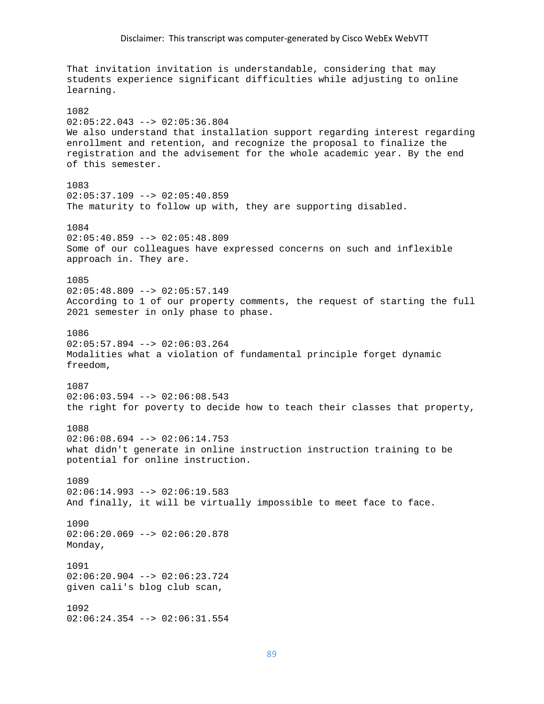That invitation invitation is understandable, considering that may students experience significant difficulties while adjusting to online learning. 1082 02:05:22.043 --> 02:05:36.804 We also understand that installation support regarding interest regarding enrollment and retention, and recognize the proposal to finalize the registration and the advisement for the whole academic year. By the end of this semester. 1083  $02:05:37.109$  -->  $02:05:40.859$ The maturity to follow up with, they are supporting disabled. 1084 02:05:40.859 --> 02:05:48.809 Some of our colleagues have expressed concerns on such and inflexible approach in. They are. 1085  $02:05:48.809$  -->  $02:05:57.149$ According to 1 of our property comments, the request of starting the full 2021 semester in only phase to phase. 1086  $02:05:57.894$  -->  $02:06:03.264$ Modalities what a violation of fundamental principle forget dynamic freedom, 1087  $02:06:03.594$  -->  $02:06:08.543$ the right for poverty to decide how to teach their classes that property, 1088  $02:06:08.694$  -->  $02:06:14.753$ what didn't generate in online instruction instruction training to be potential for online instruction. 1089  $02:06:14.993$  -->  $02:06:19.583$ And finally, it will be virtually impossible to meet face to face. 1090  $02:06:20.069$  -->  $02:06:20.878$ Monday, 1091 02:06:20.904 --> 02:06:23.724 given cali's blog club scan, 1092 02:06:24.354 --> 02:06:31.554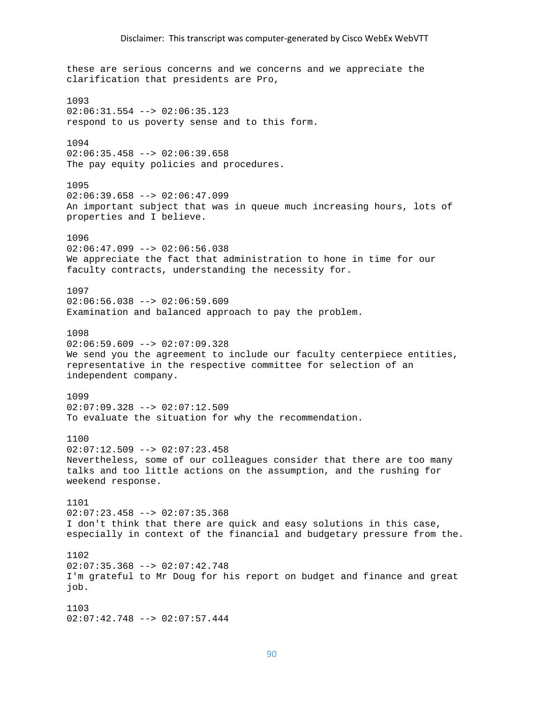these are serious concerns and we concerns and we appreciate the clarification that presidents are Pro, 1093  $02:06:31.554$  -->  $02:06:35.123$ respond to us poverty sense and to this form. 1094  $02:06:35.458$  -->  $02:06:39.658$ The pay equity policies and procedures. 1095  $02:06:39.658$  -->  $02:06:47.099$ An important subject that was in queue much increasing hours, lots of properties and I believe. 1096  $02:06:47.099$  -->  $02:06:56.038$ We appreciate the fact that administration to hone in time for our faculty contracts, understanding the necessity for. 1097  $02:06:56.038$  -->  $02:06:59.609$ Examination and balanced approach to pay the problem. 1098  $02:06:59.609$  -->  $02:07:09.328$ We send you the agreement to include our faculty centerpiece entities, representative in the respective committee for selection of an independent company. 1099 02:07:09.328 --> 02:07:12.509 To evaluate the situation for why the recommendation. 1100 02:07:12.509 --> 02:07:23.458 Nevertheless, some of our colleagues consider that there are too many talks and too little actions on the assumption, and the rushing for weekend response. 1101 02:07:23.458 --> 02:07:35.368 I don't think that there are quick and easy solutions in this case, especially in context of the financial and budgetary pressure from the. 1102  $02:07:35.368$  -->  $02:07:42.748$ I'm grateful to Mr Doug for his report on budget and finance and great job. 1103 02:07:42.748 --> 02:07:57.444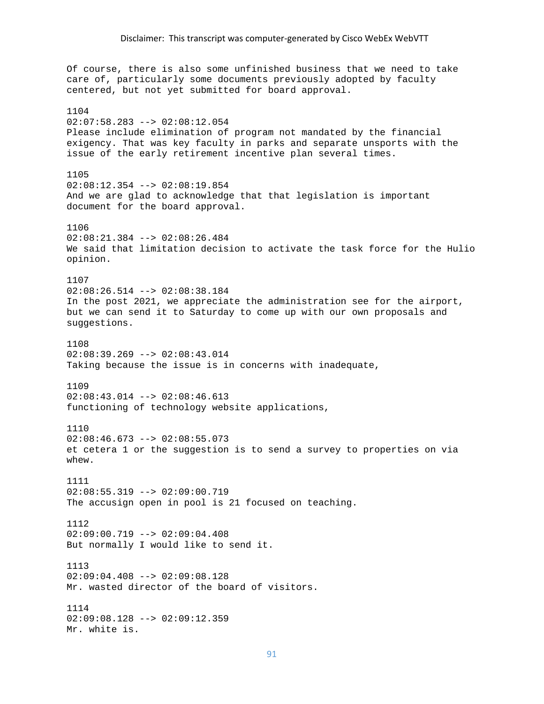Of course, there is also some unfinished business that we need to take care of, particularly some documents previously adopted by faculty centered, but not yet submitted for board approval. 1104 02:07:58.283 --> 02:08:12.054 Please include elimination of program not mandated by the financial exigency. That was key faculty in parks and separate unsports with the issue of the early retirement incentive plan several times. 1105 02:08:12.354 --> 02:08:19.854 And we are glad to acknowledge that that legislation is important document for the board approval. 1106 02:08:21.384 --> 02:08:26.484 We said that limitation decision to activate the task force for the Hulio opinion. 1107  $02:08:26.514$  -->  $02:08:38.184$ In the post 2021, we appreciate the administration see for the airport, but we can send it to Saturday to come up with our own proposals and suggestions. 1108  $02:08:39.269$  -->  $02:08:43.014$ Taking because the issue is in concerns with inadequate, 1109  $02:08:43.014$  -->  $02:08:46.613$ functioning of technology website applications, 1110  $02:08:46.673$  -->  $02:08:55.073$ et cetera 1 or the suggestion is to send a survey to properties on via whew. 1111 02:08:55.319 --> 02:09:00.719 The accusign open in pool is 21 focused on teaching. 1112  $02:09:00.719$  -->  $02:09:04.408$ But normally I would like to send it. 1113 02:09:04.408 --> 02:09:08.128 Mr. wasted director of the board of visitors. 1114 02:09:08.128 --> 02:09:12.359 Mr. white is.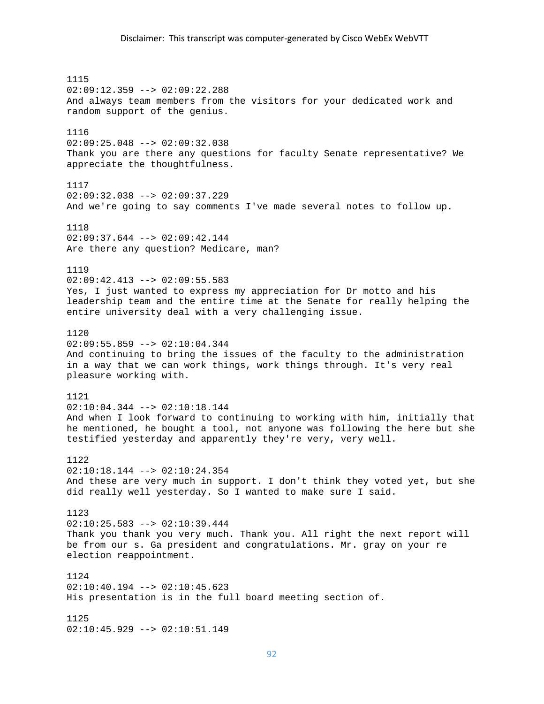1115 02:09:12.359 --> 02:09:22.288 And always team members from the visitors for your dedicated work and random support of the genius. 1116 02:09:25.048 --> 02:09:32.038 Thank you are there any questions for faculty Senate representative? We appreciate the thoughtfulness. 1117 02:09:32.038 --> 02:09:37.229 And we're going to say comments I've made several notes to follow up. 1118 02:09:37.644 --> 02:09:42.144 Are there any question? Medicare, man? 1119 02:09:42.413 --> 02:09:55.583 Yes, I just wanted to express my appreciation for Dr motto and his leadership team and the entire time at the Senate for really helping the entire university deal with a very challenging issue. 1120  $02:09:55.859$  -->  $02:10:04.344$ And continuing to bring the issues of the faculty to the administration in a way that we can work things, work things through. It's very real pleasure working with. 1121 02:10:04.344 --> 02:10:18.144 And when I look forward to continuing to working with him, initially that he mentioned, he bought a tool, not anyone was following the here but she testified yesterday and apparently they're very, very well. 1122 02:10:18.144 --> 02:10:24.354 And these are very much in support. I don't think they voted yet, but she did really well yesterday. So I wanted to make sure I said. 1123 02:10:25.583 --> 02:10:39.444 Thank you thank you very much. Thank you. All right the next report will be from our s. Ga president and congratulations. Mr. gray on your re election reappointment. 1124  $02:10:40.194$  -->  $02:10:45.623$ His presentation is in the full board meeting section of. 1125 02:10:45.929 --> 02:10:51.149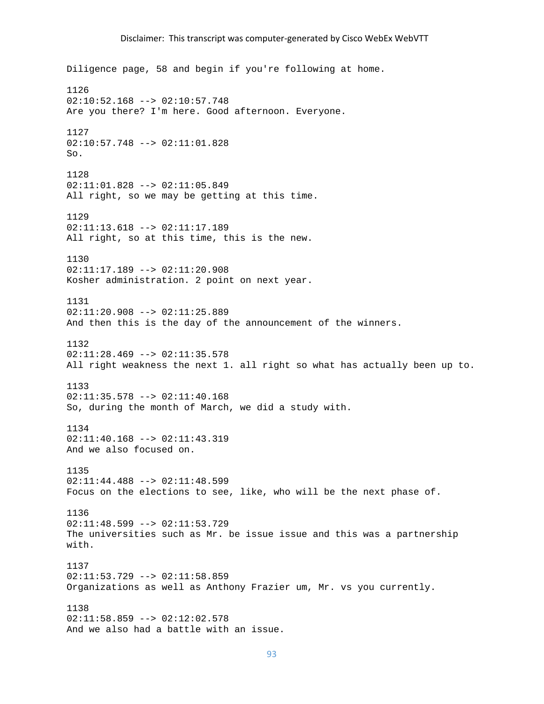Diligence page, 58 and begin if you're following at home. 1126 02:10:52.168 --> 02:10:57.748 Are you there? I'm here. Good afternoon. Everyone. 1127 02:10:57.748 --> 02:11:01.828 So. 1128 02:11:01.828 --> 02:11:05.849 All right, so we may be getting at this time. 1129  $02:11:13.618$  -->  $02:11:17.189$ All right, so at this time, this is the new. 1130 02:11:17.189 --> 02:11:20.908 Kosher administration. 2 point on next year. 1131 02:11:20.908 --> 02:11:25.889 And then this is the day of the announcement of the winners. 1132  $02:11:28.469$  -->  $02:11:35.578$ All right weakness the next 1. all right so what has actually been up to. 1133 02:11:35.578 --> 02:11:40.168 So, during the month of March, we did a study with. 1134 02:11:40.168 --> 02:11:43.319 And we also focused on. 1135  $02:11:44.488$  -->  $02:11:48.599$ Focus on the elections to see, like, who will be the next phase of. 1136  $02:11:48.599$  -->  $02:11:53.729$ The universities such as Mr. be issue issue and this was a partnership with. 1137  $02:11:53.729$  -->  $02:11:58.859$ Organizations as well as Anthony Frazier um, Mr. vs you currently. 1138 02:11:58.859 --> 02:12:02.578 And we also had a battle with an issue.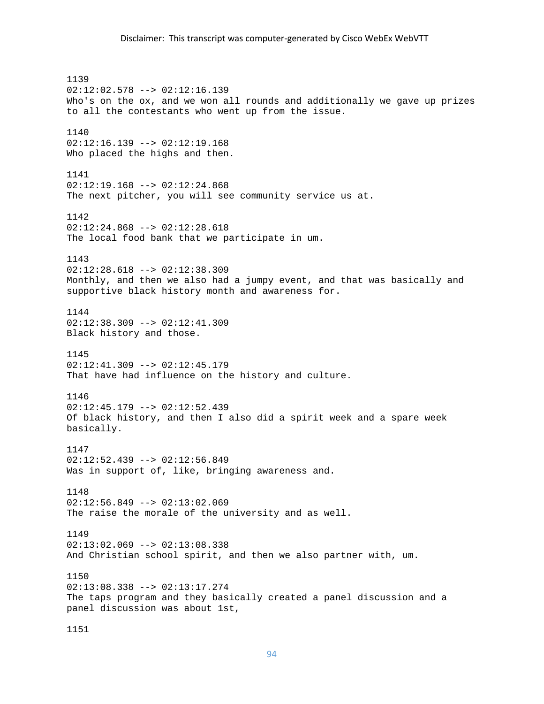1139 02:12:02.578 --> 02:12:16.139 Who's on the ox, and we won all rounds and additionally we gave up prizes to all the contestants who went up from the issue. 1140 02:12:16.139 --> 02:12:19.168 Who placed the highs and then. 1141  $02:12:19.168$  -->  $02:12:24.868$ The next pitcher, you will see community service us at. 1142  $02:12:24.868$  -->  $02:12:28.618$ The local food bank that we participate in um. 1143  $02:12:28.618$  -->  $02:12:38.309$ Monthly, and then we also had a jumpy event, and that was basically and supportive black history month and awareness for. 1144 02:12:38.309 --> 02:12:41.309 Black history and those. 1145 02:12:41.309 --> 02:12:45.179 That have had influence on the history and culture. 1146 02:12:45.179 --> 02:12:52.439 Of black history, and then I also did a spirit week and a spare week basically. 1147 02:12:52.439 --> 02:12:56.849 Was in support of, like, bringing awareness and. 1148 02:12:56.849 --> 02:13:02.069 The raise the morale of the university and as well. 1149  $02:13:02.069$  -->  $02:13:08.338$ And Christian school spirit, and then we also partner with, um. 1150  $02:13:08.338$  -->  $02:13:17.274$ The taps program and they basically created a panel discussion and a panel discussion was about 1st,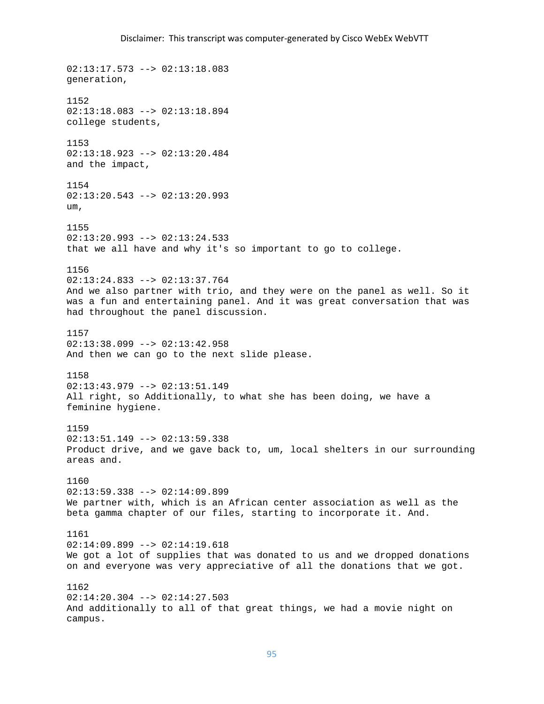02:13:17.573 --> 02:13:18.083 generation, 1152 02:13:18.083 --> 02:13:18.894 college students, 1153 02:13:18.923 --> 02:13:20.484 and the impact, 1154  $02:13:20.543$  -->  $02:13:20.993$ um, 1155 02:13:20.993 --> 02:13:24.533 that we all have and why it's so important to go to college. 1156 02:13:24.833 --> 02:13:37.764 And we also partner with trio, and they were on the panel as well. So it was a fun and entertaining panel. And it was great conversation that was had throughout the panel discussion. 1157  $02:13:38.099$  -->  $02:13:42.958$ And then we can go to the next slide please. 1158 02:13:43.979 --> 02:13:51.149 All right, so Additionally, to what she has been doing, we have a feminine hygiene. 1159  $02:13:51.149$  -->  $02:13:59.338$ Product drive, and we gave back to, um, local shelters in our surrounding areas and. 1160  $02:13:59.338$  -->  $02:14:09.899$ We partner with, which is an African center association as well as the beta gamma chapter of our files, starting to incorporate it. And. 1161 02:14:09.899 --> 02:14:19.618 We got a lot of supplies that was donated to us and we dropped donations on and everyone was very appreciative of all the donations that we got. 1162  $02:14:20.304$  -->  $02:14:27.503$ And additionally to all of that great things, we had a movie night on campus.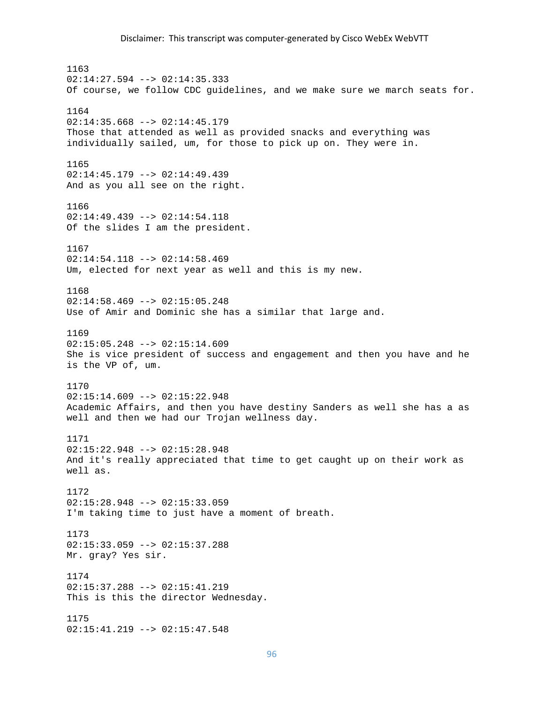1163  $02:14:27.594$  -->  $02:14:35.333$ Of course, we follow CDC guidelines, and we make sure we march seats for. 1164  $02:14:35.668$  -->  $02:14:45.179$ Those that attended as well as provided snacks and everything was individually sailed, um, for those to pick up on. They were in. 1165 02:14:45.179 --> 02:14:49.439 And as you all see on the right. 1166 02:14:49.439 --> 02:14:54.118 Of the slides I am the president. 1167 02:14:54.118 --> 02:14:58.469 Um, elected for next year as well and this is my new. 1168 02:14:58.469 --> 02:15:05.248 Use of Amir and Dominic she has a similar that large and. 1169  $02:15:05.248$  -->  $02:15:14.609$ She is vice president of success and engagement and then you have and he is the VP of, um. 1170  $02:15:14.609$  -->  $02:15:22.948$ Academic Affairs, and then you have destiny Sanders as well she has a as well and then we had our Trojan wellness day. 1171 02:15:22.948 --> 02:15:28.948 And it's really appreciated that time to get caught up on their work as well as. 1172 02:15:28.948 --> 02:15:33.059 I'm taking time to just have a moment of breath. 1173 02:15:33.059 --> 02:15:37.288 Mr. gray? Yes sir. 1174 02:15:37.288 --> 02:15:41.219 This is this the director Wednesday. 1175 02:15:41.219 --> 02:15:47.548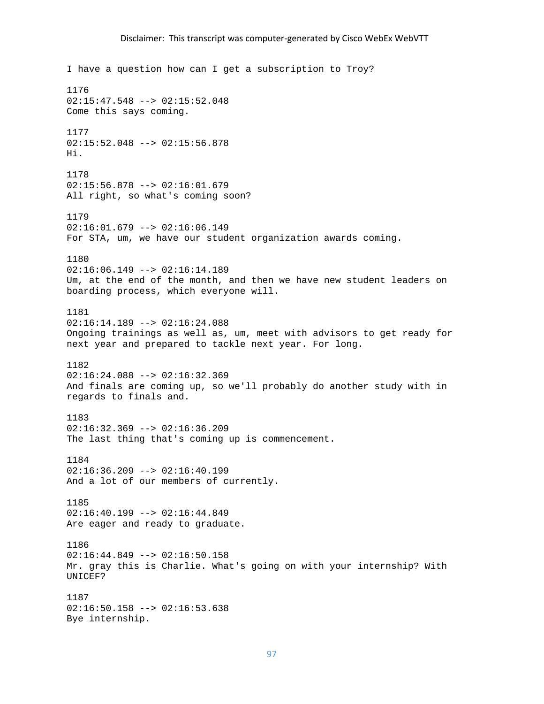I have a question how can I get a subscription to Troy? 1176  $02:15:47.548$  -->  $02:15:52.048$ Come this says coming. 1177 02:15:52.048 --> 02:15:56.878 Hi. 1178  $02:15:56.878$  -->  $02:16:01.679$ All right, so what's coming soon? 1179  $02:16:01.679$  -->  $02:16:06.149$ For STA, um, we have our student organization awards coming. 1180  $02:16:06.149$  -->  $02:16:14.189$ Um, at the end of the month, and then we have new student leaders on boarding process, which everyone will. 1181 02:16:14.189 --> 02:16:24.088 Ongoing trainings as well as, um, meet with advisors to get ready for next year and prepared to tackle next year. For long. 1182 02:16:24.088 --> 02:16:32.369 And finals are coming up, so we'll probably do another study with in regards to finals and. 1183 02:16:32.369 --> 02:16:36.209 The last thing that's coming up is commencement. 1184  $02:16:36.209$  -->  $02:16:40.199$ And a lot of our members of currently. 1185  $02:16:40.199$  -->  $02:16:44.849$ Are eager and ready to graduate. 1186  $02:16:44.849$  -->  $02:16:50.158$ Mr. gray this is Charlie. What's going on with your internship? With UNICEF? 1187  $02:16:50.158$  -->  $02:16:53.638$ Bye internship.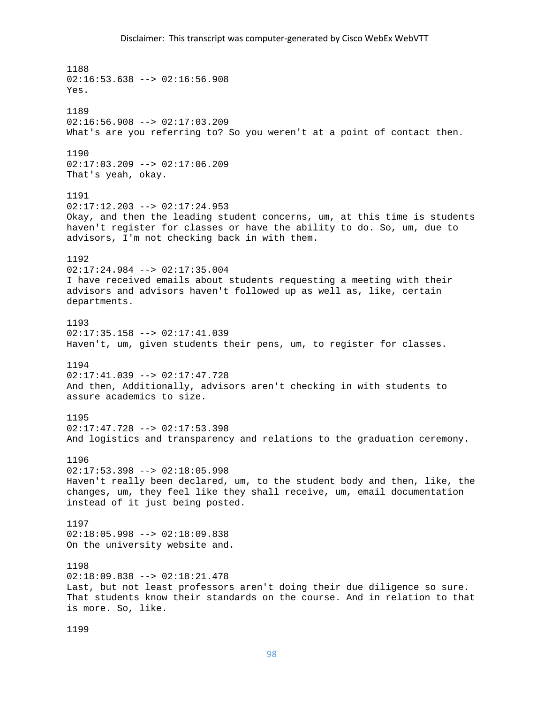1188  $02:16:53.638$  -->  $02:16:56.908$ Yes. 1189  $02:16:56.908$  -->  $02:17:03.209$ What's are you referring to? So you weren't at a point of contact then. 1190  $02:17:03.209$  -->  $02:17:06.209$ That's yeah, okay. 1191 02:17:12.203 --> 02:17:24.953 Okay, and then the leading student concerns, um, at this time is students haven't register for classes or have the ability to do. So, um, due to advisors, I'm not checking back in with them. 1192 02:17:24.984 --> 02:17:35.004 I have received emails about students requesting a meeting with their advisors and advisors haven't followed up as well as, like, certain departments. 1193 02:17:35.158 --> 02:17:41.039 Haven't, um, given students their pens, um, to register for classes. 1194 02:17:41.039 --> 02:17:47.728 And then, Additionally, advisors aren't checking in with students to assure academics to size. 1195 02:17:47.728 --> 02:17:53.398 And logistics and transparency and relations to the graduation ceremony. 1196  $02:17:53.398$  -->  $02:18:05.998$ Haven't really been declared, um, to the student body and then, like, the changes, um, they feel like they shall receive, um, email documentation instead of it just being posted. 1197  $02:18:05.998$  -->  $02:18:09.838$ On the university website and. 1198 02:18:09.838 --> 02:18:21.478 Last, but not least professors aren't doing their due diligence so sure. That students know their standards on the course. And in relation to that is more. So, like.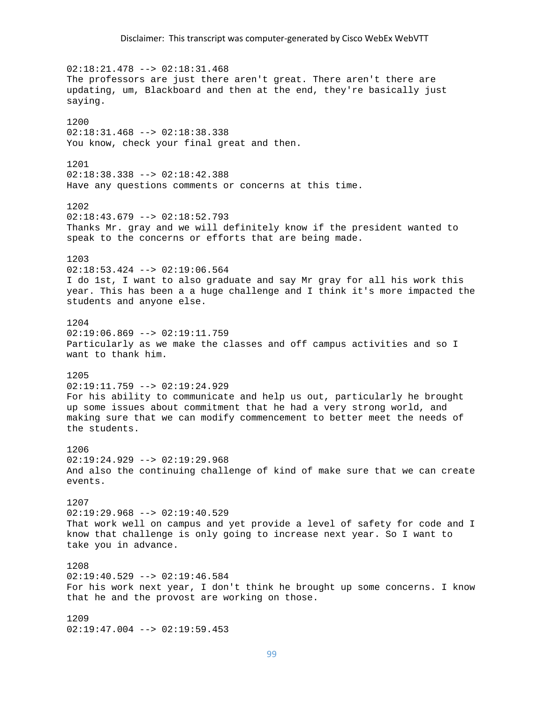02:18:21.478 --> 02:18:31.468 The professors are just there aren't great. There aren't there are updating, um, Blackboard and then at the end, they're basically just saying. 1200 02:18:31.468 --> 02:18:38.338 You know, check your final great and then. 1201 02:18:38.338 --> 02:18:42.388 Have any questions comments or concerns at this time. 1202  $02:18:43.679$  -->  $02:18:52.793$ Thanks Mr. gray and we will definitely know if the president wanted to speak to the concerns or efforts that are being made. 1203 02:18:53.424 --> 02:19:06.564 I do 1st, I want to also graduate and say Mr gray for all his work this year. This has been a a huge challenge and I think it's more impacted the students and anyone else. 1204  $02:19:06.869$  -->  $02:19:11.759$ Particularly as we make the classes and off campus activities and so I want to thank him. 1205 02:19:11.759 --> 02:19:24.929 For his ability to communicate and help us out, particularly he brought up some issues about commitment that he had a very strong world, and making sure that we can modify commencement to better meet the needs of the students. 1206 02:19:24.929 --> 02:19:29.968 And also the continuing challenge of kind of make sure that we can create events. 1207 02:19:29.968 --> 02:19:40.529 That work well on campus and yet provide a level of safety for code and I know that challenge is only going to increase next year. So I want to take you in advance. 1208  $02:19:40.529$  -->  $02:19:46.584$ For his work next year, I don't think he brought up some concerns. I know that he and the provost are working on those. 1209 02:19:47.004 --> 02:19:59.453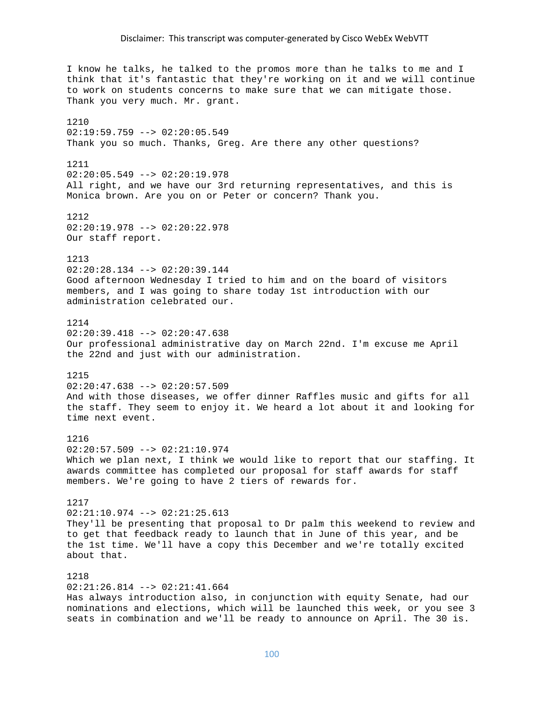I know he talks, he talked to the promos more than he talks to me and I think that it's fantastic that they're working on it and we will continue to work on students concerns to make sure that we can mitigate those. Thank you very much. Mr. grant. 1210 02:19:59.759 --> 02:20:05.549 Thank you so much. Thanks, Greg. Are there any other questions? 1211 02:20:05.549 --> 02:20:19.978 All right, and we have our 3rd returning representatives, and this is Monica brown. Are you on or Peter or concern? Thank you. 1212  $02:20:19.978$  -->  $02:20:22.978$ Our staff report. 1213 02:20:28.134 --> 02:20:39.144 Good afternoon Wednesday I tried to him and on the board of visitors members, and I was going to share today 1st introduction with our administration celebrated our. 1214  $02:20:39.418$  -->  $02:20:47.638$ Our professional administrative day on March 22nd. I'm excuse me April the 22nd and just with our administration. 1215 02:20:47.638 --> 02:20:57.509 And with those diseases, we offer dinner Raffles music and gifts for all the staff. They seem to enjoy it. We heard a lot about it and looking for time next event. 1216 02:20:57.509 --> 02:21:10.974 Which we plan next, I think we would like to report that our staffing. It awards committee has completed our proposal for staff awards for staff members. We're going to have 2 tiers of rewards for. 1217 02:21:10.974 --> 02:21:25.613 They'll be presenting that proposal to Dr palm this weekend to review and to get that feedback ready to launch that in June of this year, and be the 1st time. We'll have a copy this December and we're totally excited about that. 1218  $02:21:26.814$  -->  $02:21:41.664$ Has always introduction also, in conjunction with equity Senate, had our nominations and elections, which will be launched this week, or you see 3 seats in combination and we'll be ready to announce on April. The 30 is.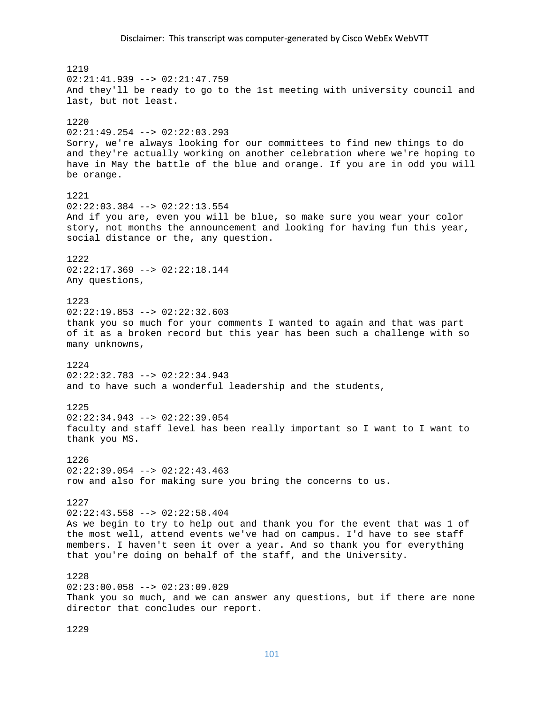1219  $02:21:41.939$  -->  $02:21:47.759$ And they'll be ready to go to the 1st meeting with university council and last, but not least. 1220 02:21:49.254 --> 02:22:03.293 Sorry, we're always looking for our committees to find new things to do and they're actually working on another celebration where we're hoping to have in May the battle of the blue and orange. If you are in odd you will be orange. 1221 02:22:03.384 --> 02:22:13.554 And if you are, even you will be blue, so make sure you wear your color story, not months the announcement and looking for having fun this year, social distance or the, any question. 1222  $02:22:17.369$  -->  $02:22:18.144$ Any questions, 1223  $02:22:19.853$  -->  $02:22:32.603$ thank you so much for your comments I wanted to again and that was part of it as a broken record but this year has been such a challenge with so many unknowns, 1224 02:22:32.783 --> 02:22:34.943 and to have such a wonderful leadership and the students, 1225  $02:22:34.943$  -->  $02:22:39.054$ faculty and staff level has been really important so I want to I want to thank you MS. 1226  $02:22:39.054$  -->  $02:22:43.463$ row and also for making sure you bring the concerns to us. 1227 02:22:43.558 --> 02:22:58.404 As we begin to try to help out and thank you for the event that was 1 of the most well, attend events we've had on campus. I'd have to see staff members. I haven't seen it over a year. And so thank you for everything that you're doing on behalf of the staff, and the University. 1228 02:23:00.058 --> 02:23:09.029 Thank you so much, and we can answer any questions, but if there are none director that concludes our report.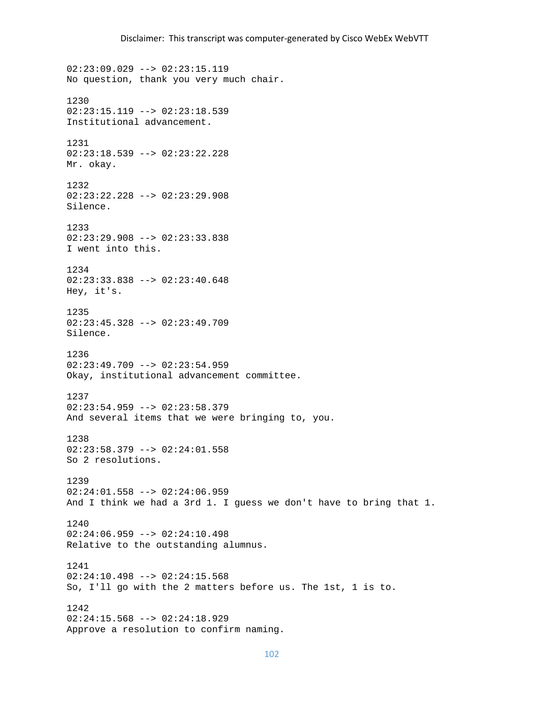02:23:09.029 --> 02:23:15.119 No question, thank you very much chair. 1230  $02:23:15.119$  -->  $02:23:18.539$ Institutional advancement. 1231 02:23:18.539 --> 02:23:22.228 Mr. okay. 1232 02:23:22.228 --> 02:23:29.908 Silence. 1233 02:23:29.908 --> 02:23:33.838 I went into this. 1234 02:23:33.838 --> 02:23:40.648 Hey, it's. 1235 02:23:45.328 --> 02:23:49.709 Silence. 1236 02:23:49.709 --> 02:23:54.959 Okay, institutional advancement committee. 1237 02:23:54.959 --> 02:23:58.379 And several items that we were bringing to, you. 1238 02:23:58.379 --> 02:24:01.558 So 2 resolutions. 1239  $02:24:01.558$  -->  $02:24:06.959$ And I think we had a 3rd 1. I guess we don't have to bring that 1. 1240  $02:24:06.959$  -->  $02:24:10.498$ Relative to the outstanding alumnus. 1241  $02:24:10.498$  -->  $02:24:15.568$ So, I'll go with the 2 matters before us. The 1st, 1 is to. 1242 02:24:15.568 --> 02:24:18.929 Approve a resolution to confirm naming.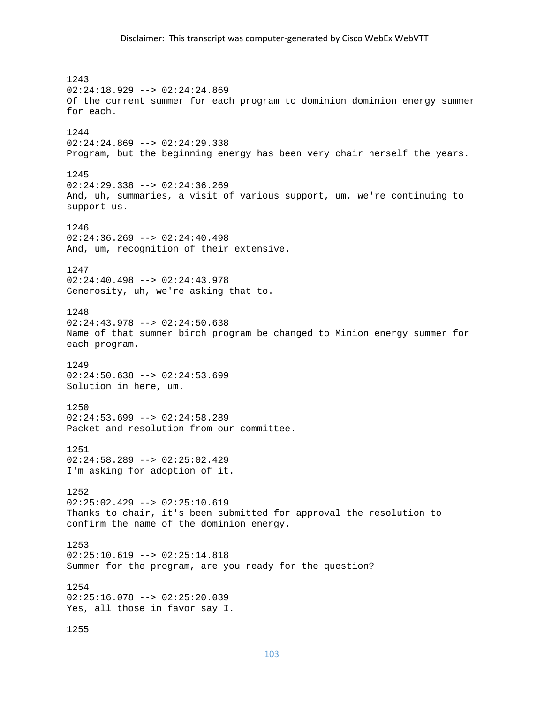# Disclaimer: This transcript was computer‐generated by Cisco WebEx WebVTT

1243 02:24:18.929 --> 02:24:24.869 Of the current summer for each program to dominion dominion energy summer for each. 1244 02:24:24.869 --> 02:24:29.338 Program, but the beginning energy has been very chair herself the years. 1245 02:24:29.338 --> 02:24:36.269 And, uh, summaries, a visit of various support, um, we're continuing to support us. 1246 02:24:36.269 --> 02:24:40.498 And, um, recognition of their extensive. 1247 02:24:40.498 --> 02:24:43.978 Generosity, uh, we're asking that to. 1248 02:24:43.978 --> 02:24:50.638 Name of that summer birch program be changed to Minion energy summer for each program. 1249  $02:24:50.638$  -->  $02:24:53.699$ Solution in here, um. 1250  $02:24:53.699$  -->  $02:24:58.289$ Packet and resolution from our committee. 1251 02:24:58.289 --> 02:25:02.429 I'm asking for adoption of it. 1252 02:25:02.429 --> 02:25:10.619 Thanks to chair, it's been submitted for approval the resolution to confirm the name of the dominion energy. 1253  $02:25:10.619$  -->  $02:25:14.818$ Summer for the program, are you ready for the question? 1254 02:25:16.078 --> 02:25:20.039 Yes, all those in favor say I. 1255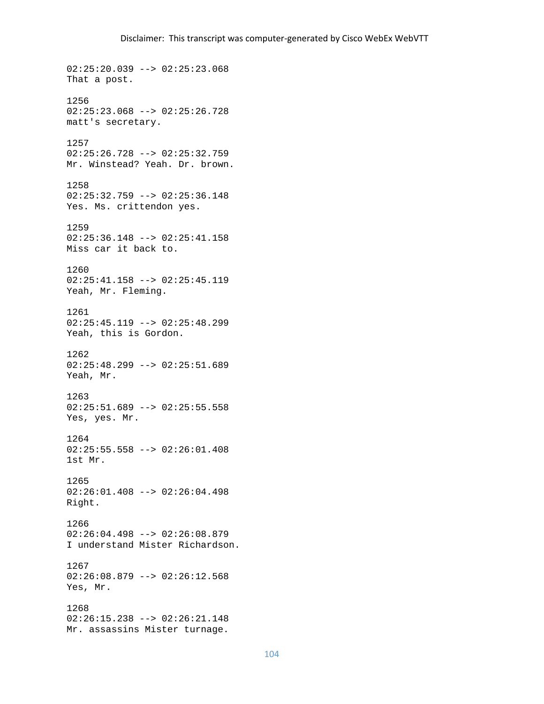02:25:20.039 --> 02:25:23.068 That a post. 1256  $02:25:23.068$  -->  $02:25:26.728$ matt's secretary. 1257 02:25:26.728 --> 02:25:32.759 Mr. Winstead? Yeah. Dr. brown. 1258 02:25:32.759 --> 02:25:36.148 Yes. Ms. crittendon yes. 1259 02:25:36.148 --> 02:25:41.158 Miss car it back to. 1260 02:25:41.158 --> 02:25:45.119 Yeah, Mr. Fleming. 1261 02:25:45.119 --> 02:25:48.299 Yeah, this is Gordon. 1262 02:25:48.299 --> 02:25:51.689 Yeah, Mr. 1263 02:25:51.689 --> 02:25:55.558 Yes, yes. Mr. 1264 02:25:55.558 --> 02:26:01.408 1st Mr. 1265 02:26:01.408 --> 02:26:04.498 Right. 1266 02:26:04.498 --> 02:26:08.879 I understand Mister Richardson. 1267 02:26:08.879 --> 02:26:12.568 Yes, Mr. 1268 02:26:15.238 --> 02:26:21.148 Mr. assassins Mister turnage.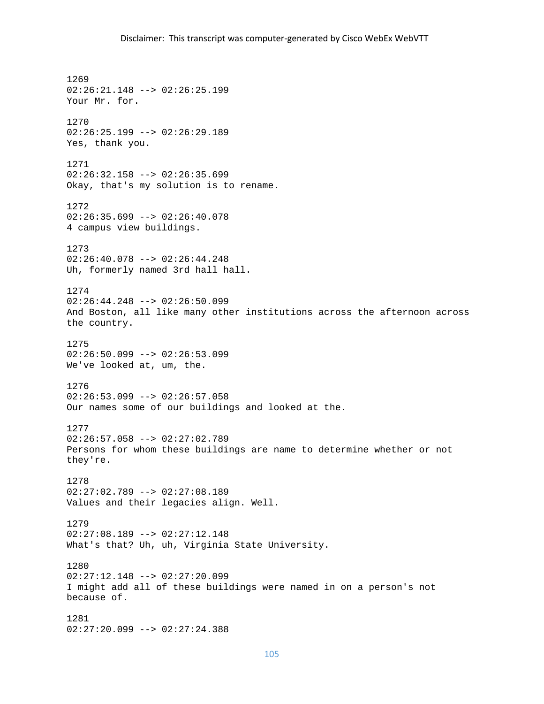1269 02:26:21.148 --> 02:26:25.199 Your Mr. for. 1270 02:26:25.199 --> 02:26:29.189 Yes, thank you. 1271 02:26:32.158 --> 02:26:35.699 Okay, that's my solution is to rename. 1272 02:26:35.699 --> 02:26:40.078 4 campus view buildings. 1273 02:26:40.078 --> 02:26:44.248 Uh, formerly named 3rd hall hall. 1274 02:26:44.248 --> 02:26:50.099 And Boston, all like many other institutions across the afternoon across the country. 1275  $02:26:50.099$  -->  $02:26:53.099$ We've looked at, um, the. 1276  $02:26:53.099$  -->  $02:26:57.058$ Our names some of our buildings and looked at the. 1277 02:26:57.058 --> 02:27:02.789 Persons for whom these buildings are name to determine whether or not they're. 1278 02:27:02.789 --> 02:27:08.189 Values and their legacies align. Well. 1279 02:27:08.189 --> 02:27:12.148 What's that? Uh, uh, Virginia State University. 1280 02:27:12.148 --> 02:27:20.099 I might add all of these buildings were named in on a person's not because of. 1281 02:27:20.099 --> 02:27:24.388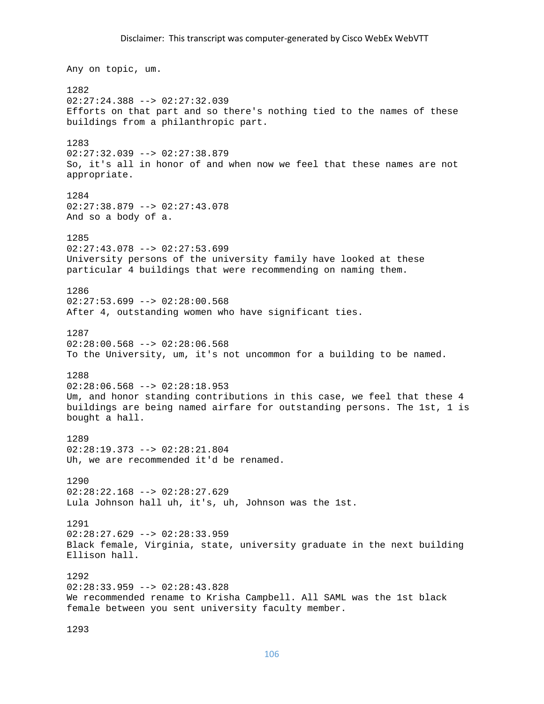Any on topic, um. 1282 02:27:24.388 --> 02:27:32.039 Efforts on that part and so there's nothing tied to the names of these buildings from a philanthropic part. 1283 02:27:32.039 --> 02:27:38.879 So, it's all in honor of and when now we feel that these names are not appropriate. 1284 02:27:38.879 --> 02:27:43.078 And so a body of a. 1285  $02:27:43.078$  -->  $02:27:53.699$ University persons of the university family have looked at these particular 4 buildings that were recommending on naming them. 1286  $02:27:53.699$  -->  $02:28:00.568$ After 4, outstanding women who have significant ties. 1287  $02:28:00.568$  -->  $02:28:06.568$ To the University, um, it's not uncommon for a building to be named. 1288 02:28:06.568 --> 02:28:18.953 Um, and honor standing contributions in this case, we feel that these 4 buildings are being named airfare for outstanding persons. The 1st, 1 is bought a hall. 1289 02:28:19.373 --> 02:28:21.804 Uh, we are recommended it'd be renamed. 1290 02:28:22.168 --> 02:28:27.629 Lula Johnson hall uh, it's, uh, Johnson was the 1st. 1291  $02:28:27.629$  -->  $02:28:33.959$ Black female, Virginia, state, university graduate in the next building Ellison hall. 1292 02:28:33.959 --> 02:28:43.828 We recommended rename to Krisha Campbell. All SAML was the 1st black female between you sent university faculty member.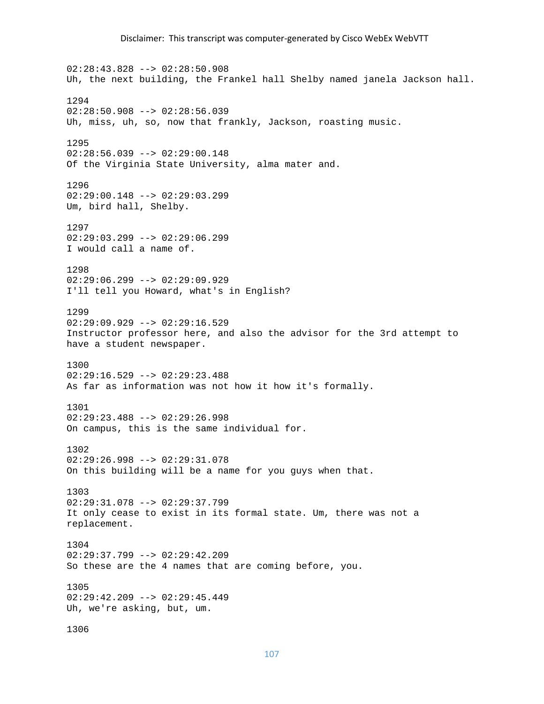02:28:43.828 --> 02:28:50.908 Uh, the next building, the Frankel hall Shelby named janela Jackson hall. 1294  $02:28:50.908$  -->  $02:28:56.039$ Uh, miss, uh, so, now that frankly, Jackson, roasting music. 1295 02:28:56.039 --> 02:29:00.148 Of the Virginia State University, alma mater and. 1296 02:29:00.148 --> 02:29:03.299 Um, bird hall, Shelby. 1297 02:29:03.299 --> 02:29:06.299 I would call a name of. 1298 02:29:06.299 --> 02:29:09.929 I'll tell you Howard, what's in English? 1299 02:29:09.929 --> 02:29:16.529 Instructor professor here, and also the advisor for the 3rd attempt to have a student newspaper. 1300 02:29:16.529 --> 02:29:23.488 As far as information was not how it how it's formally. 1301  $02:29:23.488$  -->  $02:29:26.998$ On campus, this is the same individual for. 1302 02:29:26.998 --> 02:29:31.078 On this building will be a name for you guys when that. 1303 02:29:31.078 --> 02:29:37.799 It only cease to exist in its formal state. Um, there was not a replacement. 1304 02:29:37.799 --> 02:29:42.209 So these are the 4 names that are coming before, you. 1305 02:29:42.209 --> 02:29:45.449 Uh, we're asking, but, um. 1306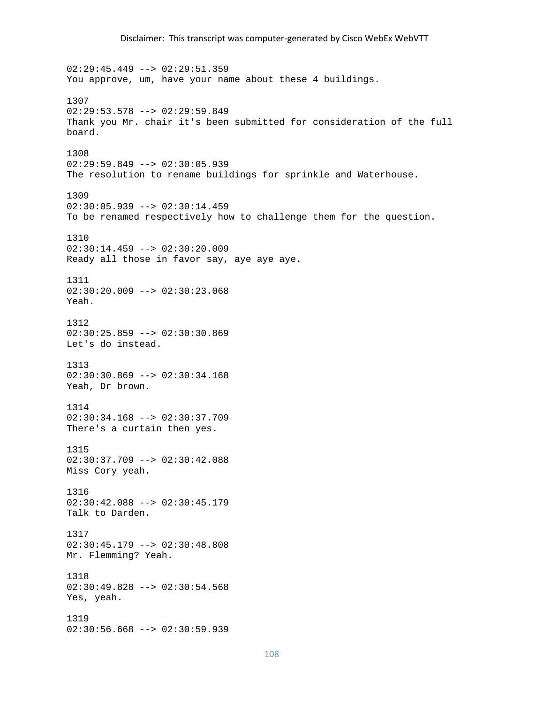$02:29:45.449$  -->  $02:29:51.359$ You approve, um, have your name about these 4 buildings. 1307 02:29:53.578 --> 02:29:59.849 Thank you Mr. chair it's been submitted for consideration of the full board. 1308 02:29:59.849 --> 02:30:05.939 The resolution to rename buildings for sprinkle and Waterhouse. 1309 02:30:05.939 --> 02:30:14.459 To be renamed respectively how to challenge them for the question. 1310 02:30:14.459 --> 02:30:20.009 Ready all those in favor say, aye aye aye. 1311  $02:30:20.009$  -->  $02:30:23.068$ Yeah. 1312 02:30:25.859 --> 02:30:30.869 Let's do instead. 1313 02:30:30.869 --> 02:30:34.168 Yeah, Dr brown. 1314 02:30:34.168 --> 02:30:37.709 There's a curtain then yes. 1315 02:30:37.709 --> 02:30:42.088 Miss Cory yeah. 1316  $02:30:42.088$  -->  $02:30:45.179$ Talk to Darden. 1317 02:30:45.179 --> 02:30:48.808 Mr. Flemming? Yeah. 1318 02:30:49.828 --> 02:30:54.568 Yes, yeah. 1319 02:30:56.668 --> 02:30:59.939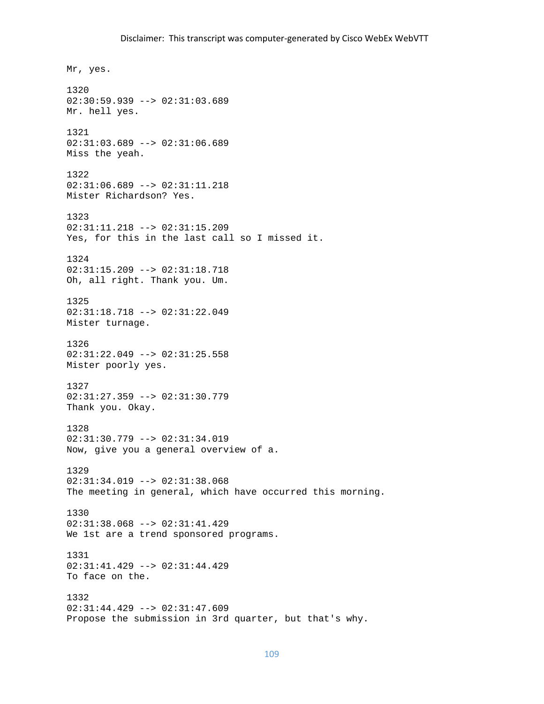Mr, yes. 1320 02:30:59.939 --> 02:31:03.689 Mr. hell yes. 1321 02:31:03.689 --> 02:31:06.689 Miss the yeah. 1322 02:31:06.689 --> 02:31:11.218 Mister Richardson? Yes. 1323 02:31:11.218 --> 02:31:15.209 Yes, for this in the last call so I missed it. 1324 02:31:15.209 --> 02:31:18.718 Oh, all right. Thank you. Um. 1325 02:31:18.718 --> 02:31:22.049 Mister turnage. 1326 02:31:22.049 --> 02:31:25.558 Mister poorly yes. 1327 02:31:27.359 --> 02:31:30.779 Thank you. Okay. 1328 02:31:30.779 --> 02:31:34.019 Now, give you a general overview of a. 1329  $02:31:34.019$  -->  $02:31:38.068$ The meeting in general, which have occurred this morning. 1330 02:31:38.068 --> 02:31:41.429 We 1st are a trend sponsored programs. 1331 02:31:41.429 --> 02:31:44.429 To face on the. 1332  $02:31:44.429$  -->  $02:31:47.609$ Propose the submission in 3rd quarter, but that's why.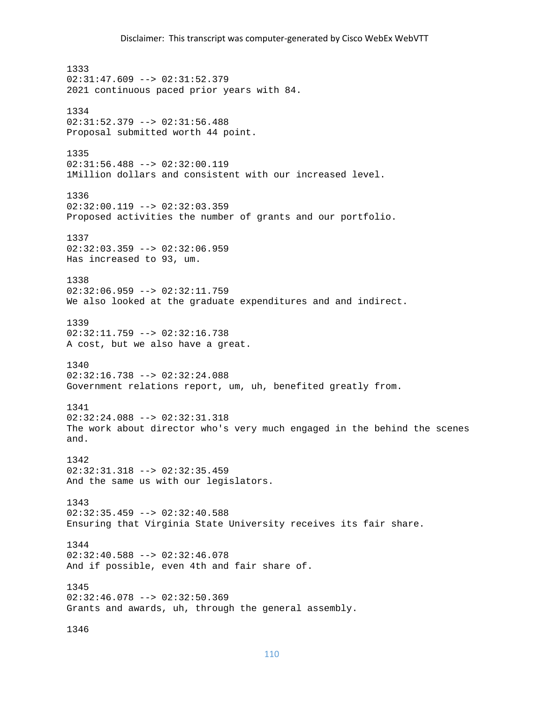1333  $02:31:47.609$  -->  $02:31:52.379$ 2021 continuous paced prior years with 84. 1334 02:31:52.379 --> 02:31:56.488 Proposal submitted worth 44 point. 1335 02:31:56.488 --> 02:32:00.119 1Million dollars and consistent with our increased level. 1336 02:32:00.119 --> 02:32:03.359 Proposed activities the number of grants and our portfolio. 1337 02:32:03.359 --> 02:32:06.959 Has increased to 93, um. 1338  $02:32:06.959$  -->  $02:32:11.759$ We also looked at the graduate expenditures and and indirect. 1339 02:32:11.759 --> 02:32:16.738 A cost, but we also have a great. 1340 02:32:16.738 --> 02:32:24.088 Government relations report, um, uh, benefited greatly from. 1341 02:32:24.088 --> 02:32:31.318 The work about director who's very much engaged in the behind the scenes and. 1342 02:32:31.318 --> 02:32:35.459 And the same us with our legislators. 1343 02:32:35.459 --> 02:32:40.588 Ensuring that Virginia State University receives its fair share. 1344 02:32:40.588 --> 02:32:46.078 And if possible, even 4th and fair share of. 1345 02:32:46.078 --> 02:32:50.369 Grants and awards, uh, through the general assembly. 1346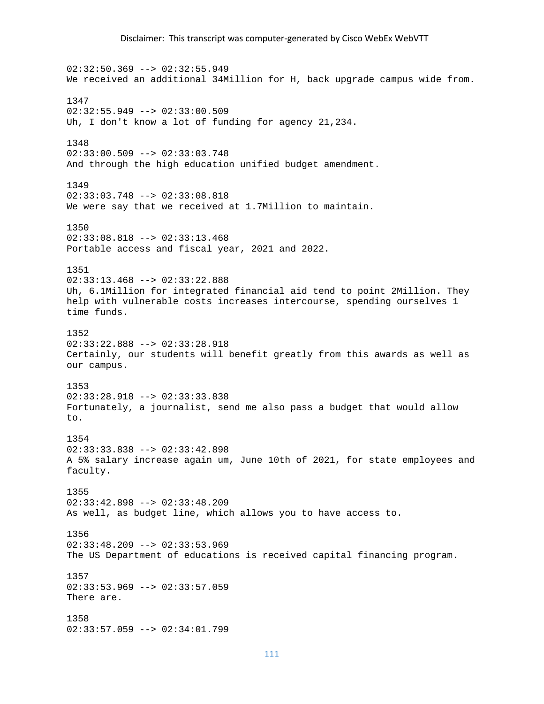$02:32:50.369$  -->  $02:32:55.949$ We received an additional 34Million for H, back upgrade campus wide from. 1347 02:32:55.949 --> 02:33:00.509 Uh, I don't know a lot of funding for agency 21,234. 1348 02:33:00.509 --> 02:33:03.748 And through the high education unified budget amendment. 1349 02:33:03.748 --> 02:33:08.818 We were say that we received at 1.7Million to maintain. 1350 02:33:08.818 --> 02:33:13.468 Portable access and fiscal year, 2021 and 2022. 1351 02:33:13.468 --> 02:33:22.888 Uh, 6.1Million for integrated financial aid tend to point 2Million. They help with vulnerable costs increases intercourse, spending ourselves 1 time funds. 1352  $02:33:22.888$  -->  $02:33:28.918$ Certainly, our students will benefit greatly from this awards as well as our campus. 1353 02:33:28.918 --> 02:33:33.838 Fortunately, a journalist, send me also pass a budget that would allow to. 1354 02:33:33.838 --> 02:33:42.898 A 5% salary increase again um, June 10th of 2021, for state employees and faculty. 1355 02:33:42.898 --> 02:33:48.209 As well, as budget line, which allows you to have access to. 1356 02:33:48.209 --> 02:33:53.969 The US Department of educations is received capital financing program. 1357 02:33:53.969 --> 02:33:57.059 There are. 1358 02:33:57.059 --> 02:34:01.799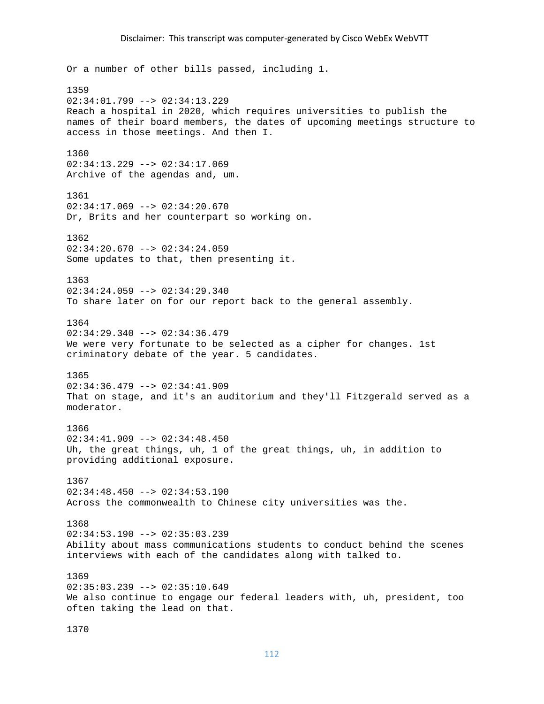Or a number of other bills passed, including 1. 1359 02:34:01.799 --> 02:34:13.229 Reach a hospital in 2020, which requires universities to publish the names of their board members, the dates of upcoming meetings structure to access in those meetings. And then I. 1360 02:34:13.229 --> 02:34:17.069 Archive of the agendas and, um. 1361 02:34:17.069 --> 02:34:20.670 Dr, Brits and her counterpart so working on. 1362  $02:34:20.670$  -->  $02:34:24.059$ Some updates to that, then presenting it. 1363  $02:34:24.059$  -->  $02:34:29.340$ To share later on for our report back to the general assembly. 1364 02:34:29.340 --> 02:34:36.479 We were very fortunate to be selected as a cipher for changes. 1st criminatory debate of the year. 5 candidates. 1365 02:34:36.479 --> 02:34:41.909 That on stage, and it's an auditorium and they'll Fitzgerald served as a moderator. 1366  $02:34:41.909$  -->  $02:34:48.450$ Uh, the great things, uh, 1 of the great things, uh, in addition to providing additional exposure. 1367  $02:34:48.450$  -->  $02:34:53.190$ Across the commonwealth to Chinese city universities was the. 1368 02:34:53.190 --> 02:35:03.239 Ability about mass communications students to conduct behind the scenes interviews with each of the candidates along with talked to. 1369 02:35:03.239 --> 02:35:10.649 We also continue to engage our federal leaders with, uh, president, too often taking the lead on that.

1370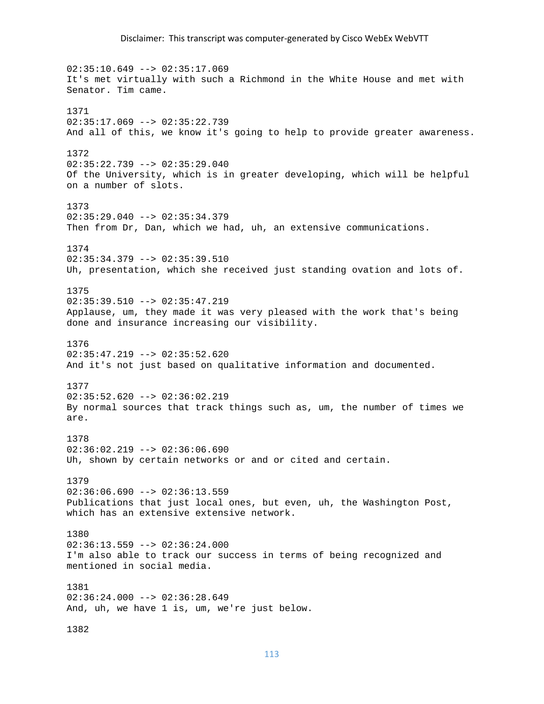02:35:10.649 --> 02:35:17.069 It's met virtually with such a Richmond in the White House and met with Senator. Tim came. 1371  $02:35:17.069$  -->  $02:35:22.739$ And all of this, we know it's going to help to provide greater awareness. 1372  $02:35:22.739$  -->  $02:35:29.040$ Of the University, which is in greater developing, which will be helpful on a number of slots. 1373 02:35:29.040 --> 02:35:34.379 Then from Dr, Dan, which we had, uh, an extensive communications. 1374 02:35:34.379 --> 02:35:39.510 Uh, presentation, which she received just standing ovation and lots of. 1375 02:35:39.510 --> 02:35:47.219 Applause, um, they made it was very pleased with the work that's being done and insurance increasing our visibility. 1376  $02:35:47.219$  -->  $02:35:52.620$ And it's not just based on qualitative information and documented. 1377  $02:35:52.620$  -->  $02:36:02.219$ By normal sources that track things such as, um, the number of times we are. 1378 02:36:02.219 --> 02:36:06.690 Uh, shown by certain networks or and or cited and certain. 1379  $02:36:06.690$  -->  $02:36:13.559$ Publications that just local ones, but even, uh, the Washington Post, which has an extensive extensive network. 1380 02:36:13.559 --> 02:36:24.000 I'm also able to track our success in terms of being recognized and mentioned in social media. 1381  $02:36:24.000$  -->  $02:36:28.649$ And, uh, we have 1 is, um, we're just below. 1382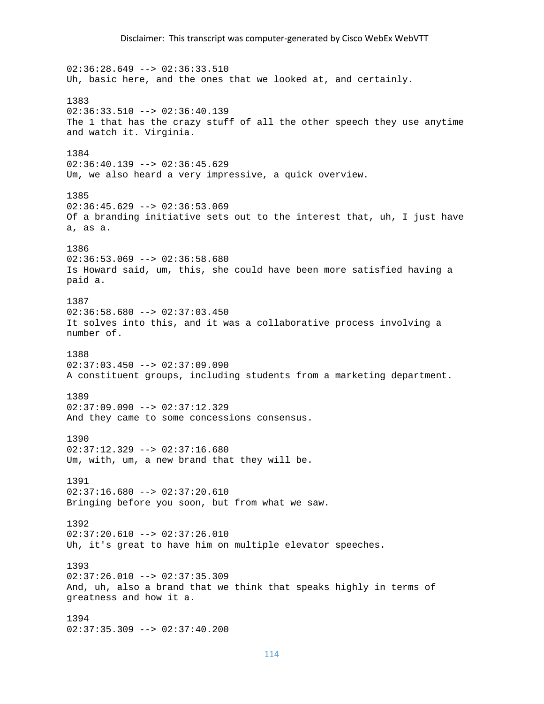$02:36:28.649$  -->  $02:36:33.510$ Uh, basic here, and the ones that we looked at, and certainly. 1383  $02:36:33.510$  -->  $02:36:40.139$ The 1 that has the crazy stuff of all the other speech they use anytime and watch it. Virginia. 1384  $02:36:40.139$  -->  $02:36:45.629$ Um, we also heard a very impressive, a quick overview. 1385 02:36:45.629 --> 02:36:53.069 Of a branding initiative sets out to the interest that, uh, I just have a, as a. 1386  $02:36:53.069$  -->  $02:36:58.680$ Is Howard said, um, this, she could have been more satisfied having a paid a. 1387  $02:36:58.680$  -->  $02:37:03.450$ It solves into this, and it was a collaborative process involving a number of. 1388  $02:37:03.450$  -->  $02:37:09.090$ A constituent groups, including students from a marketing department. 1389 02:37:09.090 --> 02:37:12.329 And they came to some concessions consensus. 1390 02:37:12.329 --> 02:37:16.680 Um, with, um, a new brand that they will be. 1391 02:37:16.680 --> 02:37:20.610 Bringing before you soon, but from what we saw. 1392  $02:37:20.610$  -->  $02:37:26.010$ Uh, it's great to have him on multiple elevator speeches. 1393 02:37:26.010 --> 02:37:35.309 And, uh, also a brand that we think that speaks highly in terms of greatness and how it a. 1394 02:37:35.309 --> 02:37:40.200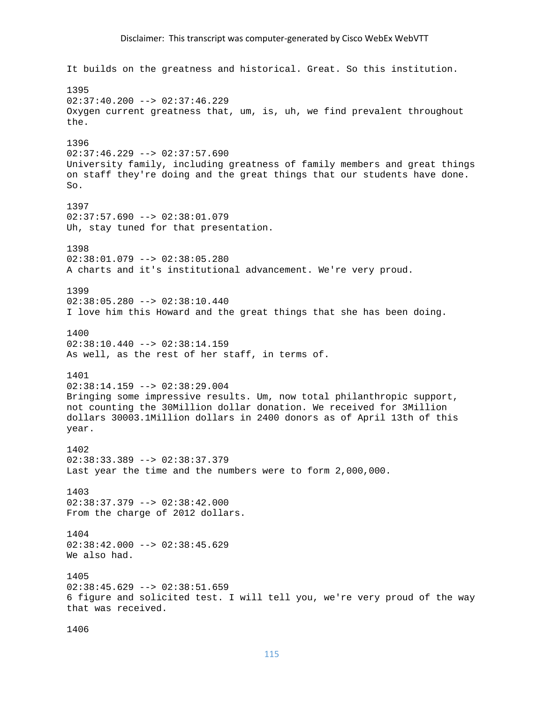## Disclaimer: This transcript was computer‐generated by Cisco WebEx WebVTT

It builds on the greatness and historical. Great. So this institution. 1395  $02:37:40.200$  -->  $02:37:46.229$ Oxygen current greatness that, um, is, uh, we find prevalent throughout the. 1396  $02:37:46.229$  -->  $02:37:57.690$ University family, including greatness of family members and great things on staff they're doing and the great things that our students have done.  $S<sub>O</sub>$ 1397 02:37:57.690 --> 02:38:01.079 Uh, stay tuned for that presentation. 1398 02:38:01.079 --> 02:38:05.280 A charts and it's institutional advancement. We're very proud. 1399 02:38:05.280 --> 02:38:10.440 I love him this Howard and the great things that she has been doing. 1400  $02:38:10.440$  -->  $02:38:14.159$ As well, as the rest of her staff, in terms of. 1401 02:38:14.159 --> 02:38:29.004 Bringing some impressive results. Um, now total philanthropic support, not counting the 30Million dollar donation. We received for 3Million dollars 30003.1Million dollars in 2400 donors as of April 13th of this year. 1402 02:38:33.389 --> 02:38:37.379 Last year the time and the numbers were to form 2,000,000. 1403 02:38:37.379 --> 02:38:42.000 From the charge of 2012 dollars. 1404  $02:38:42.000$  -->  $02:38:45.629$ We also had. 1405  $02:38:45.629$  -->  $02:38:51.659$ 6 figure and solicited test. I will tell you, we're very proud of the way that was received.

```
1406
```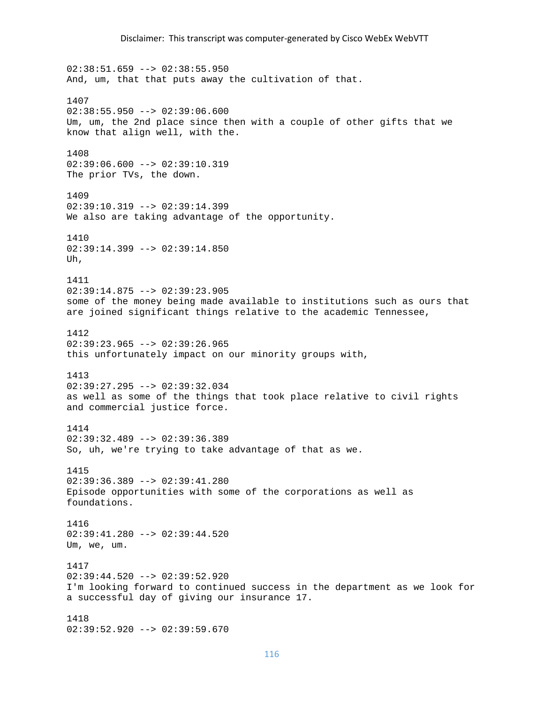02:38:51.659 --> 02:38:55.950 And, um, that that puts away the cultivation of that. 1407  $02:38:55.950$  -->  $02:39:06.600$ Um, um, the 2nd place since then with a couple of other gifts that we know that align well, with the. 1408 02:39:06.600 --> 02:39:10.319 The prior TVs, the down. 1409 02:39:10.319 --> 02:39:14.399 We also are taking advantage of the opportunity. 1410 02:39:14.399 --> 02:39:14.850 Uh, 1411  $02:39:14.875$  -->  $02:39:23.905$ some of the money being made available to institutions such as ours that are joined significant things relative to the academic Tennessee, 1412  $02:39:23.965$  -->  $02:39:26.965$ this unfortunately impact on our minority groups with, 1413 02:39:27.295 --> 02:39:32.034 as well as some of the things that took place relative to civil rights and commercial justice force. 1414 02:39:32.489 --> 02:39:36.389 So, uh, we're trying to take advantage of that as we. 1415  $02:39:36.389$  -->  $02:39:41.280$ Episode opportunities with some of the corporations as well as foundations. 1416  $02:39:41.280$  -->  $02:39:44.520$ Um, we, um. 1417  $02:39:44.520$  -->  $02:39:52.920$ I'm looking forward to continued success in the department as we look for a successful day of giving our insurance 17. 1418

02:39:52.920 --> 02:39:59.670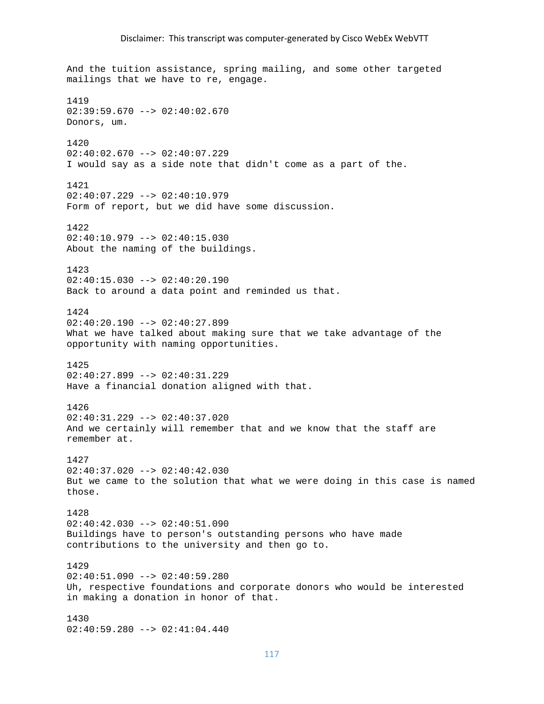And the tuition assistance, spring mailing, and some other targeted mailings that we have to re, engage. 1419  $02:39:59.670$  -->  $02:40:02.670$ Donors, um. 1420  $02:40:02.670$  -->  $02:40:07.229$ I would say as a side note that didn't come as a part of the. 1421  $02:40:07.229$  -->  $02:40:10.979$ Form of report, but we did have some discussion. 1422 02:40:10.979 --> 02:40:15.030 About the naming of the buildings. 1423 02:40:15.030 --> 02:40:20.190 Back to around a data point and reminded us that. 1424 02:40:20.190 --> 02:40:27.899 What we have talked about making sure that we take advantage of the opportunity with naming opportunities. 1425 02:40:27.899 --> 02:40:31.229 Have a financial donation aligned with that. 1426  $02:40:31.229$  -->  $02:40:37.020$ And we certainly will remember that and we know that the staff are remember at. 1427  $02:40:37.020$  -->  $02:40:42.030$ But we came to the solution that what we were doing in this case is named those. 1428 02:40:42.030 --> 02:40:51.090 Buildings have to person's outstanding persons who have made contributions to the university and then go to. 1429  $02:40:51.090$  -->  $02:40:59.280$ Uh, respective foundations and corporate donors who would be interested in making a donation in honor of that. 1430

02:40:59.280 --> 02:41:04.440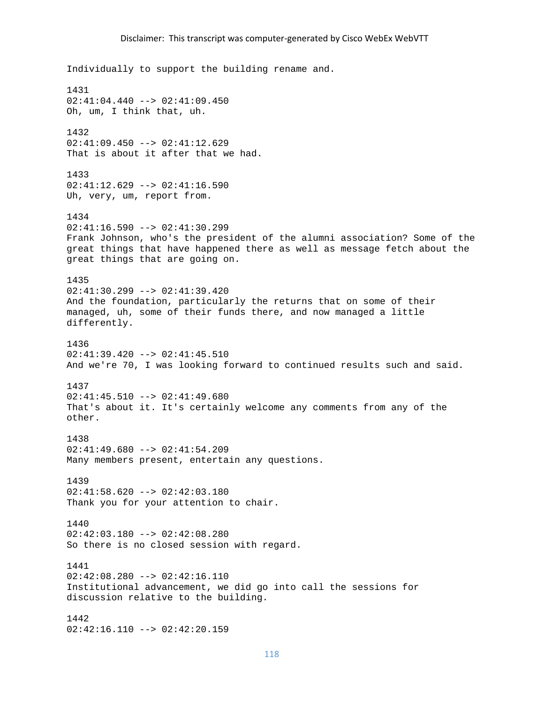Individually to support the building rename and. 1431  $02:41:04.440$  -->  $02:41:09.450$ Oh, um, I think that, uh. 1432 02:41:09.450 --> 02:41:12.629 That is about it after that we had. 1433  $02:41:12.629$  -->  $02:41:16.590$ Uh, very, um, report from. 1434  $02:41:16.590$  -->  $02:41:30.299$ Frank Johnson, who's the president of the alumni association? Some of the great things that have happened there as well as message fetch about the great things that are going on. 1435  $02:41:30.299$  -->  $02:41:39.420$ And the foundation, particularly the returns that on some of their managed, uh, some of their funds there, and now managed a little differently. 1436  $02:41:39.420$  -->  $02:41:45.510$ And we're 70, I was looking forward to continued results such and said. 1437  $02:41:45.510$  -->  $02:41:49.680$ That's about it. It's certainly welcome any comments from any of the other. 1438 02:41:49.680 --> 02:41:54.209 Many members present, entertain any questions. 1439  $02:41:58.620$  -->  $02:42:03.180$ Thank you for your attention to chair. 1440 02:42:03.180 --> 02:42:08.280 So there is no closed session with regard. 1441  $02:42:08.280$  -->  $02:42:16.110$ Institutional advancement, we did go into call the sessions for discussion relative to the building. 1442 02:42:16.110 --> 02:42:20.159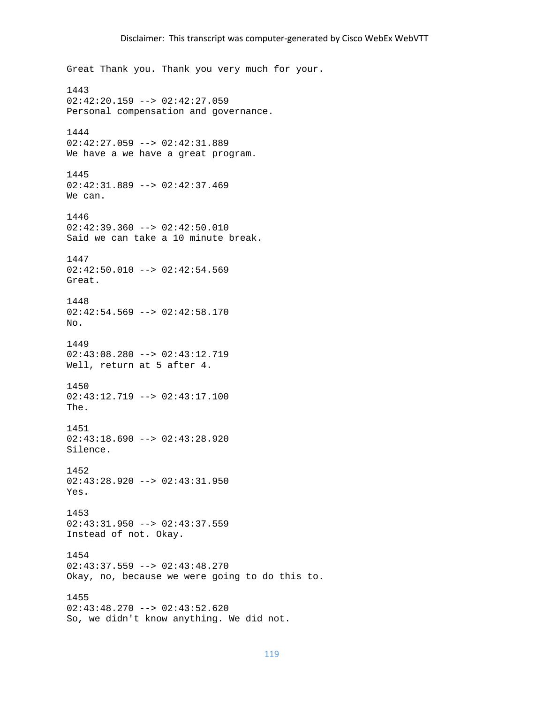Great Thank you. Thank you very much for your. 1443  $02:42:20.159$  -->  $02:42:27.059$ Personal compensation and governance. 1444 02:42:27.059 --> 02:42:31.889 We have a we have a great program. 1445 02:42:31.889 --> 02:42:37.469 We can. 1446  $02:42:39.360$  -->  $02:42:50.010$ Said we can take a 10 minute break. 1447  $02:42:50.010$  -->  $02:42:54.569$ Great. 1448  $02:42:54.569$  -->  $02:42:58.170$ No. 1449 02:43:08.280 --> 02:43:12.719 Well, return at 5 after 4. 1450 02:43:12.719 --> 02:43:17.100 The. 1451  $02:43:18.690$  -->  $02:43:28.920$ Silence. 1452  $02:43:28.920$  -->  $02:43:31.950$ Yes. 1453 02:43:31.950 --> 02:43:37.559 Instead of not. Okay. 1454  $02:43:37.559$  -->  $02:43:48.270$ Okay, no, because we were going to do this to. 1455  $02:43:48.270$  -->  $02:43:52.620$ So, we didn't know anything. We did not.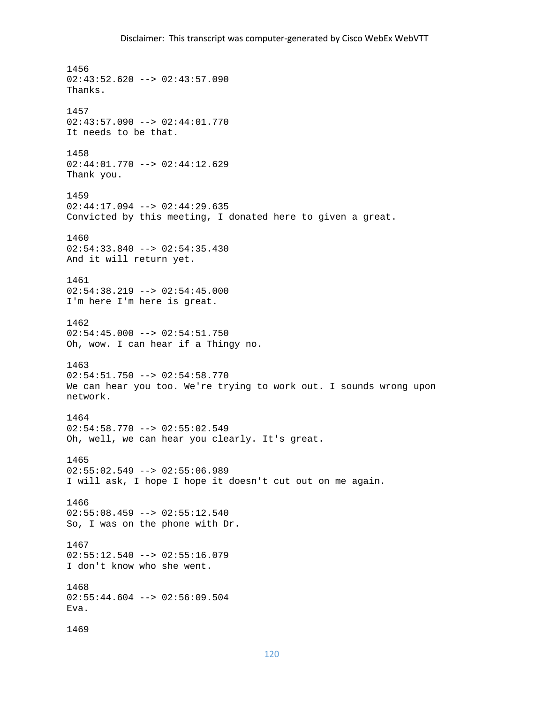1456  $02:43:52.620$  -->  $02:43:57.090$ Thanks. 1457 02:43:57.090 --> 02:44:01.770 It needs to be that. 1458 02:44:01.770 --> 02:44:12.629 Thank you. 1459 02:44:17.094 --> 02:44:29.635 Convicted by this meeting, I donated here to given a great. 1460 02:54:33.840 --> 02:54:35.430 And it will return yet. 1461  $02:54:38.219$  -->  $02:54:45.000$ I'm here I'm here is great. 1462  $02:54:45.000$  -->  $02:54:51.750$ Oh, wow. I can hear if a Thingy no. 1463 02:54:51.750 --> 02:54:58.770 We can hear you too. We're trying to work out. I sounds wrong upon network. 1464 02:54:58.770 --> 02:55:02.549 Oh, well, we can hear you clearly. It's great. 1465 02:55:02.549 --> 02:55:06.989 I will ask, I hope I hope it doesn't cut out on me again. 1466  $02:55:08.459$  -->  $02:55:12.540$ So, I was on the phone with Dr. 1467  $02:55:12.540$  -->  $02:55:16.079$ I don't know who she went. 1468 02:55:44.604 --> 02:56:09.504 Eva. 1469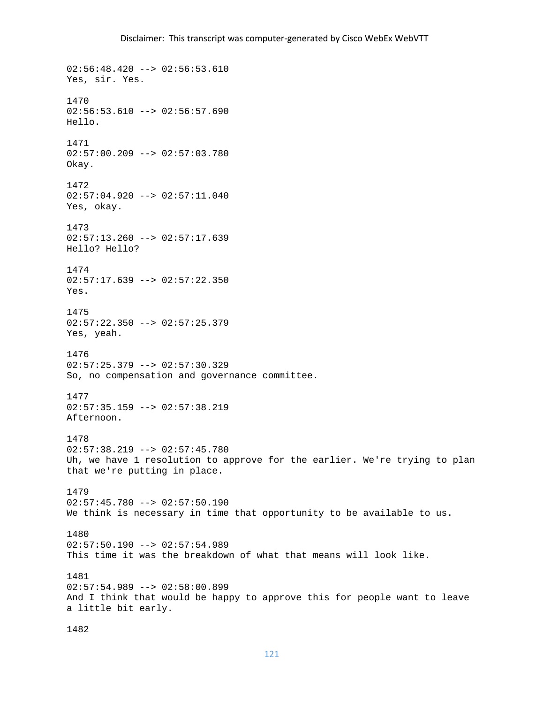$02:56:48.420$  -->  $02:56:53.610$ Yes, sir. Yes. 1470  $02:56:53.610$  -->  $02:56:57.690$ Hello. 1471 02:57:00.209 --> 02:57:03.780 Okay. 1472  $02:57:04.920$  -->  $02:57:11.040$ Yes, okay. 1473 02:57:13.260 --> 02:57:17.639 Hello? Hello? 1474  $02:57:17.639$  -->  $02:57:22.350$ Yes. 1475 02:57:22.350 --> 02:57:25.379 Yes, yeah. 1476 02:57:25.379 --> 02:57:30.329 So, no compensation and governance committee. 1477 02:57:35.159 --> 02:57:38.219 Afternoon. 1478 02:57:38.219 --> 02:57:45.780 Uh, we have 1 resolution to approve for the earlier. We're trying to plan that we're putting in place. 1479 02:57:45.780 --> 02:57:50.190 We think is necessary in time that opportunity to be available to us. 1480 02:57:50.190 --> 02:57:54.989 This time it was the breakdown of what that means will look like. 1481 02:57:54.989 --> 02:58:00.899 And I think that would be happy to approve this for people want to leave a little bit early.

1482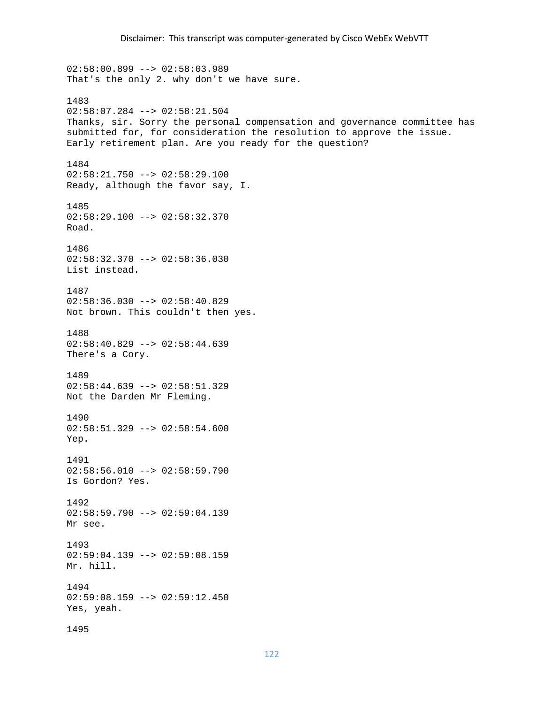$02:58:00.899$  -->  $02:58:03.989$ That's the only 2. why don't we have sure. 1483 02:58:07.284 --> 02:58:21.504 Thanks, sir. Sorry the personal compensation and governance committee has submitted for, for consideration the resolution to approve the issue. Early retirement plan. Are you ready for the question? 1484 02:58:21.750 --> 02:58:29.100 Ready, although the favor say, I. 1485 02:58:29.100 --> 02:58:32.370 Road. 1486  $02:58:32.370$  -->  $02:58:36.030$ List instead. 1487 02:58:36.030 --> 02:58:40.829 Not brown. This couldn't then yes. 1488  $02:58:40.829$  -->  $02:58:44.639$ There's a Cory. 1489 02:58:44.639 --> 02:58:51.329 Not the Darden Mr Fleming. 1490 02:58:51.329 --> 02:58:54.600 Yep. 1491  $02:58:56.010$  -->  $02:58:59.790$ Is Gordon? Yes. 1492 02:58:59.790 --> 02:59:04.139 Mr see. 1493  $02:59:04.139$  -->  $02:59:08.159$ Mr. hill. 1494  $02:59:08.159$  -->  $02:59:12.450$ Yes, yeah. 1495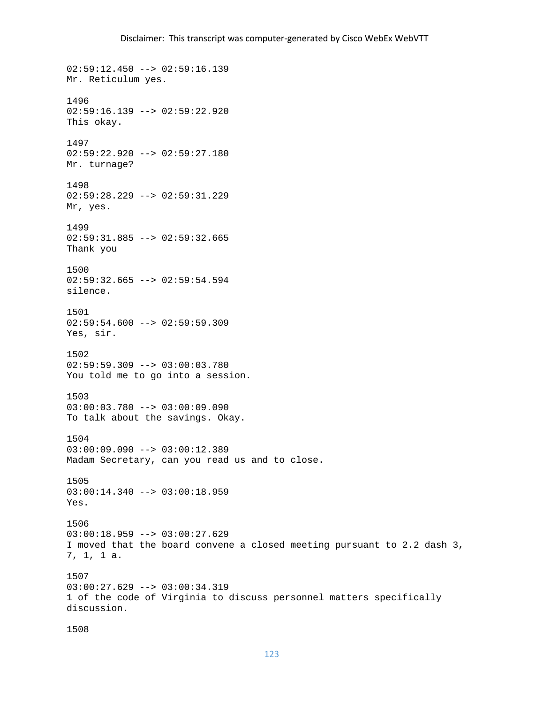02:59:12.450 --> 02:59:16.139 Mr. Reticulum yes. 1496 02:59:16.139 --> 02:59:22.920 This okay. 1497 02:59:22.920 --> 02:59:27.180 Mr. turnage? 1498 02:59:28.229 --> 02:59:31.229 Mr, yes. 1499 02:59:31.885 --> 02:59:32.665 Thank you 1500  $02:59:32.665$  -->  $02:59:54.594$ silence. 1501 02:59:54.600 --> 02:59:59.309 Yes, sir. 1502 02:59:59.309 --> 03:00:03.780 You told me to go into a session. 1503 03:00:03.780 --> 03:00:09.090 To talk about the savings. Okay. 1504 03:00:09.090 --> 03:00:12.389 Madam Secretary, can you read us and to close. 1505 03:00:14.340 --> 03:00:18.959 Yes. 1506 03:00:18.959 --> 03:00:27.629 I moved that the board convene a closed meeting pursuant to 2.2 dash 3, 7, 1, 1 a. 1507 03:00:27.629 --> 03:00:34.319 1 of the code of Virginia to discuss personnel matters specifically discussion.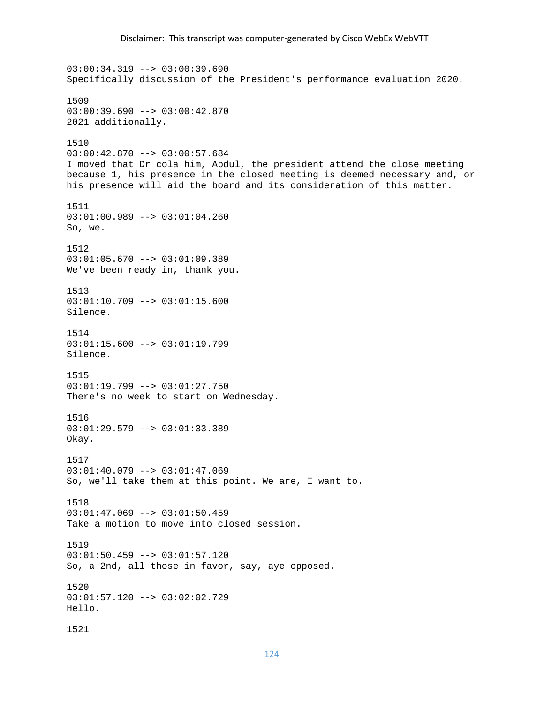$03:00:34.319$  -->  $03:00:39.690$ Specifically discussion of the President's performance evaluation 2020. 1509 03:00:39.690 --> 03:00:42.870 2021 additionally. 1510 03:00:42.870 --> 03:00:57.684 I moved that Dr cola him, Abdul, the president attend the close meeting because 1, his presence in the closed meeting is deemed necessary and, or his presence will aid the board and its consideration of this matter. 1511 03:01:00.989 --> 03:01:04.260 So, we. 1512 03:01:05.670 --> 03:01:09.389 We've been ready in, thank you. 1513 03:01:10.709 --> 03:01:15.600 Silence. 1514 03:01:15.600 --> 03:01:19.799 Silence. 1515 03:01:19.799 --> 03:01:27.750 There's no week to start on Wednesday. 1516 03:01:29.579 --> 03:01:33.389 Okay. 1517 03:01:40.079 --> 03:01:47.069 So, we'll take them at this point. We are, I want to. 1518 03:01:47.069 --> 03:01:50.459 Take a motion to move into closed session. 1519 03:01:50.459 --> 03:01:57.120 So, a 2nd, all those in favor, say, aye opposed. 1520 03:01:57.120 --> 03:02:02.729 Hello. 1521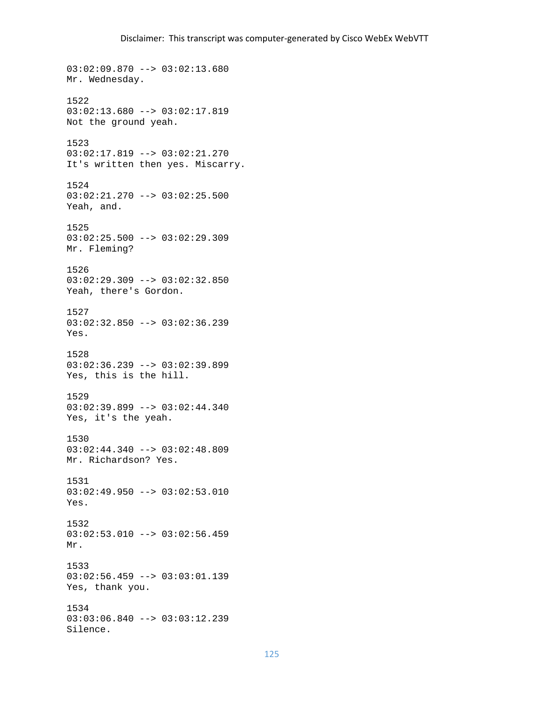03:02:09.870 --> 03:02:13.680 Mr. Wednesday. 1522 03:02:13.680 --> 03:02:17.819 Not the ground yeah. 1523 03:02:17.819 --> 03:02:21.270 It's written then yes. Miscarry. 1524 03:02:21.270 --> 03:02:25.500 Yeah, and. 1525 03:02:25.500 --> 03:02:29.309 Mr. Fleming? 1526 03:02:29.309 --> 03:02:32.850 Yeah, there's Gordon. 1527 03:02:32.850 --> 03:02:36.239 Yes. 1528 03:02:36.239 --> 03:02:39.899 Yes, this is the hill. 1529 03:02:39.899 --> 03:02:44.340 Yes, it's the yeah. 1530 03:02:44.340 --> 03:02:48.809 Mr. Richardson? Yes. 1531 03:02:49.950 --> 03:02:53.010 Yes. 1532 03:02:53.010 --> 03:02:56.459 Mr. 1533 03:02:56.459 --> 03:03:01.139 Yes, thank you. 1534 03:03:06.840 --> 03:03:12.239 Silence.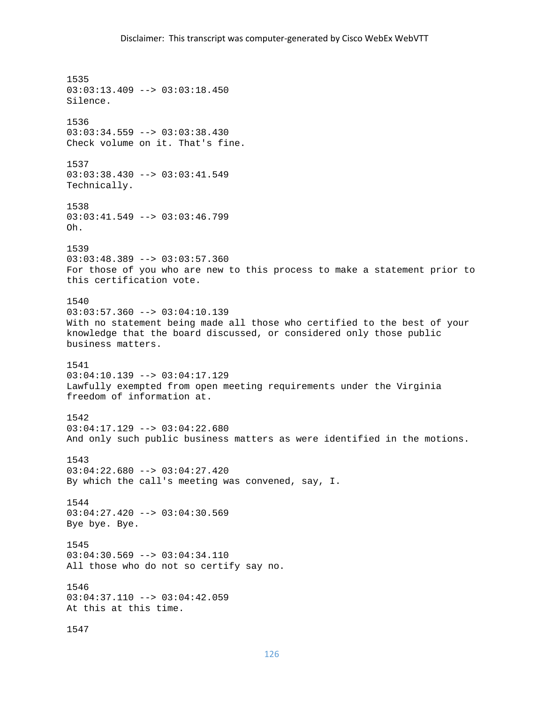1535 03:03:13.409 --> 03:03:18.450 Silence. 1536 03:03:34.559 --> 03:03:38.430 Check volume on it. That's fine. 1537 03:03:38.430 --> 03:03:41.549 Technically. 1538 03:03:41.549 --> 03:03:46.799 Oh. 1539 03:03:48.389 --> 03:03:57.360 For those of you who are new to this process to make a statement prior to this certification vote. 1540  $03:03:57.360$  -->  $03:04:10.139$ With no statement being made all those who certified to the best of your knowledge that the board discussed, or considered only those public business matters. 1541 03:04:10.139 --> 03:04:17.129 Lawfully exempted from open meeting requirements under the Virginia freedom of information at. 1542 03:04:17.129 --> 03:04:22.680 And only such public business matters as were identified in the motions. 1543 03:04:22.680 --> 03:04:27.420 By which the call's meeting was convened, say, I. 1544 03:04:27.420 --> 03:04:30.569 Bye bye. Bye. 1545 03:04:30.569 --> 03:04:34.110 All those who do not so certify say no. 1546 03:04:37.110 --> 03:04:42.059 At this at this time. 1547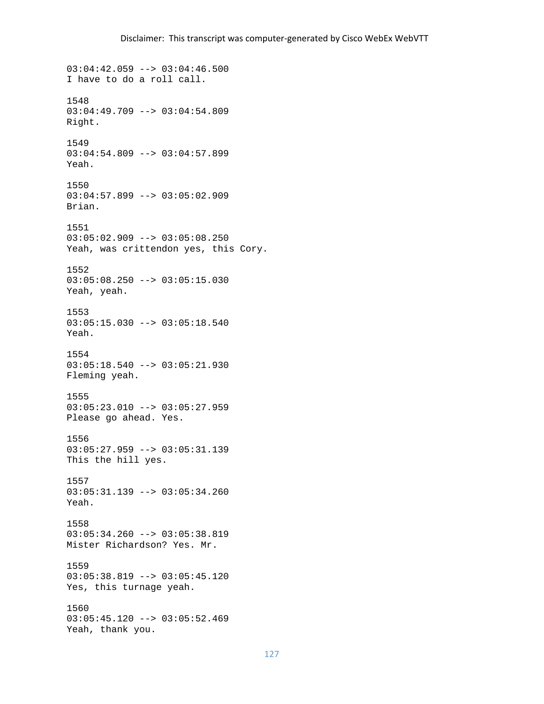03:04:42.059 --> 03:04:46.500 I have to do a roll call. 1548 03:04:49.709 --> 03:04:54.809 Right. 1549 03:04:54.809 --> 03:04:57.899 Yeah. 1550 03:04:57.899 --> 03:05:02.909 Brian. 1551 03:05:02.909 --> 03:05:08.250 Yeah, was crittendon yes, this Cory. 1552 03:05:08.250 --> 03:05:15.030 Yeah, yeah. 1553 03:05:15.030 --> 03:05:18.540 Yeah. 1554 03:05:18.540 --> 03:05:21.930 Fleming yeah. 1555 03:05:23.010 --> 03:05:27.959 Please go ahead. Yes. 1556 03:05:27.959 --> 03:05:31.139 This the hill yes. 1557 03:05:31.139 --> 03:05:34.260 Yeah. 1558 03:05:34.260 --> 03:05:38.819 Mister Richardson? Yes. Mr. 1559 03:05:38.819 --> 03:05:45.120 Yes, this turnage yeah. 1560 03:05:45.120 --> 03:05:52.469 Yeah, thank you.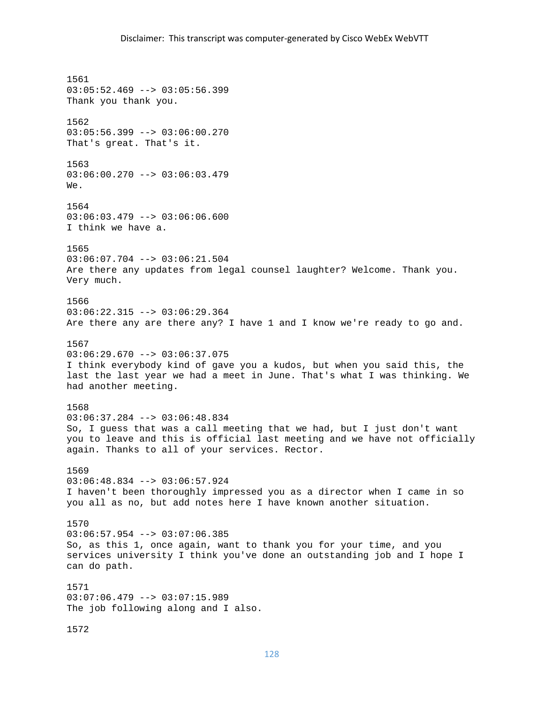1561 03:05:52.469 --> 03:05:56.399 Thank you thank you. 1562 03:05:56.399 --> 03:06:00.270 That's great. That's it. 1563 03:06:00.270 --> 03:06:03.479 We. 1564 03:06:03.479 --> 03:06:06.600 I think we have a. 1565 03:06:07.704 --> 03:06:21.504 Are there any updates from legal counsel laughter? Welcome. Thank you. Very much. 1566 03:06:22.315 --> 03:06:29.364 Are there any are there any? I have 1 and I know we're ready to go and. 1567  $03:06:29.670$  -->  $03:06:37.075$ I think everybody kind of gave you a kudos, but when you said this, the last the last year we had a meet in June. That's what I was thinking. We had another meeting. 1568 03:06:37.284 --> 03:06:48.834 So, I guess that was a call meeting that we had, but I just don't want you to leave and this is official last meeting and we have not officially again. Thanks to all of your services. Rector. 1569 03:06:48.834 --> 03:06:57.924 I haven't been thoroughly impressed you as a director when I came in so you all as no, but add notes here I have known another situation. 1570  $03:06:57.954$  -->  $03:07:06.385$ So, as this 1, once again, want to thank you for your time, and you services university I think you've done an outstanding job and I hope I can do path. 1571 03:07:06.479 --> 03:07:15.989 The job following along and I also. 1572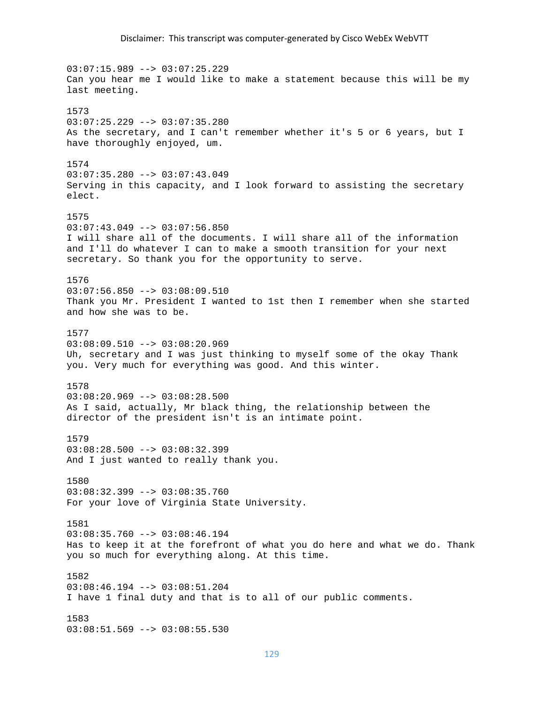03:07:15.989 --> 03:07:25.229 Can you hear me I would like to make a statement because this will be my last meeting. 1573 03:07:25.229 --> 03:07:35.280 As the secretary, and I can't remember whether it's 5 or 6 years, but I have thoroughly enjoyed, um. 1574 03:07:35.280 --> 03:07:43.049 Serving in this capacity, and I look forward to assisting the secretary elect. 1575  $03:07:43.049$  -->  $03:07:56.850$ I will share all of the documents. I will share all of the information and I'll do whatever I can to make a smooth transition for your next secretary. So thank you for the opportunity to serve. 1576  $03:07:56.850$  -->  $03:08:09.510$ Thank you Mr. President I wanted to 1st then I remember when she started and how she was to be. 1577  $03:08:09.510$  -->  $03:08:20.969$ Uh, secretary and I was just thinking to myself some of the okay Thank you. Very much for everything was good. And this winter. 1578 03:08:20.969 --> 03:08:28.500 As I said, actually, Mr black thing, the relationship between the director of the president isn't is an intimate point. 1579 03:08:28.500 --> 03:08:32.399 And I just wanted to really thank you. 1580 03:08:32.399 --> 03:08:35.760 For your love of Virginia State University. 1581  $03:08:35.760$  -->  $03:08:46.194$ Has to keep it at the forefront of what you do here and what we do. Thank you so much for everything along. At this time. 1582 03:08:46.194 --> 03:08:51.204 I have 1 final duty and that is to all of our public comments. 1583 03:08:51.569 --> 03:08:55.530